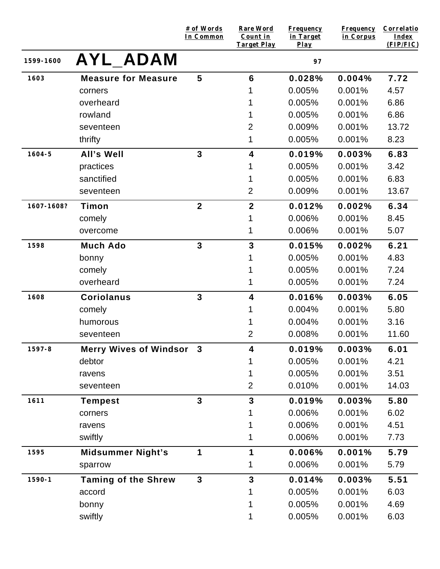|            |                                 | # of Words<br>In Common | <b>Rare Word</b><br>Count in<br><b>Target Play</b> | Frequency<br>in Target<br>Play | <b>Frequency</b><br>in Corpus | <b>Correlatio</b><br>Index<br>(FIP/FIC) |
|------------|---------------------------------|-------------------------|----------------------------------------------------|--------------------------------|-------------------------------|-----------------------------------------|
| 1599-1600  | <b>AYL ADAM</b>                 |                         |                                                    | 97                             |                               |                                         |
| 1603       | <b>Measure for Measure</b>      | 5                       | $6\phantom{1}6$                                    | 0.028%                         | 0.004%                        | 7.72                                    |
|            | corners                         |                         |                                                    | 0.005%                         | 0.001%                        | 4.57                                    |
|            | overheard                       |                         |                                                    | 0.005%                         | 0.001%                        | 6.86                                    |
|            | rowland                         |                         |                                                    | 0.005%                         | 0.001%                        | 6.86                                    |
|            | seventeen                       |                         | 2                                                  | 0.009%                         | 0.001%                        | 13.72                                   |
|            | thrifty                         |                         | 1                                                  | 0.005%                         | 0.001%                        | 8.23                                    |
| $1604 - 5$ | All's Well                      | $\overline{3}$          | 4                                                  | 0.019%                         | 0.003%                        | 6.83                                    |
|            | practices                       |                         |                                                    | 0.005%                         | 0.001%                        | 3.42                                    |
|            | sanctified                      |                         |                                                    | 0.005%                         | 0.001%                        | 6.83                                    |
|            | seventeen                       |                         | $\overline{2}$                                     | 0.009%                         | 0.001%                        | 13.67                                   |
| 1607-1608? | Timon                           | $\mathbf{2}$            | $\overline{2}$                                     | 0.012%                         | 0.002%                        | 6.34                                    |
|            | comely                          |                         |                                                    | 0.006%                         | 0.001%                        | 8.45                                    |
|            | overcome                        |                         | 1                                                  | 0.006%                         | 0.001%                        | 5.07                                    |
| 1598       | <b>Much Ado</b>                 | $\overline{3}$          | 3                                                  | 0.015%                         | 0.002%                        | 6.21                                    |
|            | bonny                           |                         |                                                    | 0.005%                         | 0.001%                        | 4.83                                    |
|            | comely                          |                         |                                                    | 0.005%                         | 0.001%                        | 7.24                                    |
|            | overheard                       |                         |                                                    | 0.005%                         | 0.001%                        | 7.24                                    |
| 1608       | <b>Coriolanus</b>               | $\overline{3}$          | $\overline{\mathbf{4}}$                            | 0.016%                         | 0.003%                        | 6.05                                    |
|            | comely                          |                         |                                                    | 0.004%                         | 0.001%                        | 5.80                                    |
|            | humorous                        |                         |                                                    | 0.004%                         | 0.001%                        | 3.16                                    |
|            | seventeen                       |                         | $\overline{2}$                                     | 0.008%                         | 0.001%                        | 11.60                                   |
| $1597 - 8$ | <b>Merry Wives of Windsor 3</b> |                         | 4                                                  | 0.019%                         | 0.003%                        | 6.01                                    |
|            | debtor                          |                         |                                                    | 0.005%                         | 0.001%                        | 4.21                                    |
|            | ravens                          |                         |                                                    | 0.005%                         | 0.001%                        | 3.51                                    |
|            | seventeen                       |                         | $\overline{2}$                                     | 0.010%                         | 0.001%                        | 14.03                                   |
| 1611       | <b>Tempest</b>                  | $\overline{3}$          | $\overline{3}$                                     | 0.019%                         | 0.003%                        | 5.80                                    |
|            | corners                         |                         |                                                    | 0.006%                         | 0.001%                        | 6.02                                    |
|            | ravens                          |                         |                                                    | 0.006%                         | 0.001%                        | 4.51                                    |
|            | swiftly                         |                         |                                                    | 0.006%                         | 0.001%                        | 7.73                                    |
| 1595       | <b>Midsummer Night's</b>        | 1                       | 1                                                  | 0.006%                         | 0.001%                        | 5.79                                    |
|            | sparrow                         |                         |                                                    | 0.006%                         | 0.001%                        | 5.79                                    |
| $1590 - 1$ | <b>Taming of the Shrew</b>      | $\mathbf{3}$            | $\mathbf{3}$                                       | 0.014%                         | 0.003%                        | 5.51                                    |
|            | accord                          |                         |                                                    | 0.005%                         | 0.001%                        | 6.03                                    |
|            | bonny                           |                         |                                                    | 0.005%                         | 0.001%                        | 4.69                                    |
|            | swiftly                         |                         |                                                    | 0.005%                         | 0.001%                        | 6.03                                    |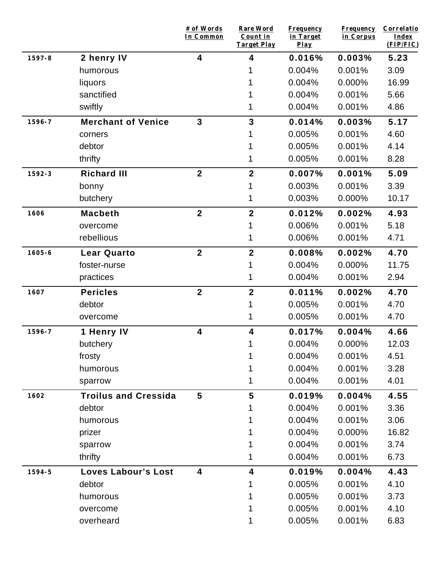|            |                             | # of Words<br>In Common | <b>Rare Word</b><br>Count in<br><b>Target Play</b> | <b>Frequency</b><br>in Target<br>Play | <b>Frequency</b><br>in Corpus | Correlatio<br>Index<br>(FIP/FIC) |
|------------|-----------------------------|-------------------------|----------------------------------------------------|---------------------------------------|-------------------------------|----------------------------------|
| 1597-8     | 2 henry IV                  | 4                       | 4                                                  | 0.016%                                | 0.003%                        | 5.23                             |
|            | humorous                    |                         |                                                    | 0.004%                                | 0.001%                        | 3.09                             |
|            | liquors                     |                         |                                                    | 0.004%                                | 0.000%                        | 16.99                            |
|            | sanctified                  |                         |                                                    | 0.004%                                | 0.001%                        | 5.66                             |
|            | swiftly                     |                         |                                                    | 0.004%                                | 0.001%                        | 4.86                             |
| 1596-7     | <b>Merchant of Venice</b>   | $\mathbf{3}$            | 3                                                  | 0.014%                                | 0.003%                        | 5.17                             |
|            | corners                     |                         |                                                    | 0.005%                                | 0.001%                        | 4.60                             |
|            | debtor                      |                         |                                                    | 0.005%                                | 0.001%                        | 4.14                             |
|            | thrifty                     |                         |                                                    | 0.005%                                | 0.001%                        | 8.28                             |
| 1592-3     | <b>Richard III</b>          | $\overline{2}$          | $\mathbf{2}$                                       | 0.007%                                | 0.001%                        | 5.09                             |
|            | bonny                       |                         |                                                    | 0.003%                                | 0.001%                        | 3.39                             |
|            | butchery                    |                         |                                                    | 0.003%                                | 0.000%                        | 10.17                            |
| 1606       | <b>Macbeth</b>              | $\mathbf{2}$            | $\mathbf{2}$                                       | 0.012%                                | 0.002%                        | 4.93                             |
|            | overcome                    |                         | 1                                                  | 0.006%                                | 0.001%                        | 5.18                             |
|            | rebellious                  |                         | 1                                                  | 0.006%                                | 0.001%                        | 4.71                             |
| $1605 - 6$ | <b>Lear Quarto</b>          | $\overline{2}$          | $\overline{2}$                                     | 0.008%                                | 0.002%                        | 4.70                             |
|            | foster-nurse                |                         |                                                    | 0.004%                                | 0.000%                        | 11.75                            |
|            | practices                   |                         |                                                    | 0.004%                                | 0.001%                        | 2.94                             |
| 1607       | <b>Pericles</b>             | $\overline{2}$          | $\mathbf{2}$                                       | 0.011%                                | 0.002%                        | 4.70                             |
|            | debtor                      |                         |                                                    | 0.005%                                | 0.001%                        | 4.70                             |
|            | overcome                    |                         | 1                                                  | 0.005%                                | 0.001%                        | 4.70                             |
| 1596-7     | 1 Henry IV                  | $\overline{\mathbf{4}}$ | 4                                                  | 0.017%                                | 0.004%                        | 4.66                             |
|            | butchery                    |                         | 1                                                  | 0.004%                                | 0.000%                        | 12.03                            |
|            | frosty                      |                         | 1                                                  | 0.004%                                | 0.001%                        | 4.51                             |
|            | humorous                    |                         | 1                                                  | 0.004%                                | 0.001%                        | 3.28                             |
|            | sparrow                     |                         | 1                                                  | 0.004%                                | 0.001%                        | 4.01                             |
| 1602       | <b>Troilus and Cressida</b> | 5                       | 5                                                  | 0.019%                                | 0.004%                        | 4.55                             |
|            | debtor                      |                         |                                                    | 0.004%                                | 0.001%                        | 3.36                             |
|            | humorous                    |                         |                                                    | 0.004%                                | 0.001%                        | 3.06                             |
|            | prizer                      |                         |                                                    | 0.004%                                | 0.000%                        | 16.82                            |
|            | sparrow                     |                         |                                                    | 0.004%                                | 0.001%                        | 3.74                             |
|            | thrifty                     |                         |                                                    | 0.004%                                | 0.001%                        | 6.73                             |
| 1594-5     | <b>Loves Labour's Lost</b>  | 4                       | 4                                                  | 0.019%                                | 0.004%                        | 4.43                             |
|            | debtor                      |                         |                                                    | 0.005%                                | 0.001%                        | 4.10                             |
|            | humorous                    |                         |                                                    | 0.005%                                | 0.001%                        | 3.73                             |
|            | overcome                    |                         |                                                    | 0.005%                                | 0.001%                        | 4.10                             |
|            | overheard                   |                         |                                                    | 0.005%                                | 0.001%                        | 6.83                             |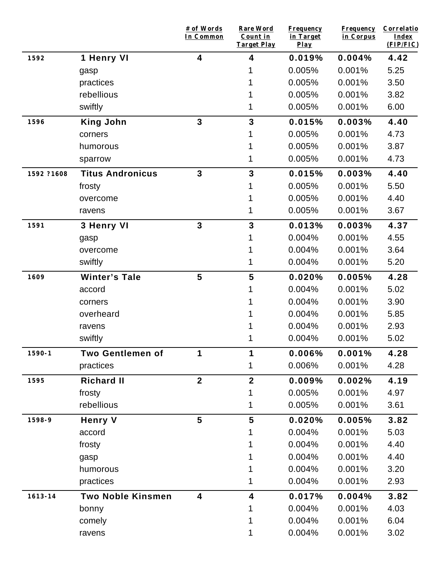|             |                          | # of Words<br>In Common | Rare Word<br>Count in<br><b>Target Play</b> | <b>Frequency</b><br>in Target<br>$Play$ | <b>Frequency</b><br>in Corpus | Correlatio<br>Index<br>(FIP/FIC) |
|-------------|--------------------------|-------------------------|---------------------------------------------|-----------------------------------------|-------------------------------|----------------------------------|
| 1592        | 1 Henry VI               | $\overline{\mathbf{4}}$ | 4                                           | 0.019%                                  | 0.004%                        | 4.42                             |
|             | gasp                     |                         |                                             | 0.005%                                  | 0.001%                        | 5.25                             |
|             | practices                |                         |                                             | 0.005%                                  | 0.001%                        | 3.50                             |
|             | rebellious               |                         |                                             | 0.005%                                  | 0.001%                        | 3.82                             |
|             | swiftly                  |                         |                                             | 0.005%                                  | 0.001%                        | 6.00                             |
| 1596        | <b>King John</b>         | $\mathbf{3}$            | $\mathbf{3}$                                | 0.015%                                  | 0.003%                        | 4.40                             |
|             | corners                  |                         |                                             | 0.005%                                  | 0.001%                        | 4.73                             |
|             | humorous                 |                         |                                             | 0.005%                                  | 0.001%                        | 3.87                             |
|             | sparrow                  |                         |                                             | 0.005%                                  | 0.001%                        | 4.73                             |
| 1592 ?1608  | <b>Titus Andronicus</b>  | $\mathbf{3}$            | $\mathbf{3}$                                | 0.015%                                  | 0.003%                        | 4.40                             |
|             | frosty                   |                         | 1                                           | 0.005%                                  | 0.001%                        | 5.50                             |
|             | overcome                 |                         |                                             | 0.005%                                  | 0.001%                        | 4.40                             |
|             | ravens                   |                         |                                             | 0.005%                                  | 0.001%                        | 3.67                             |
| 1591        | 3 Henry VI               | $\mathbf{3}$            | $\mathbf{3}$                                | 0.013%                                  | 0.003%                        | 4.37                             |
|             | gasp                     |                         |                                             | 0.004%                                  | 0.001%                        | 4.55                             |
|             | overcome                 |                         |                                             | 0.004%                                  | 0.001%                        | 3.64                             |
|             | swiftly                  |                         |                                             | 0.004%                                  | 0.001%                        | 5.20                             |
| 1609        | <b>Winter's Tale</b>     | 5                       | 5                                           | 0.020%                                  | 0.005%                        | 4.28                             |
|             | accord                   |                         |                                             | 0.004%                                  | 0.001%                        | 5.02                             |
|             | corners                  |                         |                                             | 0.004%                                  | 0.001%                        | 3.90                             |
|             | overheard                |                         |                                             | 0.004%                                  | 0.001%                        | 5.85                             |
|             | ravens                   |                         |                                             | 0.004%                                  | 0.001%                        | 2.93                             |
|             | swiftly                  |                         |                                             | 0.004%                                  | 0.001%                        | 5.02                             |
| $1590 - 1$  | <b>Two Gentlemen of</b>  | 1                       | 1                                           | 0.006%                                  | 0.001%                        | 4.28                             |
|             | practices                |                         | 1                                           | 0.006%                                  | 0.001%                        | 4.28                             |
| 1595        | <b>Richard II</b>        | $\mathbf{2}$            | $\boldsymbol{2}$                            | 0.009%                                  | 0.002%                        | 4.19                             |
|             | frosty                   |                         | 1                                           | 0.005%                                  | 0.001%                        | 4.97                             |
|             | rebellious               |                         | 1                                           | 0.005%                                  | 0.001%                        | 3.61                             |
| 1598-9      | <b>Henry V</b>           | 5                       | 5                                           | 0.020%                                  | 0.005%                        | 3.82                             |
|             | accord                   |                         |                                             | 0.004%                                  | 0.001%                        | 5.03                             |
|             | frosty                   |                         |                                             | 0.004%                                  | 0.001%                        | 4.40                             |
|             | gasp                     |                         |                                             | 0.004%                                  | 0.001%                        | 4.40                             |
|             | humorous                 |                         |                                             | 0.004%                                  | 0.001%                        | 3.20                             |
|             | practices                |                         |                                             | 0.004%                                  | 0.001%                        | 2.93                             |
| $1613 - 14$ | <b>Two Noble Kinsmen</b> | $\overline{\mathbf{4}}$ | 4                                           | 0.017%                                  | 0.004%                        | 3.82                             |
|             | bonny                    |                         |                                             | 0.004%                                  | 0.001%                        | 4.03                             |
|             | comely                   |                         |                                             | 0.004%                                  | 0.001%                        | 6.04                             |
|             | ravens                   |                         |                                             | 0.004%                                  | 0.001%                        | 3.02                             |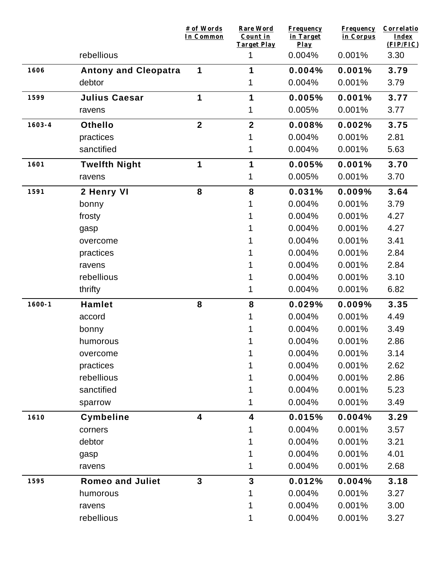|            |                             | # of Words<br>In Common | <b>Rare Word</b><br>Count in<br><b>Target Play</b> | <b>Frequency</b><br>in Target<br>$Play$ | <b>Frequency</b><br>in Corpus | Correlatio<br>Index<br>(FIP/FIC) |
|------------|-----------------------------|-------------------------|----------------------------------------------------|-----------------------------------------|-------------------------------|----------------------------------|
|            | rebellious                  |                         | 1                                                  | 0.004%                                  | 0.001%                        | 3.30                             |
| 1606       | <b>Antony and Cleopatra</b> | 1                       | 1                                                  | 0.004%                                  | 0.001%                        | 3.79                             |
|            | debtor                      |                         | 1                                                  | 0.004%                                  | 0.001%                        | 3.79                             |
| 1599       | <b>Julius Caesar</b>        | 1                       | 1                                                  | 0.005%                                  | 0.001%                        | 3.77                             |
|            | ravens                      |                         | 1                                                  | 0.005%                                  | 0.001%                        | 3.77                             |
| $1603 - 4$ | <b>Othello</b>              | $\overline{2}$          | $\overline{2}$                                     | 0.008%                                  | 0.002%                        | 3.75                             |
|            | practices                   |                         | 1                                                  | 0.004%                                  | 0.001%                        | 2.81                             |
|            | sanctified                  |                         |                                                    | 0.004%                                  | 0.001%                        | 5.63                             |
| 1601       | <b>Twelfth Night</b>        | 1                       | 1                                                  | 0.005%                                  | 0.001%                        | 3.70                             |
|            | ravens                      |                         | 1                                                  | 0.005%                                  | 0.001%                        | 3.70                             |
| 1591       | 2 Henry VI                  | 8                       | 8                                                  | 0.031%                                  | 0.009%                        | 3.64                             |
|            | bonny                       |                         |                                                    | 0.004%                                  | 0.001%                        | 3.79                             |
|            | frosty                      |                         |                                                    | 0.004%                                  | 0.001%                        | 4.27                             |
|            | gasp                        |                         |                                                    | 0.004%                                  | 0.001%                        | 4.27                             |
|            | overcome                    |                         |                                                    | 0.004%                                  | 0.001%                        | 3.41                             |
|            | practices                   |                         |                                                    | 0.004%                                  | 0.001%                        | 2.84                             |
|            | ravens                      |                         |                                                    | 0.004%                                  | 0.001%                        | 2.84                             |
|            | rebellious                  |                         |                                                    | 0.004%                                  | 0.001%                        | 3.10                             |
|            | thrifty                     |                         | 1                                                  | 0.004%                                  | 0.001%                        | 6.82                             |
| $1600 - 1$ | <b>Hamlet</b>               | 8                       | 8                                                  | 0.029%                                  | 0.009%                        | 3.35                             |
|            | accord                      |                         |                                                    | 0.004%                                  | 0.001%                        | 4.49                             |
|            | bonny                       |                         |                                                    | 0.004%                                  | 0.001%                        | 3.49                             |
|            | humorous                    |                         |                                                    | 0.004%                                  | 0.001%                        | 2.86                             |
|            | overcome                    |                         |                                                    | 0.004%                                  | 0.001%                        | 3.14                             |
|            | practices                   |                         |                                                    | 0.004%                                  | 0.001%                        | 2.62                             |
|            | rebellious                  |                         |                                                    | 0.004%                                  | 0.001%                        | 2.86                             |
|            | sanctified                  |                         |                                                    | 0.004%                                  | 0.001%                        | 5.23                             |
|            | sparrow                     |                         |                                                    | 0.004%                                  | 0.001%                        | 3.49                             |
| 1610       | Cymbeline                   | 4                       | $\overline{\mathbf{4}}$                            | 0.015%                                  | 0.004%                        | 3.29                             |
|            | corners                     |                         | 1                                                  | 0.004%                                  | 0.001%                        | 3.57                             |
|            | debtor                      |                         |                                                    | 0.004%                                  | 0.001%                        | 3.21                             |
|            | gasp                        |                         |                                                    | 0.004%                                  | 0.001%                        | 4.01                             |
|            | ravens                      |                         |                                                    | 0.004%                                  | 0.001%                        | 2.68                             |
| 1595       | <b>Romeo and Juliet</b>     | $\overline{3}$          | $\mathbf{3}$                                       | 0.012%                                  | 0.004%                        | 3.18                             |
|            | humorous                    |                         |                                                    | 0.004%                                  | 0.001%                        | 3.27                             |
|            | ravens                      |                         |                                                    | 0.004%                                  | 0.001%                        | 3.00                             |
|            | rebellious                  |                         | 1                                                  | 0.004%                                  | 0.001%                        | 3.27                             |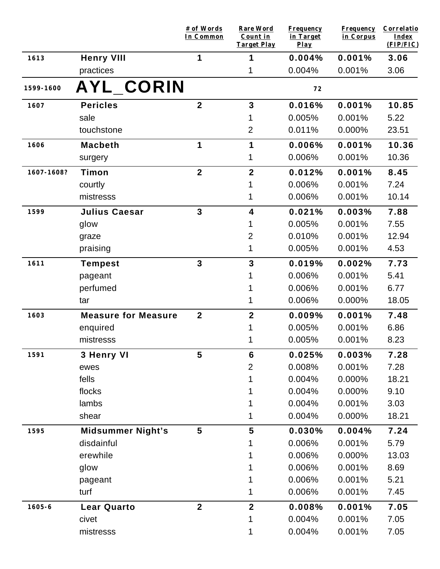|            |                            | # of Words<br>In Common | <b>Rare Word</b><br>Count in<br><b>Target Play</b> | <b>Frequency</b><br>in Target<br>$Play$ | <b>Frequency</b><br>in Corpus | Correlatio<br>Index<br>(FIP/FIC) |
|------------|----------------------------|-------------------------|----------------------------------------------------|-----------------------------------------|-------------------------------|----------------------------------|
| 1613       | <b>Henry VIII</b>          | 1                       | 1                                                  | 0.004%                                  | 0.001%                        | 3.06                             |
|            | practices                  |                         | 1                                                  | 0.004%                                  | 0.001%                        | 3.06                             |
| 1599-1600  | AYL_CORIN                  |                         |                                                    | 72                                      |                               |                                  |
| 1607       | <b>Pericles</b>            | $\mathbf{2}$            | 3                                                  | 0.016%                                  | 0.001%                        | 10.85                            |
|            | sale                       |                         |                                                    | 0.005%                                  | 0.001%                        | 5.22                             |
|            | touchstone                 |                         | $\overline{2}$                                     | 0.011%                                  | 0.000%                        | 23.51                            |
| 1606       | <b>Macbeth</b>             | 1                       | 1                                                  | 0.006%                                  | 0.001%                        | 10.36                            |
|            | surgery                    |                         | 1                                                  | 0.006%                                  | 0.001%                        | 10.36                            |
| 1607-1608? | Timon                      | $\mathbf{2}$            | $\mathbf{2}$                                       | 0.012%                                  | 0.001%                        | 8.45                             |
|            | courtly                    |                         |                                                    | 0.006%                                  | 0.001%                        | 7.24                             |
|            | mistresss                  |                         | 1                                                  | 0.006%                                  | 0.001%                        | 10.14                            |
| 1599       | <b>Julius Caesar</b>       | $\mathbf{3}$            | 4                                                  | 0.021%                                  | 0.003%                        | 7.88                             |
|            | glow                       |                         |                                                    | 0.005%                                  | 0.001%                        | 7.55                             |
|            | graze                      |                         | $\overline{2}$                                     | 0.010%                                  | 0.001%                        | 12.94                            |
|            | praising                   |                         | 1                                                  | 0.005%                                  | 0.001%                        | 4.53                             |
| 1611       | <b>Tempest</b>             | $\mathbf{3}$            | $\mathbf{3}$                                       | 0.019%                                  | 0.002%                        | 7.73                             |
|            | pageant                    |                         |                                                    | 0.006%                                  | 0.001%                        | 5.41                             |
|            | perfumed                   |                         |                                                    | 0.006%                                  | 0.001%                        | 6.77                             |
|            | tar                        |                         | 1                                                  | 0.006%                                  | 0.000%                        | 18.05                            |
| 1603       | <b>Measure for Measure</b> | $\overline{2}$          | $\overline{2}$                                     | 0.009%                                  | 0.001%                        | 7.48                             |
|            | enquired                   |                         |                                                    | 0.005%                                  | 0.001%                        | 6.86                             |
|            | mistresss                  |                         |                                                    | 0.005%                                  | 0.001%                        | 8.23                             |
| 1591       | 3 Henry VI                 | 5                       | 6                                                  | 0.025%                                  | 0.003%                        | 7.28                             |
|            | ewes                       |                         | $\overline{2}$                                     | 0.008%                                  | 0.001%                        | 7.28                             |
|            | fells                      |                         |                                                    | 0.004%                                  | 0.000%                        | 18.21                            |
|            | flocks                     |                         |                                                    | 0.004%                                  | 0.000%                        | 9.10                             |
|            | lambs                      |                         |                                                    | 0.004%                                  | 0.001%                        | 3.03                             |
|            | shear                      |                         | 1                                                  | 0.004%                                  | 0.000%                        | 18.21                            |
| 1595       | <b>Midsummer Night's</b>   | 5                       | 5                                                  | 0.030%                                  | 0.004%                        | 7.24                             |
|            | disdainful                 |                         |                                                    | 0.006%                                  | 0.001%                        | 5.79                             |
|            | erewhile                   |                         |                                                    | 0.006%                                  | 0.000%                        | 13.03                            |
|            | glow                       |                         |                                                    | 0.006%                                  | 0.001%                        | 8.69                             |
|            | pageant                    |                         |                                                    | 0.006%                                  | 0.001%                        | 5.21                             |
|            | turf                       |                         | 1                                                  | 0.006%                                  | 0.001%                        | 7.45                             |
| $1605 - 6$ | <b>Lear Quarto</b>         | $\overline{2}$          | $\mathbf{2}$                                       | 0.008%                                  | 0.001%                        | 7.05                             |
|            | civet                      |                         | 1                                                  | 0.004%                                  | 0.001%                        | 7.05                             |
|            | mistresss                  |                         |                                                    | 0.004%                                  | 0.001%                        | 7.05                             |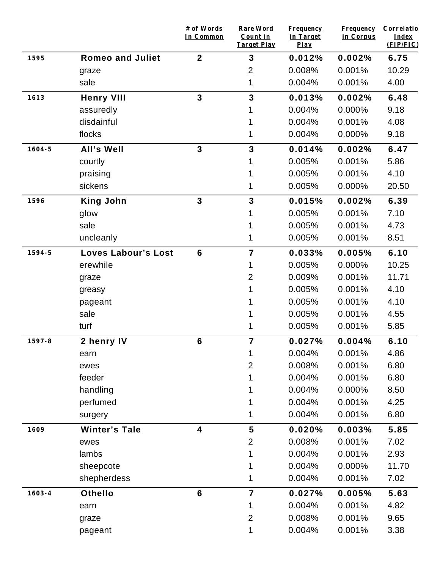|            |                            | # of Words<br>In Common | <b>Rare Word</b><br>Count in<br><b>Target Play</b> | <b>Frequency</b><br>in Target<br>$Play$ | <b>Frequency</b><br>in Corpus | Correlatio<br><b>Index</b><br>(FIP/FIC) |
|------------|----------------------------|-------------------------|----------------------------------------------------|-----------------------------------------|-------------------------------|-----------------------------------------|
| 1595       | <b>Romeo and Juliet</b>    | $\mathbf{2}$            | 3                                                  | 0.012%                                  | 0.002%                        | 6.75                                    |
|            | graze                      |                         | $\overline{2}$                                     | 0.008%                                  | 0.001%                        | 10.29                                   |
|            | sale                       |                         | 1                                                  | 0.004%                                  | 0.001%                        | 4.00                                    |
| 1613       | <b>Henry VIII</b>          | $\overline{3}$          | $\overline{\mathbf{3}}$                            | 0.013%                                  | 0.002%                        | 6.48                                    |
|            | assuredly                  |                         |                                                    | 0.004%                                  | 0.000%                        | 9.18                                    |
|            | disdainful                 |                         |                                                    | 0.004%                                  | 0.001%                        | 4.08                                    |
|            | flocks                     |                         |                                                    | 0.004%                                  | 0.000%                        | 9.18                                    |
| $1604 - 5$ | All's Well                 | $\overline{3}$          | 3                                                  | 0.014%                                  | 0.002%                        | 6.47                                    |
|            | courtly                    |                         |                                                    | 0.005%                                  | 0.001%                        | 5.86                                    |
|            | praising                   |                         |                                                    | 0.005%                                  | 0.001%                        | 4.10                                    |
|            | sickens                    |                         |                                                    | 0.005%                                  | 0.000%                        | 20.50                                   |
| 1596       | <b>King John</b>           | $\overline{3}$          | 3                                                  | 0.015%                                  | 0.002%                        | 6.39                                    |
|            | glow                       |                         |                                                    | 0.005%                                  | 0.001%                        | 7.10                                    |
|            | sale                       |                         |                                                    | 0.005%                                  | 0.001%                        | 4.73                                    |
|            | uncleanly                  |                         | 1                                                  | 0.005%                                  | 0.001%                        | 8.51                                    |
| 1594-5     | <b>Loves Labour's Lost</b> | $6\phantom{1}6$         | $\overline{7}$                                     | 0.033%                                  | 0.005%                        | 6.10                                    |
|            | erewhile                   |                         | 1                                                  | 0.005%                                  | 0.000%                        | 10.25                                   |
|            | graze                      |                         | $\overline{2}$                                     | 0.009%                                  | 0.001%                        | 11.71                                   |
|            | greasy                     |                         |                                                    | 0.005%                                  | 0.001%                        | 4.10                                    |
|            | pageant                    |                         |                                                    | 0.005%                                  | 0.001%                        | 4.10                                    |
|            | sale                       |                         |                                                    | 0.005%                                  | 0.001%                        | 4.55                                    |
|            | turf                       |                         | 1                                                  | 0.005%                                  | 0.001%                        | 5.85                                    |
| 1597-8     | 2 henry IV                 | $6\phantom{1}6$         | $\overline{7}$                                     | 0.027%                                  | 0.004%                        | 6.10                                    |
|            | earn                       |                         | 1                                                  | 0.004%                                  | 0.001%                        | 4.86                                    |
|            | ewes                       |                         | $\overline{2}$                                     | 0.008%                                  | 0.001%                        | 6.80                                    |
|            | feeder                     |                         | 1                                                  | 0.004%                                  | 0.001%                        | 6.80                                    |
|            | handling                   |                         | 1                                                  | 0.004%                                  | 0.000%                        | 8.50                                    |
|            | perfumed                   |                         | 1                                                  | 0.004%                                  | 0.001%                        | 4.25                                    |
|            | surgery                    |                         | 1                                                  | 0.004%                                  | 0.001%                        | 6.80                                    |
| 1609       | <b>Winter's Tale</b>       | $\overline{\mathbf{4}}$ | 5                                                  | 0.020%                                  | 0.003%                        | 5.85                                    |
|            | ewes                       |                         | $\overline{2}$                                     | 0.008%                                  | 0.001%                        | 7.02                                    |
|            | lambs                      |                         | 1                                                  | 0.004%                                  | 0.001%                        | 2.93                                    |
|            | sheepcote                  |                         |                                                    | 0.004%                                  | 0.000%                        | 11.70                                   |
|            | shepherdess                |                         | 1                                                  | 0.004%                                  | 0.001%                        | 7.02                                    |
| $1603 - 4$ | <b>Othello</b>             | $6\phantom{1}$          | $\overline{7}$                                     | 0.027%                                  | 0.005%                        | 5.63                                    |
|            | earn                       |                         | 1                                                  | 0.004%                                  | 0.001%                        | 4.82                                    |
|            | graze                      |                         | $\overline{2}$                                     | 0.008%                                  | 0.001%                        | 9.65                                    |
|            | pageant                    |                         | 1                                                  | 0.004%                                  | 0.001%                        | 3.38                                    |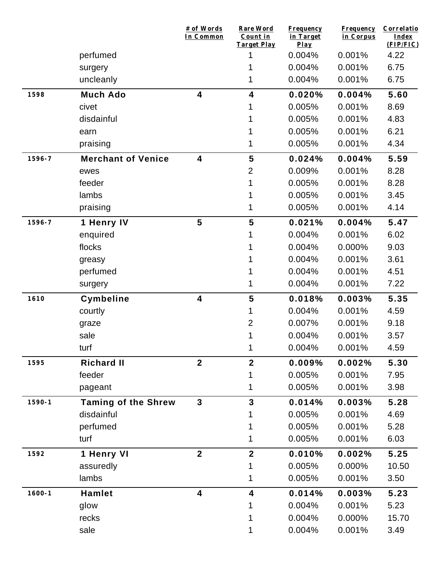|            |                            | # of Words<br>In Common | Rare Word<br>Count in<br><b>Target Play</b> | <b>Frequency</b><br>in Target<br>Play | <b>Frequency</b><br>in Corpus | Correlatio<br>Index<br>(FIP/FIC) |
|------------|----------------------------|-------------------------|---------------------------------------------|---------------------------------------|-------------------------------|----------------------------------|
|            | perfumed                   |                         | 1                                           | 0.004%                                | 0.001%                        | 4.22                             |
|            | surgery                    |                         | 1                                           | 0.004%                                | 0.001%                        | 6.75                             |
|            | uncleanly                  |                         | 1                                           | 0.004%                                | 0.001%                        | 6.75                             |
| 1598       | <b>Much Ado</b>            | $\overline{\mathbf{4}}$ | 4                                           | 0.020%                                | 0.004%                        | 5.60                             |
|            | civet                      |                         |                                             | 0.005%                                | 0.001%                        | 8.69                             |
|            | disdainful                 |                         |                                             | 0.005%                                | 0.001%                        | 4.83                             |
|            | earn                       |                         |                                             | 0.005%                                | 0.001%                        | 6.21                             |
|            | praising                   |                         | 1                                           | 0.005%                                | 0.001%                        | 4.34                             |
| 1596-7     | <b>Merchant of Venice</b>  | $\overline{\mathbf{4}}$ | 5                                           | 0.024%                                | 0.004%                        | 5.59                             |
|            | ewes                       |                         | $\overline{2}$                              | 0.009%                                | 0.001%                        | 8.28                             |
|            | feeder                     |                         |                                             | 0.005%                                | 0.001%                        | 8.28                             |
|            | lambs                      |                         |                                             | 0.005%                                | 0.001%                        | 3.45                             |
|            | praising                   |                         |                                             | 0.005%                                | 0.001%                        | 4.14                             |
| 1596-7     | 1 Henry IV                 | 5                       | 5                                           | 0.021%                                | 0.004%                        | 5.47                             |
|            | enquired                   |                         |                                             | 0.004%                                | 0.001%                        | 6.02                             |
|            | flocks                     |                         |                                             | 0.004%                                | 0.000%                        | 9.03                             |
|            | greasy                     |                         |                                             | 0.004%                                | 0.001%                        | 3.61                             |
|            | perfumed                   |                         |                                             | 0.004%                                | 0.001%                        | 4.51                             |
|            | surgery                    |                         | 1                                           | 0.004%                                | 0.001%                        | 7.22                             |
| 1610       | <b>Cymbeline</b>           | 4                       | 5                                           | 0.018%                                | 0.003%                        | 5.35                             |
|            | courtly                    |                         | 1                                           | 0.004%                                | 0.001%                        | 4.59                             |
|            | graze                      |                         | $\overline{2}$                              | 0.007%                                | 0.001%                        | 9.18                             |
|            | sale                       |                         |                                             | 0.004%                                | 0.001%                        | 3.57                             |
|            | turf                       |                         | 1                                           | 0.004%                                | 0.001%                        | 4.59                             |
| 1595       | <b>Richard II</b>          | $\overline{2}$          | $\overline{2}$                              | 0.009%                                | 0.002%                        | 5.30                             |
|            | feeder                     |                         | 1                                           | 0.005%                                | 0.001%                        | 7.95                             |
|            | pageant                    |                         | 1                                           | 0.005%                                | 0.001%                        | 3.98                             |
| $1590 - 1$ | <b>Taming of the Shrew</b> | $\mathbf{3}$            | 3                                           | 0.014%                                | 0.003%                        | 5.28                             |
|            | disdainful                 |                         | 1                                           | 0.005%                                | 0.001%                        | 4.69                             |
|            | perfumed                   |                         | 1                                           | 0.005%                                | 0.001%                        | 5.28                             |
|            | turf                       |                         | 1                                           | 0.005%                                | 0.001%                        | 6.03                             |
| 1592       | 1 Henry VI                 | $\mathbf{2}$            | $\overline{2}$                              | 0.010%                                | 0.002%                        | 5.25                             |
|            | assuredly                  |                         | 1                                           | 0.005%                                | 0.000%                        | 10.50                            |
|            | lambs                      |                         | 1                                           | 0.005%                                | 0.001%                        | 3.50                             |
| $1600 - 1$ | <b>Hamlet</b>              | 4                       | 4                                           | 0.014%                                | 0.003%                        | 5.23                             |
|            | glow                       |                         | 1                                           | 0.004%                                | 0.001%                        | 5.23                             |
|            | recks                      |                         | 1                                           | 0.004%                                | 0.000%                        | 15.70                            |
|            | sale                       |                         | 1                                           | 0.004%                                | 0.001%                        | 3.49                             |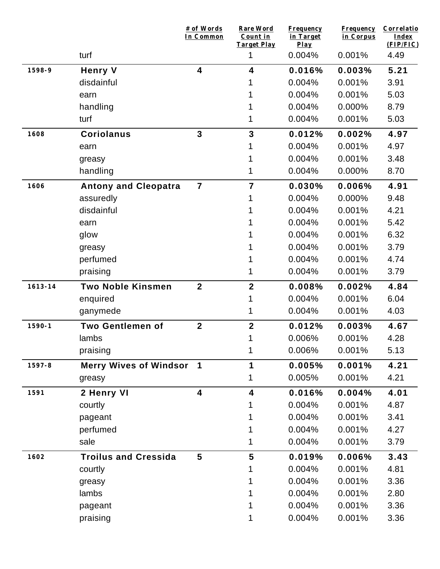|             |                               | # of Words<br>In Common | <b>Rare Word</b><br>Count in<br>Target Play | <b>Frequency</b><br>in Target<br>$Play$ | <b>Frequency</b><br>in Corpus | Correlatio<br><b>Index</b><br>(FIP/FIC) |
|-------------|-------------------------------|-------------------------|---------------------------------------------|-----------------------------------------|-------------------------------|-----------------------------------------|
|             | turf                          |                         | 1                                           | 0.004%                                  | 0.001%                        | 4.49                                    |
| 1598-9      | <b>Henry V</b>                | 4                       | 4                                           | 0.016%                                  | 0.003%                        | 5.21                                    |
|             | disdainful                    |                         |                                             | 0.004%                                  | 0.001%                        | 3.91                                    |
|             | earn                          |                         |                                             | 0.004%                                  | 0.001%                        | 5.03                                    |
|             | handling                      |                         |                                             | 0.004%                                  | 0.000%                        | 8.79                                    |
|             | turf                          |                         | 1                                           | 0.004%                                  | 0.001%                        | 5.03                                    |
| 1608        | <b>Coriolanus</b>             | $\mathbf{3}$            | 3                                           | 0.012%                                  | 0.002%                        | 4.97                                    |
|             | earn                          |                         | 1                                           | 0.004%                                  | 0.001%                        | 4.97                                    |
|             | greasy                        |                         |                                             | 0.004%                                  | 0.001%                        | 3.48                                    |
|             | handling                      |                         | 1                                           | 0.004%                                  | 0.000%                        | 8.70                                    |
| 1606        | <b>Antony and Cleopatra</b>   | $\overline{7}$          | $\overline{7}$                              | 0.030%                                  | 0.006%                        | 4.91                                    |
|             | assuredly                     |                         | 1                                           | 0.004%                                  | 0.000%                        | 9.48                                    |
|             | disdainful                    |                         |                                             | 0.004%                                  | 0.001%                        | 4.21                                    |
|             | earn                          |                         |                                             | 0.004%                                  | 0.001%                        | 5.42                                    |
|             | glow                          |                         |                                             | 0.004%                                  | 0.001%                        | 6.32                                    |
|             | greasy                        |                         |                                             | 0.004%                                  | 0.001%                        | 3.79                                    |
|             | perfumed                      |                         | 1                                           | 0.004%                                  | 0.001%                        | 4.74                                    |
|             | praising                      |                         | 1                                           | 0.004%                                  | 0.001%                        | 3.79                                    |
| $1613 - 14$ | <b>Two Noble Kinsmen</b>      | $\overline{2}$          | $\overline{\mathbf{2}}$                     | 0.008%                                  | 0.002%                        | 4.84                                    |
|             | enquired                      |                         | 1                                           | 0.004%                                  | 0.001%                        | 6.04                                    |
|             | ganymede                      |                         | 1                                           | 0.004%                                  | 0.001%                        | 4.03                                    |
| $1590 - 1$  | <b>Two Gentlemen of</b>       | $\mathbf{2}$            | $\overline{\mathbf{2}}$                     | 0.012%                                  | 0.003%                        | 4.67                                    |
|             | lambs                         |                         | 1                                           | 0.006%                                  | 0.001%                        | 4.28                                    |
|             | praising                      |                         | 1                                           | 0.006%                                  | 0.001%                        | 5.13                                    |
| 1597-8      | <b>Merry Wives of Windsor</b> | $\mathbf 1$             | 1                                           | 0.005%                                  | 0.001%                        | 4.21                                    |
|             | greasy                        |                         | 1                                           | 0.005%                                  | 0.001%                        | 4.21                                    |
| 1591        | 2 Henry VI                    | $\overline{\mathbf{4}}$ | 4                                           | 0.016%                                  | 0.004%                        | 4.01                                    |
|             | courtly                       |                         | 1                                           | 0.004%                                  | 0.001%                        | 4.87                                    |
|             | pageant                       |                         |                                             | 0.004%                                  | 0.001%                        | 3.41                                    |
|             | perfumed                      |                         |                                             | 0.004%                                  | 0.001%                        | 4.27                                    |
|             | sale                          |                         | 1                                           | 0.004%                                  | 0.001%                        | 3.79                                    |
| 1602        | <b>Troilus and Cressida</b>   | $5\phantom{.0}$         | 5                                           | 0.019%                                  | 0.006%                        | 3.43                                    |
|             | courtly                       |                         | 1                                           | 0.004%                                  | 0.001%                        | 4.81                                    |
|             | greasy                        |                         |                                             | 0.004%                                  | 0.001%                        | 3.36                                    |
|             | lambs                         |                         | 1                                           | 0.004%                                  | 0.001%                        | 2.80                                    |
|             | pageant                       |                         |                                             | 0.004%                                  | 0.001%                        | 3.36                                    |
|             | praising                      |                         | 1                                           | 0.004%                                  | 0.001%                        | 3.36                                    |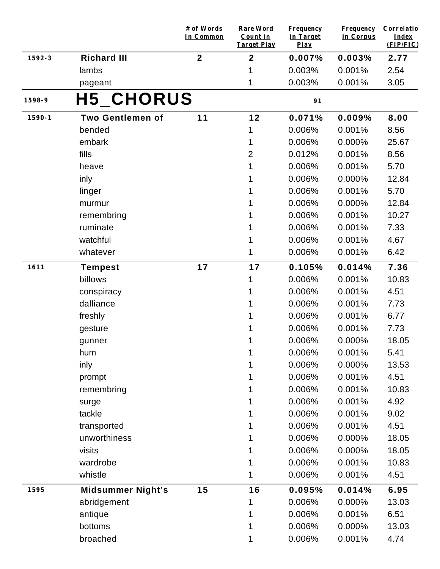|            |                          | # of Words<br>In Common | <b>Rare Word</b><br>Count in<br><b>Target Play</b> | <b>Frequency</b><br>in Target<br>$Play$ | <b>Frequency</b><br>in Corpus | Correlatio<br><b>Index</b><br>(FIP/FIC) |
|------------|--------------------------|-------------------------|----------------------------------------------------|-----------------------------------------|-------------------------------|-----------------------------------------|
| 1592-3     | <b>Richard III</b>       | $\mathbf{2}$            | $\mathbf{2}$                                       | 0.007%                                  | 0.003%                        | 2.77                                    |
|            | lambs                    |                         | 1                                                  | 0.003%                                  | 0.001%                        | 2.54                                    |
|            | pageant                  |                         | 1                                                  | 0.003%                                  | 0.001%                        | 3.05                                    |
| 1598-9     | <b>H5_CHORUS</b>         |                         |                                                    | 91                                      |                               |                                         |
| $1590 - 1$ | <b>Two Gentlemen of</b>  | 11                      | 12                                                 | 0.071%                                  | 0.009%                        | 8.00                                    |
|            | bended                   |                         | 1                                                  | 0.006%                                  | 0.001%                        | 8.56                                    |
|            | embark                   |                         | 1                                                  | 0.006%                                  | 0.000%                        | 25.67                                   |
|            | fills                    |                         | $\overline{2}$                                     | 0.012%                                  | 0.001%                        | 8.56                                    |
|            | heave                    |                         | 1                                                  | 0.006%                                  | 0.001%                        | 5.70                                    |
|            | inly                     |                         | 1                                                  | 0.006%                                  | 0.000%                        | 12.84                                   |
|            | linger                   |                         |                                                    | 0.006%                                  | 0.001%                        | 5.70                                    |
|            | murmur                   |                         |                                                    | 0.006%                                  | 0.000%                        | 12.84                                   |
|            | remembring               |                         |                                                    | 0.006%                                  | 0.001%                        | 10.27                                   |
|            | ruminate                 |                         |                                                    | 0.006%                                  | 0.001%                        | 7.33                                    |
|            | watchful                 |                         | 1                                                  | 0.006%                                  | 0.001%                        | 4.67                                    |
|            | whatever                 |                         | 1                                                  | 0.006%                                  | 0.001%                        | 6.42                                    |
| 1611       | <b>Tempest</b>           | 17                      | 17                                                 | 0.105%                                  | 0.014%                        | 7.36                                    |
|            | billows                  |                         | 1                                                  | 0.006%                                  | 0.001%                        | 10.83                                   |
|            | conspiracy               |                         | 1                                                  | 0.006%                                  | 0.001%                        | 4.51                                    |
|            | dalliance                |                         |                                                    | 0.006%                                  | 0.001%                        | 7.73                                    |
|            | freshly                  |                         | 1                                                  | 0.006%                                  | 0.001%                        | 6.77                                    |
|            | gesture                  |                         | 1                                                  | 0.006%                                  | 0.001%                        | 7.73                                    |
|            | gunner                   |                         | 1                                                  | 0.006%                                  | 0.000%                        | 18.05                                   |
|            | hum                      |                         | 1                                                  | 0.006%                                  | 0.001%                        | 5.41                                    |
|            | inly                     |                         | 1                                                  | 0.006%                                  | 0.000%                        | 13.53                                   |
|            | prompt                   |                         |                                                    | 0.006%                                  | 0.001%                        | 4.51                                    |
|            | remembring               |                         | 1                                                  | 0.006%                                  | 0.001%                        | 10.83                                   |
|            | surge                    |                         | 1                                                  | 0.006%                                  | 0.001%                        | 4.92                                    |
|            | tackle                   |                         | 1                                                  | 0.006%                                  | 0.001%                        | 9.02                                    |
|            | transported              |                         |                                                    | 0.006%                                  | 0.001%                        | 4.51                                    |
|            | unworthiness             |                         |                                                    | 0.006%                                  | 0.000%                        | 18.05                                   |
|            | visits                   |                         |                                                    | 0.006%                                  | 0.000%                        | 18.05                                   |
|            | wardrobe                 |                         |                                                    | 0.006%                                  | 0.001%                        | 10.83                                   |
|            | whistle                  |                         | 1                                                  | 0.006%                                  | 0.001%                        | 4.51                                    |
| 1595       | <b>Midsummer Night's</b> | 15                      | 16                                                 | 0.095%                                  | 0.014%                        | 6.95                                    |
|            | abridgement              |                         | 1                                                  | 0.006%                                  | 0.000%                        | 13.03                                   |
|            | antique                  |                         |                                                    | 0.006%                                  | 0.001%                        | 6.51                                    |
|            | bottoms                  |                         | 1                                                  | 0.006%                                  | 0.000%                        | 13.03                                   |
|            | broached                 |                         | 1                                                  | 0.006%                                  | 0.001%                        | 4.74                                    |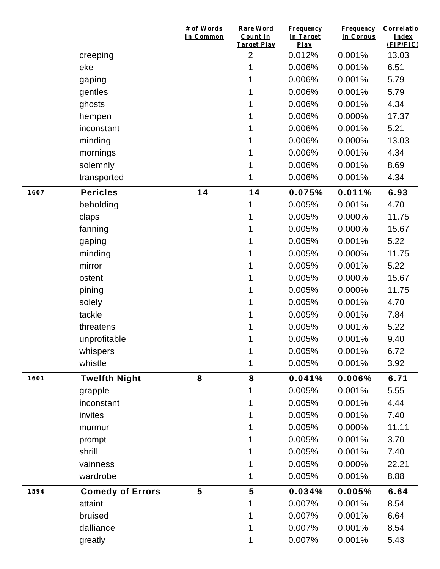|      |                         | # of Words<br>In Common | <b>Rare Word</b><br>Count in<br><b>Target Play</b> | <b>Frequency</b><br>in Target<br>Play | <b>Frequency</b><br>in Corpus | Correlatio<br>Index<br>(FIP/FIC) |
|------|-------------------------|-------------------------|----------------------------------------------------|---------------------------------------|-------------------------------|----------------------------------|
|      | creeping                |                         | $\overline{2}$                                     | 0.012%                                | 0.001%                        | 13.03                            |
|      | eke                     |                         | 1                                                  | 0.006%                                | 0.001%                        | 6.51                             |
|      | gaping                  |                         | 1                                                  | 0.006%                                | 0.001%                        | 5.79                             |
|      | gentles                 |                         | 1                                                  | 0.006%                                | 0.001%                        | 5.79                             |
|      | ghosts                  |                         | 1                                                  | 0.006%                                | 0.001%                        | 4.34                             |
|      | hempen                  |                         | 1                                                  | 0.006%                                | 0.000%                        | 17.37                            |
|      | inconstant              |                         | 1                                                  | 0.006%                                | 0.001%                        | 5.21                             |
|      | minding                 |                         | 1                                                  | 0.006%                                | 0.000%                        | 13.03                            |
|      | mornings                |                         | 1                                                  | 0.006%                                | 0.001%                        | 4.34                             |
|      | solemnly                |                         | 1                                                  | 0.006%                                | 0.001%                        | 8.69                             |
|      | transported             |                         | 1                                                  | 0.006%                                | 0.001%                        | 4.34                             |
| 1607 | <b>Pericles</b>         | 14                      | 14                                                 | 0.075%                                | 0.011%                        | 6.93                             |
|      | beholding               |                         | 1                                                  | 0.005%                                | 0.001%                        | 4.70                             |
|      | claps                   |                         | 1                                                  | 0.005%                                | 0.000%                        | 11.75                            |
|      | fanning                 |                         | 1                                                  | 0.005%                                | 0.000%                        | 15.67                            |
|      | gaping                  |                         | 1                                                  | 0.005%                                | 0.001%                        | 5.22                             |
|      | minding                 |                         | 1                                                  | 0.005%                                | 0.000%                        | 11.75                            |
|      | mirror                  |                         | 1                                                  | 0.005%                                | 0.001%                        | 5.22                             |
|      | ostent                  |                         |                                                    | 0.005%                                | 0.000%                        | 15.67                            |
|      | pining                  |                         | 1                                                  | 0.005%                                | 0.000%                        | 11.75                            |
|      | solely                  |                         | 1                                                  | 0.005%                                | 0.001%                        | 4.70                             |
|      | tackle                  |                         | 1                                                  | 0.005%                                | 0.001%                        | 7.84                             |
|      | threatens               |                         | 1                                                  | 0.005%                                | 0.001%                        | 5.22                             |
|      | unprofitable            |                         | 1                                                  | 0.005%                                | 0.001%                        | 9.40                             |
|      | whispers                |                         | 1                                                  | 0.005%                                | 0.001%                        | 6.72                             |
|      | whistle                 |                         | 1                                                  | 0.005%                                | 0.001%                        | 3.92                             |
| 1601 | <b>Twelfth Night</b>    | 8                       | 8                                                  | 0.041%                                | 0.006%                        | 6.71                             |
|      | grapple                 |                         | 1                                                  | 0.005%                                | 0.001%                        | 5.55                             |
|      | inconstant              |                         |                                                    | 0.005%                                | 0.001%                        | 4.44                             |
|      | invites                 |                         |                                                    | 0.005%                                | 0.001%                        | 7.40                             |
|      | murmur                  |                         |                                                    | 0.005%                                | 0.000%                        | 11.11                            |
|      | prompt                  |                         |                                                    | 0.005%                                | 0.001%                        | 3.70                             |
|      | shrill                  |                         |                                                    | 0.005%                                | 0.001%                        | 7.40                             |
|      | vainness                |                         |                                                    | 0.005%                                | 0.000%                        | 22.21                            |
|      | wardrobe                |                         | 1                                                  | 0.005%                                | 0.001%                        | 8.88                             |
| 1594 | <b>Comedy of Errors</b> | 5                       | 5                                                  | 0.034%                                | 0.005%                        | 6.64                             |
|      | attaint                 |                         | 1                                                  | 0.007%                                | 0.001%                        | 8.54                             |
|      | bruised                 |                         |                                                    | 0.007%                                | 0.001%                        | 6.64                             |
|      | dalliance               |                         |                                                    | 0.007%                                | 0.001%                        | 8.54                             |
|      | greatly                 |                         |                                                    | 0.007%                                | 0.001%                        | 5.43                             |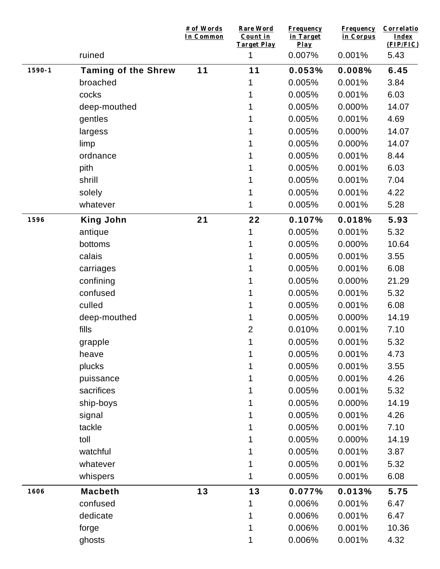|            |                            | # of Words<br>In Common | <b>Rare Word</b><br>Count in<br><b>Target Play</b> | <b>Frequency</b><br>in Target<br>Play | <b>Frequency</b><br>in Corpus | Correlatio<br><b>Index</b><br>(FIP/FIC) |
|------------|----------------------------|-------------------------|----------------------------------------------------|---------------------------------------|-------------------------------|-----------------------------------------|
|            | ruined                     |                         | 1                                                  | 0.007%                                | 0.001%                        | 5.43                                    |
| $1590 - 1$ | <b>Taming of the Shrew</b> | 11                      | 11                                                 | 0.053%                                | 0.008%                        | 6.45                                    |
|            | broached                   |                         |                                                    | 0.005%                                | 0.001%                        | 3.84                                    |
|            | cocks                      |                         |                                                    | 0.005%                                | 0.001%                        | 6.03                                    |
|            | deep-mouthed               |                         |                                                    | 0.005%                                | 0.000%                        | 14.07                                   |
|            | gentles                    |                         |                                                    | 0.005%                                | 0.001%                        | 4.69                                    |
|            | largess                    |                         |                                                    | 0.005%                                | 0.000%                        | 14.07                                   |
|            | limp                       |                         |                                                    | 0.005%                                | 0.000%                        | 14.07                                   |
|            | ordnance                   |                         |                                                    | 0.005%                                | 0.001%                        | 8.44                                    |
|            | pith                       |                         |                                                    | 0.005%                                | 0.001%                        | 6.03                                    |
|            | shrill                     |                         |                                                    | 0.005%                                | 0.001%                        | 7.04                                    |
|            | solely                     |                         |                                                    | 0.005%                                | 0.001%                        | 4.22                                    |
|            | whatever                   |                         | 1                                                  | 0.005%                                | 0.001%                        | 5.28                                    |
| 1596       | <b>King John</b>           | 21                      | 22                                                 | 0.107%                                | 0.018%                        | 5.93                                    |
|            | antique                    |                         | 1                                                  | 0.005%                                | 0.001%                        | 5.32                                    |
|            | bottoms                    |                         |                                                    | 0.005%                                | 0.000%                        | 10.64                                   |
|            | calais                     |                         | 1                                                  | 0.005%                                | 0.001%                        | 3.55                                    |
|            | carriages                  |                         |                                                    | 0.005%                                | 0.001%                        | 6.08                                    |
|            | confining                  |                         | 1                                                  | 0.005%                                | 0.000%                        | 21.29                                   |
|            | confused                   |                         | 1                                                  | 0.005%                                | 0.001%                        | 5.32                                    |
|            | culled                     |                         |                                                    | 0.005%                                | 0.001%                        | 6.08                                    |
|            | deep-mouthed               |                         | 1                                                  | 0.005%                                | 0.000%                        | 14.19                                   |
|            | fills                      |                         | $\overline{2}$                                     | 0.010%                                | 0.001%                        | 7.10                                    |
|            | grapple                    |                         | 1                                                  | 0.005%                                | 0.001%                        | 5.32                                    |
|            | heave                      |                         |                                                    | 0.005%                                | 0.001%                        | 4.73                                    |
|            | plucks                     |                         |                                                    | 0.005%                                | 0.001%                        | 3.55                                    |
|            | puissance                  |                         |                                                    | 0.005%                                | 0.001%                        | 4.26                                    |
|            | sacrifices                 |                         |                                                    | 0.005%                                | 0.001%                        | 5.32                                    |
|            | ship-boys                  |                         |                                                    | 0.005%                                | 0.000%                        | 14.19                                   |
|            | signal                     |                         |                                                    | 0.005%                                | 0.001%                        | 4.26                                    |
|            | tackle                     |                         |                                                    | 0.005%                                | 0.001%                        | 7.10                                    |
|            | toll                       |                         |                                                    | 0.005%                                | 0.000%                        | 14.19                                   |
|            | watchful                   |                         |                                                    | 0.005%                                | 0.001%                        | 3.87                                    |
|            | whatever                   |                         |                                                    | 0.005%                                | 0.001%                        | 5.32                                    |
|            | whispers                   |                         | 1                                                  | 0.005%                                | 0.001%                        | 6.08                                    |
| 1606       | <b>Macbeth</b>             | 13                      | 13                                                 | 0.077%                                | 0.013%                        | 5.75                                    |
|            | confused                   |                         |                                                    | 0.006%                                | 0.001%                        | 6.47                                    |
|            | dedicate                   |                         |                                                    | 0.006%                                | 0.001%                        | 6.47                                    |
|            | forge                      |                         | 1                                                  | 0.006%                                | 0.001%                        | 10.36                                   |
|            | ghosts                     |                         | 1                                                  | 0.006%                                | 0.001%                        | 4.32                                    |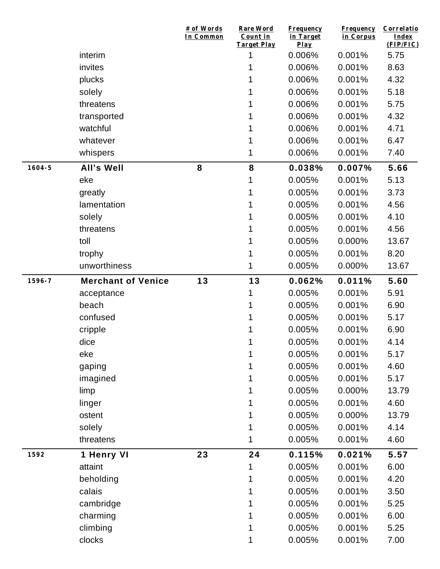|            |                           | # of Words<br>In Common | <b>Rare Word</b><br>Count in<br><b>Target Play</b> | <b>Frequency</b><br>in Target<br>Play | <b>Frequency</b><br>in Corpus | Correlatio<br>Index<br>(FIP/FIC) |
|------------|---------------------------|-------------------------|----------------------------------------------------|---------------------------------------|-------------------------------|----------------------------------|
|            | interim                   |                         | 1                                                  | 0.006%                                | 0.001%                        | 5.75                             |
|            | invites                   |                         | 1                                                  | 0.006%                                | 0.001%                        | 8.63                             |
|            | plucks                    |                         |                                                    | 0.006%                                | 0.001%                        | 4.32                             |
|            | solely                    |                         | 1                                                  | 0.006%                                | 0.001%                        | 5.18                             |
|            | threatens                 |                         |                                                    | 0.006%                                | 0.001%                        | 5.75                             |
|            | transported               |                         | 1                                                  | 0.006%                                | 0.001%                        | 4.32                             |
|            | watchful                  |                         | 1                                                  | 0.006%                                | 0.001%                        | 4.71                             |
|            | whatever                  |                         | 1                                                  | 0.006%                                | 0.001%                        | 6.47                             |
|            | whispers                  |                         | 1                                                  | 0.006%                                | 0.001%                        | 7.40                             |
| $1604 - 5$ | <b>All's Well</b>         | 8                       | 8                                                  | 0.038%                                | 0.007%                        | 5.66                             |
|            | eke                       |                         | 1                                                  | 0.005%                                | 0.001%                        | 5.13                             |
|            | greatly                   |                         | 1                                                  | 0.005%                                | 0.001%                        | 3.73                             |
|            | lamentation               |                         |                                                    | 0.005%                                | 0.001%                        | 4.56                             |
|            | solely                    |                         |                                                    | 0.005%                                | 0.001%                        | 4.10                             |
|            | threatens                 |                         | 1                                                  | 0.005%                                | 0.001%                        | 4.56                             |
|            | toll                      |                         | 1                                                  | 0.005%                                | 0.000%                        | 13.67                            |
|            | trophy                    |                         | 1                                                  | 0.005%                                | 0.001%                        | 8.20                             |
|            | unworthiness              |                         | 1                                                  | 0.005%                                | 0.000%                        | 13.67                            |
| 1596-7     | <b>Merchant of Venice</b> | 13                      | 13                                                 | 0.062%                                | 0.011%                        | 5.60                             |
|            | acceptance                |                         | 1                                                  | 0.005%                                | 0.001%                        | 5.91                             |
|            | beach                     |                         | 1                                                  | 0.005%                                | 0.001%                        | 6.90                             |
|            | confused                  |                         | 1                                                  | 0.005%                                | 0.001%                        | 5.17                             |
|            | cripple                   |                         |                                                    | 0.005%                                | 0.001%                        | 6.90                             |
|            | dice                      |                         | 1                                                  | 0.005%                                | 0.001%                        | 4.14                             |
|            | eke                       |                         | 1                                                  | 0.005%                                | 0.001%                        | 5.17                             |
|            | gaping                    |                         | 1                                                  | 0.005%                                | 0.001%                        | 4.60                             |
|            | imagined                  |                         | 1                                                  | 0.005%                                | 0.001%                        | 5.17                             |
|            | limp                      |                         | 1                                                  | 0.005%                                | 0.000%                        | 13.79                            |
|            | linger                    |                         |                                                    | 0.005%                                | 0.001%                        | 4.60                             |
|            | ostent                    |                         | 1                                                  | 0.005%                                | 0.000%                        | 13.79                            |
|            | solely                    |                         | 1                                                  | 0.005%                                | 0.001%                        | 4.14                             |
|            | threatens                 |                         | 1                                                  | 0.005%                                | 0.001%                        | 4.60                             |
| 1592       | 1 Henry VI                | 23                      | 24                                                 | 0.115%                                | 0.021%                        | 5.57                             |
|            | attaint                   |                         | 1                                                  | 0.005%                                | 0.001%                        | 6.00                             |
|            | beholding                 |                         | 1                                                  | 0.005%                                | 0.001%                        | 4.20                             |
|            | calais                    |                         | 1                                                  | 0.005%                                | 0.001%                        | 3.50                             |
|            | cambridge                 |                         | 1                                                  | 0.005%                                | 0.001%                        | 5.25                             |
|            | charming                  |                         |                                                    | 0.005%                                | 0.001%                        | 6.00                             |
|            | climbing                  |                         | 1                                                  | 0.005%                                | 0.001%                        | 5.25                             |
|            | clocks                    |                         | 1                                                  | 0.005%                                | 0.001%                        | 7.00                             |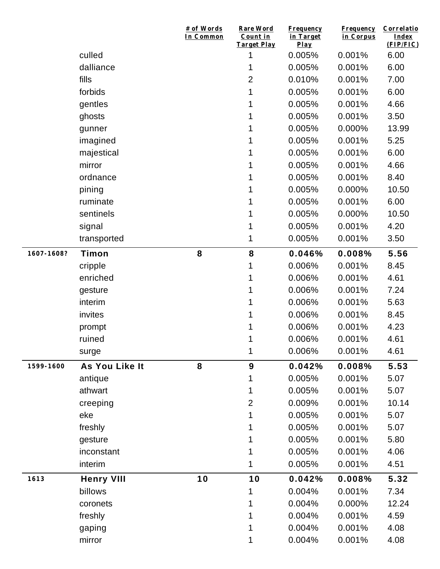|            |                   | # of Words<br>In Common | Rare Word<br>Count in<br>Target Play | <b>Frequency</b><br>in Target<br>Play | <b>Frequency</b><br>in Corpus | Correlatio<br>Index<br>(FIP/FIC) |
|------------|-------------------|-------------------------|--------------------------------------|---------------------------------------|-------------------------------|----------------------------------|
|            | culled            |                         | 1                                    | 0.005%                                | 0.001%                        | 6.00                             |
|            | dalliance         |                         | 1                                    | 0.005%                                | 0.001%                        | 6.00                             |
|            | fills             |                         | $\overline{2}$                       | 0.010%                                | 0.001%                        | 7.00                             |
|            | forbids           |                         | 1                                    | 0.005%                                | 0.001%                        | 6.00                             |
|            | gentles           |                         | 1                                    | 0.005%                                | 0.001%                        | 4.66                             |
|            | ghosts            |                         | 1                                    | 0.005%                                | 0.001%                        | 3.50                             |
|            | gunner            |                         | 1                                    | 0.005%                                | 0.000%                        | 13.99                            |
|            | imagined          |                         |                                      | 0.005%                                | 0.001%                        | 5.25                             |
|            | majestical        |                         | 1                                    | 0.005%                                | 0.001%                        | 6.00                             |
|            | mirror            |                         | 1                                    | 0.005%                                | 0.001%                        | 4.66                             |
|            | ordnance          |                         | 1                                    | 0.005%                                | 0.001%                        | 8.40                             |
|            | pining            |                         | 1                                    | 0.005%                                | 0.000%                        | 10.50                            |
|            | ruminate          |                         | 1                                    | 0.005%                                | 0.001%                        | 6.00                             |
|            | sentinels         |                         |                                      | 0.005%                                | 0.000%                        | 10.50                            |
|            | signal            |                         | 1                                    | 0.005%                                | 0.001%                        | 4.20                             |
|            | transported       |                         | 1                                    | 0.005%                                | 0.001%                        | 3.50                             |
| 1607-1608? | Timon             | 8                       | 8                                    | 0.046%                                | 0.008%                        | 5.56                             |
|            | cripple           |                         | 1                                    | 0.006%                                | 0.001%                        | 8.45                             |
|            | enriched          |                         | 1                                    | 0.006%                                | 0.001%                        | 4.61                             |
|            | gesture           |                         | 1                                    | 0.006%                                | 0.001%                        | 7.24                             |
|            | interim           |                         | 1                                    | 0.006%                                | 0.001%                        | 5.63                             |
|            | invites           |                         | 1                                    | 0.006%                                | 0.001%                        | 8.45                             |
|            | prompt            |                         |                                      | 0.006%                                | 0.001%                        | 4.23                             |
|            | ruined            |                         | 1                                    | 0.006%                                | 0.001%                        | 4.61                             |
|            | surge             |                         | 1                                    | 0.006%                                | 0.001%                        | 4.61                             |
| 1599-1600  | As You Like It    | 8                       | 9                                    | 0.042%                                | 0.008%                        | 5.53                             |
|            | antique           |                         | 1                                    | 0.005%                                | 0.001%                        | 5.07                             |
|            | athwart           |                         | 1                                    | 0.005%                                | 0.001%                        | 5.07                             |
|            | creeping          |                         | $\overline{2}$                       | 0.009%                                | 0.001%                        | 10.14                            |
|            | eke               |                         | 1                                    | 0.005%                                | 0.001%                        | 5.07                             |
|            | freshly           |                         | 1                                    | 0.005%                                | 0.001%                        | 5.07                             |
|            | gesture           |                         | 1                                    | 0.005%                                | 0.001%                        | 5.80                             |
|            | inconstant        |                         | 1                                    | 0.005%                                | 0.001%                        | 4.06                             |
|            | interim           |                         | 1                                    | 0.005%                                | 0.001%                        | 4.51                             |
| 1613       | <b>Henry VIII</b> | 10                      | 10                                   | 0.042%                                | 0.008%                        | 5.32                             |
|            | billows           |                         | 1                                    | 0.004%                                | 0.001%                        | 7.34                             |
|            | coronets          |                         | 1                                    | 0.004%                                | 0.000%                        | 12.24                            |
|            | freshly           |                         |                                      | 0.004%                                | 0.001%                        | 4.59                             |
|            | gaping            |                         | 1                                    | 0.004%                                | 0.001%                        | 4.08                             |
|            | mirror            |                         | 1                                    | 0.004%                                | 0.001%                        | 4.08                             |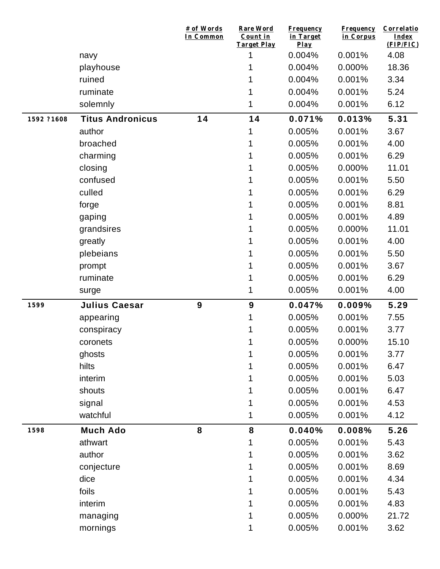|            |                         | # of Words<br>In Common | Rare Word<br>Count in<br><b>Target Play</b> | <b>Frequency</b><br>in Target<br>Play | <b>Frequency</b><br>in Corpus | Correlatio<br>Index<br>(FIP/FIC) |
|------------|-------------------------|-------------------------|---------------------------------------------|---------------------------------------|-------------------------------|----------------------------------|
|            | navy                    |                         | 1                                           | 0.004%                                | 0.001%                        | 4.08                             |
|            | playhouse               |                         | 1                                           | 0.004%                                | 0.000%                        | 18.36                            |
|            | ruined                  |                         |                                             | 0.004%                                | 0.001%                        | 3.34                             |
|            | ruminate                |                         | 1                                           | 0.004%                                | 0.001%                        | 5.24                             |
|            | solemnly                |                         | 1                                           | 0.004%                                | 0.001%                        | 6.12                             |
| 1592 ?1608 | <b>Titus Andronicus</b> | 14                      | 14                                          | 0.071%                                | 0.013%                        | 5.31                             |
|            | author                  |                         | 1                                           | 0.005%                                | 0.001%                        | 3.67                             |
|            | broached                |                         | 1                                           | 0.005%                                | 0.001%                        | 4.00                             |
|            | charming                |                         |                                             | 0.005%                                | 0.001%                        | 6.29                             |
|            | closing                 |                         | 1                                           | 0.005%                                | 0.000%                        | 11.01                            |
|            | confused                |                         |                                             | 0.005%                                | 0.001%                        | 5.50                             |
|            | culled                  |                         |                                             | 0.005%                                | 0.001%                        | 6.29                             |
|            | forge                   |                         |                                             | 0.005%                                | 0.001%                        | 8.81                             |
|            | gaping                  |                         |                                             | 0.005%                                | 0.001%                        | 4.89                             |
|            | grandsires              |                         |                                             | 0.005%                                | 0.000%                        | 11.01                            |
|            | greatly                 |                         |                                             | 0.005%                                | 0.001%                        | 4.00                             |
|            | plebeians               |                         |                                             | 0.005%                                | 0.001%                        | 5.50                             |
|            | prompt                  |                         |                                             | 0.005%                                | 0.001%                        | 3.67                             |
|            | ruminate                |                         |                                             | 0.005%                                | 0.001%                        | 6.29                             |
|            | surge                   |                         | 1                                           | 0.005%                                | 0.001%                        | 4.00                             |
| 1599       | <b>Julius Caesar</b>    | 9                       | $\boldsymbol{9}$                            | 0.047%                                | 0.009%                        | 5.29                             |
|            | appearing               |                         | 1                                           | 0.005%                                | 0.001%                        | 7.55                             |
|            | conspiracy              |                         |                                             | 0.005%                                | 0.001%                        | 3.77                             |
|            | coronets                |                         | 1                                           | 0.005%                                | 0.000%                        | 15.10                            |
|            | ghosts                  |                         | 1                                           | 0.005%                                | 0.001%                        | 3.77                             |
|            | hilts                   |                         | 1                                           | 0.005%                                | 0.001%                        | 6.47                             |
|            | interim                 |                         |                                             | 0.005%                                | 0.001%                        | 5.03                             |
|            | shouts                  |                         | 1                                           | 0.005%                                | 0.001%                        | 6.47                             |
|            | signal                  |                         | 1                                           | 0.005%                                | 0.001%                        | 4.53                             |
|            | watchful                |                         | 1                                           | 0.005%                                | 0.001%                        | 4.12                             |
| 1598       | <b>Much Ado</b>         | 8                       | 8                                           | 0.040%                                | 0.008%                        | 5.26                             |
|            | athwart                 |                         | 1                                           | 0.005%                                | 0.001%                        | 5.43                             |
|            | author                  |                         | 1                                           | 0.005%                                | 0.001%                        | 3.62                             |
|            | conjecture              |                         | 1                                           | 0.005%                                | 0.001%                        | 8.69                             |
|            | dice                    |                         |                                             | 0.005%                                | 0.001%                        | 4.34                             |
|            | foils                   |                         |                                             | 0.005%                                | 0.001%                        | 5.43                             |
|            | interim                 |                         |                                             | 0.005%                                | 0.001%                        | 4.83                             |
|            | managing                |                         |                                             | 0.005%                                | 0.000%                        | 21.72                            |
|            | mornings                |                         | 1                                           | 0.005%                                | 0.001%                        | 3.62                             |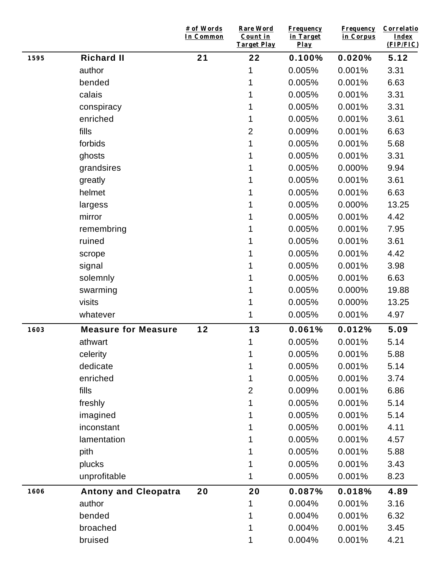|      |                             | # of Words<br>In Common | Rare Word<br>Count in<br><b>Target Play</b> | <b>Frequency</b><br>in Target<br>$Play$ | <b>Frequency</b><br>in Corpus | Correlatio<br><b>Index</b><br>(FIP/FIC) |
|------|-----------------------------|-------------------------|---------------------------------------------|-----------------------------------------|-------------------------------|-----------------------------------------|
| 1595 | <b>Richard II</b>           | 21                      | 22                                          | 0.100%                                  | 0.020%                        | 5.12                                    |
|      | author                      |                         | 1                                           | 0.005%                                  | 0.001%                        | 3.31                                    |
|      | bended                      |                         | 1                                           | 0.005%                                  | 0.001%                        | 6.63                                    |
|      | calais                      |                         | 1                                           | 0.005%                                  | 0.001%                        | 3.31                                    |
|      | conspiracy                  |                         |                                             | 0.005%                                  | 0.001%                        | 3.31                                    |
|      | enriched                    |                         | 1                                           | 0.005%                                  | 0.001%                        | 3.61                                    |
|      | fills                       |                         | $\overline{2}$                              | 0.009%                                  | 0.001%                        | 6.63                                    |
|      | forbids                     |                         | 1                                           | 0.005%                                  | 0.001%                        | 5.68                                    |
|      | ghosts                      |                         | 1                                           | 0.005%                                  | 0.001%                        | 3.31                                    |
|      | grandsires                  |                         | 1                                           | 0.005%                                  | 0.000%                        | 9.94                                    |
|      | greatly                     |                         | 1                                           | 0.005%                                  | 0.001%                        | 3.61                                    |
|      | helmet                      |                         | 1                                           | 0.005%                                  | 0.001%                        | 6.63                                    |
|      | largess                     |                         | 1                                           | 0.005%                                  | 0.000%                        | 13.25                                   |
|      | mirror                      |                         | 1                                           | 0.005%                                  | 0.001%                        | 4.42                                    |
|      | remembring                  |                         | 1                                           | 0.005%                                  | 0.001%                        | 7.95                                    |
|      | ruined                      |                         | 1                                           | 0.005%                                  | 0.001%                        | 3.61                                    |
|      | scrope                      |                         | 1                                           | 0.005%                                  | 0.001%                        | 4.42                                    |
|      | signal                      |                         | 1                                           | 0.005%                                  | 0.001%                        | 3.98                                    |
|      | solemnly                    |                         | 1                                           | 0.005%                                  | 0.001%                        | 6.63                                    |
|      | swarming                    |                         | 1                                           | 0.005%                                  | 0.000%                        | 19.88                                   |
|      | visits                      |                         | 1                                           | 0.005%                                  | 0.000%                        | 13.25                                   |
|      | whatever                    |                         | 1                                           | 0.005%                                  | 0.001%                        | 4.97                                    |
| 1603 | <b>Measure for Measure</b>  | 12                      | 13                                          | 0.061%                                  | 0.012%                        | 5.09                                    |
|      | athwart                     |                         | 1                                           | 0.005%                                  | 0.001%                        | 5.14                                    |
|      | celerity                    |                         | 1                                           | 0.005%                                  | 0.001%                        | 5.88                                    |
|      | dedicate                    |                         | 1                                           | 0.005%                                  | 0.001%                        | 5.14                                    |
|      | enriched                    |                         | 1                                           | 0.005%                                  | 0.001%                        | 3.74                                    |
|      | fills                       |                         | $\overline{2}$                              | 0.009%                                  | 0.001%                        | 6.86                                    |
|      | freshly                     |                         | 1                                           | 0.005%                                  | 0.001%                        | 5.14                                    |
|      | imagined                    |                         | 1                                           | 0.005%                                  | 0.001%                        | 5.14                                    |
|      | inconstant                  |                         | 1                                           | 0.005%                                  | 0.001%                        | 4.11                                    |
|      | lamentation                 |                         | 1                                           | 0.005%                                  | 0.001%                        | 4.57                                    |
|      | pith                        |                         | 1                                           | 0.005%                                  | 0.001%                        | 5.88                                    |
|      | plucks                      |                         | 1                                           | 0.005%                                  | 0.001%                        | 3.43                                    |
|      | unprofitable                |                         | 1                                           | 0.005%                                  | 0.001%                        | 8.23                                    |
| 1606 | <b>Antony and Cleopatra</b> | 20                      | 20                                          | 0.087%                                  | 0.018%                        | 4.89                                    |
|      | author                      |                         | 1                                           | 0.004%                                  | 0.001%                        | 3.16                                    |
|      | bended                      |                         | 1                                           | 0.004%                                  | 0.001%                        | 6.32                                    |
|      | broached                    |                         | 1                                           | 0.004%                                  | 0.001%                        | 3.45                                    |
|      | bruised                     |                         | 1                                           | 0.004%                                  | 0.001%                        | 4.21                                    |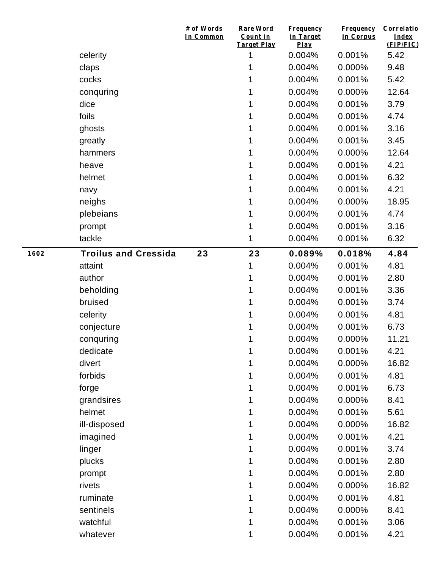|      |                             | # of Words<br>In Common | Rare Word<br>Count in<br><b>Target Play</b> | <b>Frequency</b><br>in Target<br>Play | <b>Frequency</b><br>in Corpus | Correlatio<br>Index<br>(FIP/FIC) |
|------|-----------------------------|-------------------------|---------------------------------------------|---------------------------------------|-------------------------------|----------------------------------|
|      | celerity                    |                         | 1                                           | 0.004%                                | 0.001%                        | 5.42                             |
|      | claps                       |                         | 1                                           | 0.004%                                | 0.000%                        | 9.48                             |
|      | cocks                       |                         | 1                                           | 0.004%                                | 0.001%                        | 5.42                             |
|      | conquring                   |                         | 1                                           | 0.004%                                | 0.000%                        | 12.64                            |
|      | dice                        |                         | 1                                           | 0.004%                                | 0.001%                        | 3.79                             |
|      | foils                       |                         | 1                                           | 0.004%                                | 0.001%                        | 4.74                             |
|      | ghosts                      |                         | 1                                           | 0.004%                                | 0.001%                        | 3.16                             |
|      | greatly                     |                         | 1                                           | 0.004%                                | 0.001%                        | 3.45                             |
|      | hammers                     |                         | 1                                           | 0.004%                                | 0.000%                        | 12.64                            |
|      | heave                       |                         | 1                                           | 0.004%                                | 0.001%                        | 4.21                             |
|      | helmet                      |                         | 1                                           | 0.004%                                | 0.001%                        | 6.32                             |
|      | navy                        |                         | 1                                           | 0.004%                                | 0.001%                        | 4.21                             |
|      | neighs                      |                         | 1                                           | 0.004%                                | 0.000%                        | 18.95                            |
|      | plebeians                   |                         | 1                                           | 0.004%                                | 0.001%                        | 4.74                             |
|      | prompt                      |                         | 1                                           | 0.004%                                | 0.001%                        | 3.16                             |
|      | tackle                      |                         | 1                                           | 0.004%                                | 0.001%                        | 6.32                             |
| 1602 | <b>Troilus and Cressida</b> | 23                      | 23                                          | 0.089%                                | 0.018%                        | 4.84                             |
|      | attaint                     |                         | 1                                           | 0.004%                                | 0.001%                        | 4.81                             |
|      | author                      |                         | 1                                           | 0.004%                                | 0.001%                        | 2.80                             |
|      | beholding                   |                         | 1                                           | 0.004%                                | 0.001%                        | 3.36                             |
|      | bruised                     |                         | 1                                           | 0.004%                                | 0.001%                        | 3.74                             |
|      | celerity                    |                         | 1                                           | 0.004%                                | 0.001%                        | 4.81                             |
|      | conjecture                  |                         | 1                                           | 0.004%                                | 0.001%                        | 6.73                             |
|      | conquring                   |                         | 1                                           | 0.004%                                | 0.000%                        | 11.21                            |
|      | dedicate                    |                         | 1                                           | 0.004%                                | 0.001%                        | 4.21                             |
|      | divert                      |                         |                                             | 0.004%                                | 0.000%                        | 16.82                            |
|      | forbids                     |                         | 1                                           | 0.004%                                | 0.001%                        | 4.81                             |
|      | forge                       |                         | 1                                           | 0.004%                                | 0.001%                        | 6.73                             |
|      | grandsires                  |                         | 1                                           | 0.004%                                | 0.000%                        | 8.41                             |
|      | helmet                      |                         | 1                                           | 0.004%                                | 0.001%                        | 5.61                             |
|      | ill-disposed                |                         | 1                                           | 0.004%                                | 0.000%                        | 16.82                            |
|      | imagined                    |                         | 1                                           | 0.004%                                | 0.001%                        | 4.21                             |
|      | linger                      |                         | 1                                           | 0.004%                                | 0.001%                        | 3.74                             |
|      | plucks                      |                         | 1                                           | 0.004%                                | 0.001%                        | 2.80                             |
|      | prompt                      |                         | 1                                           | 0.004%                                | 0.001%                        | 2.80                             |
|      | rivets                      |                         | 1                                           | 0.004%                                | 0.000%                        | 16.82                            |
|      | ruminate                    |                         | 1                                           | 0.004%                                | 0.001%                        | 4.81                             |
|      | sentinels                   |                         | 1                                           | 0.004%                                | 0.000%                        | 8.41                             |
|      | watchful                    |                         | 1                                           | 0.004%                                | 0.001%                        | 3.06                             |
|      | whatever                    |                         | 1                                           | 0.004%                                | 0.001%                        | 4.21                             |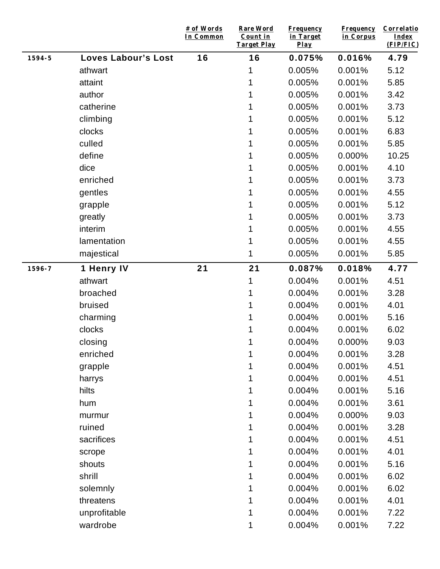|        |                            | # of Words<br>In Common | <b>Rare Word</b><br>Count in<br><b>Target Play</b> | <b>Frequency</b><br>in Target<br>Play | <b>Frequency</b><br>in Corpus | Correlatio<br><b>Index</b><br>(FIP/FIC) |
|--------|----------------------------|-------------------------|----------------------------------------------------|---------------------------------------|-------------------------------|-----------------------------------------|
| 1594-5 | <b>Loves Labour's Lost</b> | 16                      | 16                                                 | 0.075%                                | 0.016%                        | 4.79                                    |
|        | athwart                    |                         | 1                                                  | 0.005%                                | 0.001%                        | 5.12                                    |
|        | attaint                    |                         | 1                                                  | 0.005%                                | 0.001%                        | 5.85                                    |
|        | author                     |                         | 1                                                  | 0.005%                                | 0.001%                        | 3.42                                    |
|        | catherine                  |                         | 1                                                  | 0.005%                                | 0.001%                        | 3.73                                    |
|        | climbing                   |                         | 1                                                  | 0.005%                                | 0.001%                        | 5.12                                    |
|        | clocks                     |                         | 1                                                  | 0.005%                                | 0.001%                        | 6.83                                    |
|        | culled                     |                         | 1                                                  | 0.005%                                | 0.001%                        | 5.85                                    |
|        | define                     |                         | 1                                                  | 0.005%                                | 0.000%                        | 10.25                                   |
|        | dice                       |                         |                                                    | 0.005%                                | 0.001%                        | 4.10                                    |
|        | enriched                   |                         | 1                                                  | 0.005%                                | 0.001%                        | 3.73                                    |
|        | gentles                    |                         | 1                                                  | 0.005%                                | 0.001%                        | 4.55                                    |
|        | grapple                    |                         | 1                                                  | 0.005%                                | 0.001%                        | 5.12                                    |
|        | greatly                    |                         | 1                                                  | 0.005%                                | 0.001%                        | 3.73                                    |
|        | interim                    |                         | 1                                                  | 0.005%                                | 0.001%                        | 4.55                                    |
|        | lamentation                |                         | 1                                                  | 0.005%                                | 0.001%                        | 4.55                                    |
|        | majestical                 |                         | 1                                                  | 0.005%                                | 0.001%                        | 5.85                                    |
| 1596-7 | 1 Henry IV                 | 21                      | 21                                                 | 0.087%                                | 0.018%                        | 4.77                                    |
|        | athwart                    |                         | 1                                                  | 0.004%                                | 0.001%                        | 4.51                                    |
|        | broached                   |                         | 1                                                  | 0.004%                                | 0.001%                        | 3.28                                    |
|        | bruised                    |                         | 1                                                  | 0.004%                                | 0.001%                        | 4.01                                    |
|        | charming                   |                         | 1                                                  | 0.004%                                | 0.001%                        | 5.16                                    |
|        | clocks                     |                         | 1                                                  | 0.004%                                | 0.001%                        | 6.02                                    |
|        | closing                    |                         | 1                                                  | 0.004%                                | 0.000%                        | 9.03                                    |
|        | enriched                   |                         | 1                                                  | 0.004%                                | 0.001%                        | 3.28                                    |
|        | grapple                    |                         | 1                                                  | 0.004%                                | 0.001%                        | 4.51                                    |
|        | harrys                     |                         | 1                                                  | 0.004%                                | 0.001%                        | 4.51                                    |
|        | hilts                      |                         | 1                                                  | 0.004%                                | 0.001%                        | 5.16                                    |
|        | hum                        |                         | 1                                                  | 0.004%                                | 0.001%                        | 3.61                                    |
|        | murmur                     |                         | 1                                                  | 0.004%                                | 0.000%                        | 9.03                                    |
|        | ruined                     |                         | 1                                                  | 0.004%                                | 0.001%                        | 3.28                                    |
|        | sacrifices                 |                         |                                                    | 0.004%                                | 0.001%                        | 4.51                                    |
|        | scrope                     |                         | 1                                                  | 0.004%                                | 0.001%                        | 4.01                                    |
|        | shouts                     |                         | 1                                                  | 0.004%                                | 0.001%                        | 5.16                                    |
|        | shrill                     |                         | 1                                                  | 0.004%                                | 0.001%                        | 6.02                                    |
|        | solemnly                   |                         | 1                                                  | 0.004%                                | 0.001%                        | 6.02                                    |
|        | threatens                  |                         | 1                                                  | 0.004%                                | 0.001%                        | 4.01                                    |
|        | unprofitable               |                         | 1                                                  | 0.004%                                | 0.001%                        | 7.22                                    |
|        | wardrobe                   |                         | 1                                                  | 0.004%                                | 0.001%                        | 7.22                                    |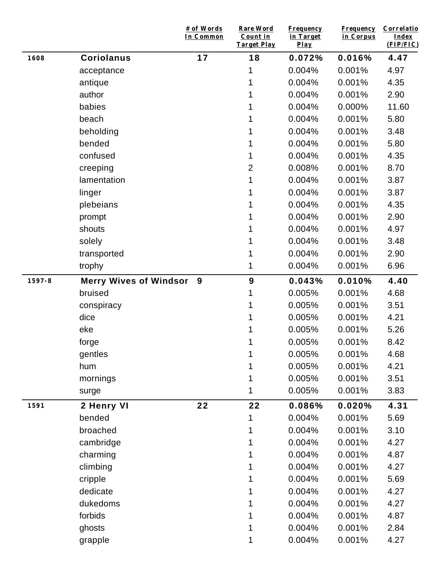|        |                               | # of Words<br>In Common | Rare Word<br>Count in<br>Target Play | <b>Frequency</b><br>in Target<br>Play | <b>Frequency</b><br>in Corpus | Correlatio<br><b>Index</b><br>(FIP/FIC) |
|--------|-------------------------------|-------------------------|--------------------------------------|---------------------------------------|-------------------------------|-----------------------------------------|
| 1608   | <b>Coriolanus</b>             | 17                      | 18                                   | 0.072%                                | 0.016%                        | 4.47                                    |
|        | acceptance                    |                         | 1                                    | 0.004%                                | 0.001%                        | 4.97                                    |
|        | antique                       |                         |                                      | 0.004%                                | 0.001%                        | 4.35                                    |
|        | author                        |                         |                                      | 0.004%                                | 0.001%                        | 2.90                                    |
|        | babies                        |                         |                                      | 0.004%                                | 0.000%                        | 11.60                                   |
|        | beach                         |                         | 1                                    | 0.004%                                | 0.001%                        | 5.80                                    |
|        | beholding                     |                         |                                      | 0.004%                                | 0.001%                        | 3.48                                    |
|        | bended                        |                         |                                      | 0.004%                                | 0.001%                        | 5.80                                    |
|        | confused                      |                         | 1                                    | 0.004%                                | 0.001%                        | 4.35                                    |
|        | creeping                      |                         | $\overline{2}$                       | 0.008%                                | 0.001%                        | 8.70                                    |
|        | lamentation                   |                         | 1                                    | 0.004%                                | 0.001%                        | 3.87                                    |
|        | linger                        |                         |                                      | 0.004%                                | 0.001%                        | 3.87                                    |
|        | plebeians                     |                         | 1                                    | 0.004%                                | 0.001%                        | 4.35                                    |
|        | prompt                        |                         |                                      | 0.004%                                | 0.001%                        | 2.90                                    |
|        | shouts                        |                         |                                      | 0.004%                                | 0.001%                        | 4.97                                    |
|        | solely                        |                         |                                      | 0.004%                                | 0.001%                        | 3.48                                    |
|        | transported                   |                         |                                      | 0.004%                                | 0.001%                        | 2.90                                    |
|        | trophy                        |                         | 1                                    | 0.004%                                | 0.001%                        | 6.96                                    |
| 1597-8 | <b>Merry Wives of Windsor</b> | 9                       | 9                                    | 0.043%                                | 0.010%                        | 4.40                                    |
|        | bruised                       |                         | 1                                    | 0.005%                                | 0.001%                        | 4.68                                    |
|        | conspiracy                    |                         |                                      | 0.005%                                | 0.001%                        | 3.51                                    |
|        | dice                          |                         | 1                                    | 0.005%                                | 0.001%                        | 4.21                                    |
|        | eke                           |                         | 1                                    | 0.005%                                | 0.001%                        | 5.26                                    |
|        | forge                         |                         | 1                                    | 0.005%                                | 0.001%                        | 8.42                                    |
|        | gentles                       |                         | 1                                    | 0.005%                                | 0.001%                        | 4.68                                    |
|        | hum                           |                         |                                      | 0.005%                                | 0.001%                        | 4.21                                    |
|        | mornings                      |                         |                                      | 0.005%                                | 0.001%                        | 3.51                                    |
|        | surge                         |                         | 1                                    | 0.005%                                | 0.001%                        | 3.83                                    |
| 1591   | 2 Henry VI                    | 22                      | 22                                   | 0.086%                                | 0.020%                        | 4.31                                    |
|        | bended                        |                         |                                      | 0.004%                                | 0.001%                        | 5.69                                    |
|        | broached                      |                         |                                      | 0.004%                                | 0.001%                        | 3.10                                    |
|        | cambridge                     |                         |                                      | 0.004%                                | 0.001%                        | 4.27                                    |
|        | charming                      |                         |                                      | 0.004%                                | 0.001%                        | 4.87                                    |
|        | climbing                      |                         |                                      | 0.004%                                | 0.001%                        | 4.27                                    |
|        | cripple                       |                         |                                      | 0.004%                                | 0.001%                        | 5.69                                    |
|        | dedicate                      |                         |                                      | 0.004%                                | 0.001%                        | 4.27                                    |
|        | dukedoms                      |                         |                                      | 0.004%                                | 0.001%                        | 4.27                                    |
|        | forbids                       |                         |                                      | 0.004%                                | 0.001%                        | 4.87                                    |
|        | ghosts                        |                         | 1                                    | 0.004%                                | 0.001%                        | 2.84                                    |
|        | grapple                       |                         |                                      | 0.004%                                | 0.001%                        | 4.27                                    |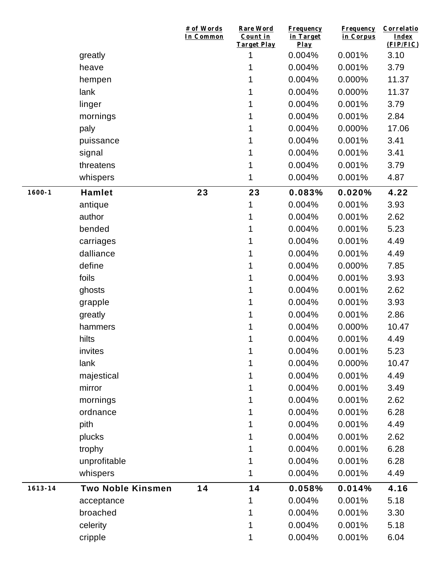|             |                          | # of Words<br>In Common | <b>Rare Word</b><br>Count in<br><b>Target Play</b> | <b>Frequency</b><br>in Target<br>Play | <b>Frequency</b><br>in Corpus | Correlatio<br>Index<br>(FIP/FIC) |
|-------------|--------------------------|-------------------------|----------------------------------------------------|---------------------------------------|-------------------------------|----------------------------------|
|             | greatly                  |                         | 1                                                  | 0.004%                                | 0.001%                        | 3.10                             |
|             | heave                    |                         | 1                                                  | 0.004%                                | 0.001%                        | 3.79                             |
|             | hempen                   |                         | 1                                                  | 0.004%                                | 0.000%                        | 11.37                            |
|             | lank                     |                         | 1                                                  | 0.004%                                | 0.000%                        | 11.37                            |
|             | linger                   |                         | 1                                                  | 0.004%                                | 0.001%                        | 3.79                             |
|             | mornings                 |                         | 1                                                  | 0.004%                                | 0.001%                        | 2.84                             |
|             | paly                     |                         | 1                                                  | 0.004%                                | 0.000%                        | 17.06                            |
|             | puissance                |                         |                                                    | 0.004%                                | 0.001%                        | 3.41                             |
|             | signal                   |                         | 1                                                  | 0.004%                                | 0.001%                        | 3.41                             |
|             | threatens                |                         | 1                                                  | 0.004%                                | 0.001%                        | 3.79                             |
|             | whispers                 |                         | 1                                                  | 0.004%                                | 0.001%                        | 4.87                             |
| $1600 - 1$  | <b>Hamlet</b>            | 23                      | 23                                                 | 0.083%                                | 0.020%                        | 4.22                             |
|             | antique                  |                         | 1                                                  | 0.004%                                | 0.001%                        | 3.93                             |
|             | author                   |                         | 1                                                  | 0.004%                                | 0.001%                        | 2.62                             |
|             | bended                   |                         | 1                                                  | 0.004%                                | 0.001%                        | 5.23                             |
|             | carriages                |                         | 1                                                  | 0.004%                                | 0.001%                        | 4.49                             |
|             | dalliance                |                         | 1                                                  | 0.004%                                | 0.001%                        | 4.49                             |
|             | define                   |                         | 1                                                  | 0.004%                                | 0.000%                        | 7.85                             |
|             | foils                    |                         | 1                                                  | 0.004%                                | 0.001%                        | 3.93                             |
|             | ghosts                   |                         | 1                                                  | 0.004%                                | 0.001%                        | 2.62                             |
|             | grapple                  |                         | 1                                                  | 0.004%                                | 0.001%                        | 3.93                             |
|             | greatly                  |                         | 1                                                  | 0.004%                                | 0.001%                        | 2.86                             |
|             | hammers                  |                         | 1                                                  | 0.004%                                | 0.000%                        | 10.47                            |
|             | hilts                    |                         | 1                                                  | 0.004%                                | 0.001%                        | 4.49                             |
|             | invites                  |                         | 1                                                  | 0.004%                                | 0.001%                        | 5.23                             |
|             | lank                     |                         | 1                                                  | 0.004%                                | 0.000%                        | 10.47                            |
|             | majestical               |                         |                                                    | 0.004%                                | 0.001%                        | 4.49                             |
|             | mirror                   |                         |                                                    | 0.004%                                | 0.001%                        | 3.49                             |
|             | mornings                 |                         | 1                                                  | 0.004%                                | 0.001%                        | 2.62                             |
|             | ordnance                 |                         |                                                    | 0.004%                                | 0.001%                        | 6.28                             |
|             | pith                     |                         | 1                                                  | 0.004%                                | 0.001%                        | 4.49                             |
|             | plucks                   |                         |                                                    | 0.004%                                | 0.001%                        | 2.62                             |
|             | trophy                   |                         | 1                                                  | 0.004%                                | 0.001%                        | 6.28                             |
|             | unprofitable             |                         | 1                                                  | 0.004%                                | 0.001%                        | 6.28                             |
|             | whispers                 |                         | 1                                                  | 0.004%                                | 0.001%                        | 4.49                             |
| $1613 - 14$ | <b>Two Noble Kinsmen</b> | 14                      | 14                                                 | 0.058%                                | 0.014%                        | 4.16                             |
|             | acceptance               |                         | 1                                                  | 0.004%                                | 0.001%                        | 5.18                             |
|             | broached                 |                         |                                                    | 0.004%                                | 0.001%                        | 3.30                             |
|             | celerity                 |                         | 1                                                  | 0.004%                                | 0.001%                        | 5.18                             |
|             | cripple                  |                         | 1                                                  | 0.004%                                | 0.001%                        | 6.04                             |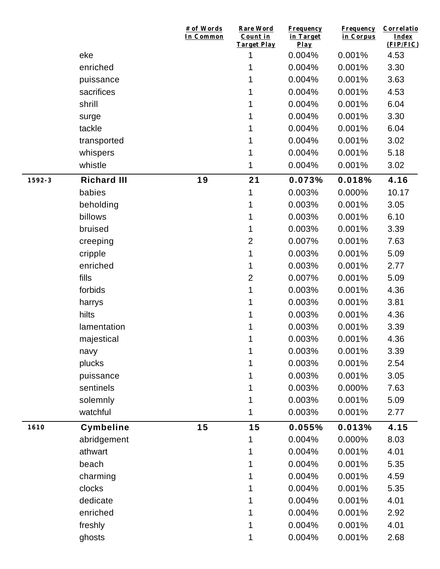|        |                    | # of Words<br>In Common | Rare Word<br>Count in<br><b>Target Play</b> | <b>Frequency</b><br>in Target<br>Play | <b>Frequency</b><br>in Corpus | Correlatio<br>Index<br>(FIP/FIC) |
|--------|--------------------|-------------------------|---------------------------------------------|---------------------------------------|-------------------------------|----------------------------------|
|        | eke                |                         | 1                                           | 0.004%                                | 0.001%                        | 4.53                             |
|        | enriched           |                         | 1                                           | 0.004%                                | 0.001%                        | 3.30                             |
|        | puissance          |                         | 1                                           | 0.004%                                | 0.001%                        | 3.63                             |
|        | sacrifices         |                         | 1                                           | 0.004%                                | 0.001%                        | 4.53                             |
|        | shrill             |                         | 1                                           | 0.004%                                | 0.001%                        | 6.04                             |
|        | surge              |                         | 1                                           | 0.004%                                | 0.001%                        | 3.30                             |
|        | tackle             |                         | 1                                           | 0.004%                                | 0.001%                        | 6.04                             |
|        | transported        |                         | 1                                           | 0.004%                                | 0.001%                        | 3.02                             |
|        | whispers           |                         | 1                                           | 0.004%                                | 0.001%                        | 5.18                             |
|        | whistle            |                         | 1                                           | 0.004%                                | 0.001%                        | 3.02                             |
| 1592-3 | <b>Richard III</b> | 19                      | 21                                          | 0.073%                                | 0.018%                        | 4.16                             |
|        | babies             |                         | 1                                           | 0.003%                                | 0.000%                        | 10.17                            |
|        | beholding          |                         | 1                                           | 0.003%                                | 0.001%                        | 3.05                             |
|        | billows            |                         | 1                                           | 0.003%                                | 0.001%                        | 6.10                             |
|        | bruised            |                         | 1                                           | 0.003%                                | 0.001%                        | 3.39                             |
|        | creeping           |                         | $\overline{2}$                              | 0.007%                                | 0.001%                        | 7.63                             |
|        | cripple            |                         | 1                                           | 0.003%                                | 0.001%                        | 5.09                             |
|        | enriched           |                         | 1                                           | 0.003%                                | 0.001%                        | 2.77                             |
|        | fills              |                         | $\overline{2}$                              | 0.007%                                | 0.001%                        | 5.09                             |
|        | forbids            |                         | 1                                           | 0.003%                                | 0.001%                        | 4.36                             |
|        | harrys             |                         | 1                                           | 0.003%                                | 0.001%                        | 3.81                             |
|        | hilts              |                         | 1                                           | 0.003%                                | 0.001%                        | 4.36                             |
|        | lamentation        |                         | 1                                           | 0.003%                                | 0.001%                        | 3.39                             |
|        | majestical         |                         | 1                                           | 0.003%                                | 0.001%                        | 4.36                             |
|        | navy               |                         | 1                                           | 0.003%                                | 0.001%                        | 3.39                             |
|        | plucks             |                         |                                             | 0.003%                                | 0.001%                        | 2.54                             |
|        | puissance          |                         |                                             | 0.003%                                | 0.001%                        | 3.05                             |
|        | sentinels          |                         |                                             | 0.003%                                | 0.000%                        | 7.63                             |
|        | solemnly           |                         | 1                                           | 0.003%                                | 0.001%                        | 5.09                             |
|        | watchful           |                         | 1                                           | 0.003%                                | 0.001%                        | 2.77                             |
| 1610   | <b>Cymbeline</b>   | 15                      | 15                                          | 0.055%                                | 0.013%                        | 4.15                             |
|        | abridgement        |                         | 1                                           | 0.004%                                | 0.000%                        | 8.03                             |
|        | athwart            |                         |                                             | 0.004%                                | 0.001%                        | 4.01                             |
|        | beach              |                         | 1                                           | 0.004%                                | 0.001%                        | 5.35                             |
|        | charming           |                         | 1                                           | 0.004%                                | 0.001%                        | 4.59                             |
|        | clocks             |                         |                                             | 0.004%                                | 0.001%                        | 5.35                             |
|        | dedicate           |                         | 1                                           | 0.004%                                | 0.001%                        | 4.01                             |
|        | enriched           |                         |                                             | 0.004%                                | 0.001%                        | 2.92                             |
|        | freshly            |                         | 1                                           | 0.004%                                | 0.001%                        | 4.01                             |
|        | ghosts             |                         | 1                                           | 0.004%                                | 0.001%                        | 2.68                             |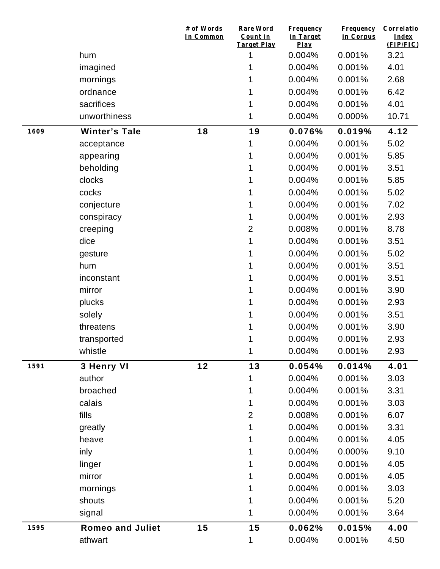|      |                         | # of Words<br>In Common | Rare Word<br>Count in<br>Target Play | <b>Frequency</b><br>in Target<br>Play | <b>Frequency</b><br>in Corpus | Correlatio<br>Index<br>(FIP/FIC) |
|------|-------------------------|-------------------------|--------------------------------------|---------------------------------------|-------------------------------|----------------------------------|
|      | hum                     |                         | 1                                    | 0.004%                                | 0.001%                        | 3.21                             |
|      | imagined                |                         | 1                                    | 0.004%                                | 0.001%                        | 4.01                             |
|      | mornings                |                         |                                      | 0.004%                                | 0.001%                        | 2.68                             |
|      | ordnance                |                         | 1                                    | 0.004%                                | 0.001%                        | 6.42                             |
|      | sacrifices              |                         | 1                                    | 0.004%                                | 0.001%                        | 4.01                             |
|      | unworthiness            |                         | 1                                    | 0.004%                                | 0.000%                        | 10.71                            |
| 1609 | <b>Winter's Tale</b>    | 18                      | 19                                   | 0.076%                                | 0.019%                        | 4.12                             |
|      | acceptance              |                         | 1                                    | 0.004%                                | 0.001%                        | 5.02                             |
|      | appearing               |                         | 1                                    | 0.004%                                | 0.001%                        | 5.85                             |
|      | beholding               |                         | 1                                    | 0.004%                                | 0.001%                        | 3.51                             |
|      | clocks                  |                         | 1                                    | 0.004%                                | 0.001%                        | 5.85                             |
|      | cocks                   |                         | 1                                    | 0.004%                                | 0.001%                        | 5.02                             |
|      | conjecture              |                         | 1                                    | 0.004%                                | 0.001%                        | 7.02                             |
|      | conspiracy              |                         | 1                                    | 0.004%                                | 0.001%                        | 2.93                             |
|      | creeping                |                         | $\overline{2}$                       | 0.008%                                | 0.001%                        | 8.78                             |
|      | dice                    |                         | 1                                    | 0.004%                                | 0.001%                        | 3.51                             |
|      | gesture                 |                         | 1                                    | 0.004%                                | 0.001%                        | 5.02                             |
|      | hum                     |                         | 1                                    | 0.004%                                | 0.001%                        | 3.51                             |
|      | inconstant              |                         | 1                                    | 0.004%                                | 0.001%                        | 3.51                             |
|      | mirror                  |                         | 1                                    | 0.004%                                | 0.001%                        | 3.90                             |
|      | plucks                  |                         | 1                                    | 0.004%                                | 0.001%                        | 2.93                             |
|      | solely                  |                         | 1                                    | 0.004%                                | 0.001%                        | 3.51                             |
|      | threatens               |                         | 1                                    | 0.004%                                | 0.001%                        | 3.90                             |
|      | transported             |                         | 1                                    | 0.004%                                | 0.001%                        | 2.93                             |
|      | whistle                 |                         | 1                                    | 0.004%                                | 0.001%                        | 2.93                             |
| 1591 | 3 Henry VI              | $12$                    | 13                                   | 0.054%                                | 0.014%                        | 4.01                             |
|      | author                  |                         | 1                                    | 0.004%                                | 0.001%                        | 3.03                             |
|      | broached                |                         | 1                                    | 0.004%                                | 0.001%                        | 3.31                             |
|      | calais                  |                         | 1                                    | 0.004%                                | 0.001%                        | 3.03                             |
|      | fills                   |                         | $\overline{2}$                       | 0.008%                                | 0.001%                        | 6.07                             |
|      | greatly                 |                         | 1                                    | 0.004%                                | 0.001%                        | 3.31                             |
|      | heave                   |                         | 1                                    | 0.004%                                | 0.001%                        | 4.05                             |
|      | inly                    |                         | 1                                    | 0.004%                                | 0.000%                        | 9.10                             |
|      | linger                  |                         | 1                                    | 0.004%                                | 0.001%                        | 4.05                             |
|      | mirror                  |                         | 1                                    | 0.004%                                | 0.001%                        | 4.05                             |
|      | mornings                |                         | 1                                    | 0.004%                                | 0.001%                        | 3.03                             |
|      | shouts                  |                         | 1                                    | 0.004%                                | 0.001%                        | 5.20                             |
|      | signal                  |                         | 1                                    | 0.004%                                | 0.001%                        | 3.64                             |
| 1595 | <b>Romeo and Juliet</b> | 15                      | 15                                   | 0.062%                                | 0.015%                        | 4.00                             |
|      | athwart                 |                         | 1                                    | 0.004%                                | 0.001%                        | 4.50                             |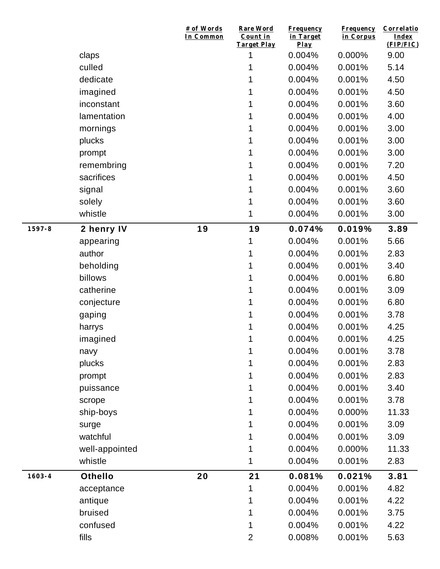|            |                | # of Words<br>In Common | <b>Rare Word</b><br>Count in<br><b>Target Play</b> | Frequency<br>in Target<br>Play | <b>Frequency</b><br>in Corpus | Correlatio<br>Index<br>(FIP/FIC) |
|------------|----------------|-------------------------|----------------------------------------------------|--------------------------------|-------------------------------|----------------------------------|
|            | claps          |                         | 1                                                  | 0.004%                         | 0.000%                        | 9.00                             |
|            | culled         |                         |                                                    | 0.004%                         | 0.001%                        | 5.14                             |
|            | dedicate       |                         |                                                    | 0.004%                         | 0.001%                        | 4.50                             |
|            | imagined       |                         | 1                                                  | 0.004%                         | 0.001%                        | 4.50                             |
|            | inconstant     |                         |                                                    | 0.004%                         | 0.001%                        | 3.60                             |
|            | lamentation    |                         |                                                    | 0.004%                         | 0.001%                        | 4.00                             |
|            | mornings       |                         |                                                    | 0.004%                         | 0.001%                        | 3.00                             |
|            | plucks         |                         |                                                    | 0.004%                         | 0.001%                        | 3.00                             |
|            | prompt         |                         | 1                                                  | 0.004%                         | 0.001%                        | 3.00                             |
|            | remembring     |                         |                                                    | 0.004%                         | 0.001%                        | 7.20                             |
|            | sacrifices     |                         |                                                    | 0.004%                         | 0.001%                        | 4.50                             |
|            | signal         |                         |                                                    | 0.004%                         | 0.001%                        | 3.60                             |
|            | solely         |                         | 1                                                  | 0.004%                         | 0.001%                        | 3.60                             |
|            | whistle        |                         | 1                                                  | 0.004%                         | 0.001%                        | 3.00                             |
| 1597-8     | 2 henry IV     | 19                      | 19                                                 | 0.074%                         | 0.019%                        | 3.89                             |
|            | appearing      |                         | 1                                                  | 0.004%                         | 0.001%                        | 5.66                             |
|            | author         |                         | 1                                                  | 0.004%                         | 0.001%                        | 2.83                             |
|            | beholding      |                         |                                                    | 0.004%                         | 0.001%                        | 3.40                             |
|            | billows        |                         |                                                    | 0.004%                         | 0.001%                        | 6.80                             |
|            | catherine      |                         | 1                                                  | 0.004%                         | 0.001%                        | 3.09                             |
|            | conjecture     |                         |                                                    | 0.004%                         | 0.001%                        | 6.80                             |
|            | gaping         |                         | 1                                                  | 0.004%                         | 0.001%                        | 3.78                             |
|            | harrys         |                         |                                                    | 0.004%                         | 0.001%                        | 4.25                             |
|            | imagined       |                         | 1                                                  | 0.004%                         | 0.001%                        | 4.25                             |
|            | navy           |                         | 1                                                  | 0.004%                         | 0.001%                        | 3.78                             |
|            | plucks         |                         | 1                                                  | 0.004%                         | 0.001%                        | 2.83                             |
|            | prompt         |                         |                                                    | 0.004%                         | 0.001%                        | 2.83                             |
|            | puissance      |                         |                                                    | 0.004%                         | 0.001%                        | 3.40                             |
|            | scrope         |                         |                                                    | 0.004%                         | 0.001%                        | 3.78                             |
|            | ship-boys      |                         |                                                    | 0.004%                         | 0.000%                        | 11.33                            |
|            | surge          |                         |                                                    | 0.004%                         | 0.001%                        | 3.09                             |
|            | watchful       |                         |                                                    | 0.004%                         | 0.001%                        | 3.09                             |
|            | well-appointed |                         |                                                    | 0.004%                         | 0.000%                        | 11.33                            |
|            | whistle        |                         | 1                                                  | 0.004%                         | 0.001%                        | 2.83                             |
| $1603 - 4$ | <b>Othello</b> | 20                      | 21                                                 | 0.081%                         | 0.021%                        | 3.81                             |
|            | acceptance     |                         | 1                                                  | 0.004%                         | 0.001%                        | 4.82                             |
|            | antique        |                         |                                                    | 0.004%                         | 0.001%                        | 4.22                             |
|            | bruised        |                         |                                                    | 0.004%                         | 0.001%                        | 3.75                             |
|            | confused       |                         | 1                                                  | 0.004%                         | 0.001%                        | 4.22                             |
|            | fills          |                         | $\overline{2}$                                     | 0.008%                         | 0.001%                        | 5.63                             |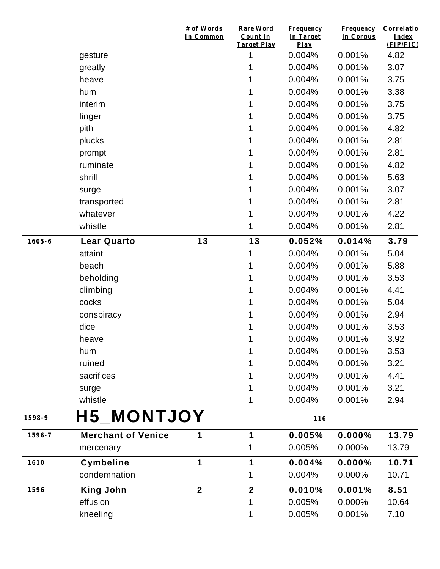|            |                           | # of Words<br>In Common | Rare Word<br>Count in<br><b>Target Play</b> | <b>Frequency</b><br>in Target<br>Play | <b>Frequency</b><br>in Corpus | Correlatio<br>Index<br>(FIP/FIC) |
|------------|---------------------------|-------------------------|---------------------------------------------|---------------------------------------|-------------------------------|----------------------------------|
|            | gesture                   |                         | 1                                           | 0.004%                                | 0.001%                        | 4.82                             |
|            | greatly                   |                         | 1                                           | 0.004%                                | 0.001%                        | 3.07                             |
|            | heave                     |                         | 1                                           | 0.004%                                | 0.001%                        | 3.75                             |
|            | hum                       |                         | 1                                           | 0.004%                                | 0.001%                        | 3.38                             |
|            | interim                   |                         | 1                                           | 0.004%                                | 0.001%                        | 3.75                             |
|            | linger                    |                         | 1                                           | 0.004%                                | 0.001%                        | 3.75                             |
|            | pith                      |                         | 1                                           | 0.004%                                | 0.001%                        | 4.82                             |
|            | plucks                    |                         | 1                                           | 0.004%                                | 0.001%                        | 2.81                             |
|            | prompt                    |                         | 1                                           | 0.004%                                | 0.001%                        | 2.81                             |
|            | ruminate                  |                         | 1                                           | 0.004%                                | 0.001%                        | 4.82                             |
|            | shrill                    |                         | 1                                           | 0.004%                                | 0.001%                        | 5.63                             |
|            | surge                     |                         | 1                                           | 0.004%                                | 0.001%                        | 3.07                             |
|            | transported               |                         | 1                                           | 0.004%                                | 0.001%                        | 2.81                             |
|            | whatever                  |                         | 1                                           | 0.004%                                | 0.001%                        | 4.22                             |
|            | whistle                   |                         | 1                                           | 0.004%                                | 0.001%                        | 2.81                             |
| $1605 - 6$ | <b>Lear Quarto</b>        | 13                      | 13                                          | 0.052%                                | 0.014%                        | 3.79                             |
|            | attaint                   |                         | 1                                           | 0.004%                                | 0.001%                        | 5.04                             |
|            | beach                     |                         | 1                                           | 0.004%                                | 0.001%                        | 5.88                             |
|            | beholding                 |                         | 1                                           | 0.004%                                | 0.001%                        | 3.53                             |
|            | climbing                  |                         | 1                                           | 0.004%                                | 0.001%                        | 4.41                             |
|            | cocks                     |                         | 1                                           | 0.004%                                | 0.001%                        | 5.04                             |
|            | conspiracy                |                         | 1                                           | 0.004%                                | 0.001%                        | 2.94                             |
|            | dice                      |                         | 1                                           | 0.004%                                | 0.001%                        | 3.53                             |
|            | heave                     |                         | 1                                           | 0.004%                                | 0.001%                        | 3.92                             |
|            | hum                       |                         | 1                                           | 0.004%                                | 0.001%                        | 3.53                             |
|            | ruined                    |                         |                                             | 0.004%                                | 0.001%                        | 3.21                             |
|            | sacrifices                |                         |                                             | 0.004%                                | 0.001%                        | 4.41                             |
|            | surge                     |                         |                                             | 0.004%                                | 0.001%                        | 3.21                             |
|            | whistle                   |                         | 1                                           | 0.004%                                | 0.001%                        | 2.94                             |
| 1598-9     | <b>H5_MONTJOY</b>         |                         |                                             | 116                                   |                               |                                  |
| 1596-7     | <b>Merchant of Venice</b> | 1                       | 1                                           | 0.005%                                | 0.000%                        | 13.79                            |
|            | mercenary                 |                         | 1                                           | 0.005%                                | 0.000%                        | 13.79                            |
| 1610       | <b>Cymbeline</b>          | 1                       | 1                                           | 0.004%                                | $0.000\%$                     | 10.71                            |
|            | condemnation              |                         | 1                                           | 0.004%                                | 0.000%                        | 10.71                            |
| 1596       | <b>King John</b>          | $\overline{2}$          | $\mathbf{2}$                                | 0.010%                                | 0.001%                        | 8.51                             |
|            | effusion                  |                         | 1                                           | 0.005%                                | 0.000%                        | 10.64                            |
|            | kneeling                  |                         | 1                                           | 0.005%                                | 0.001%                        | 7.10                             |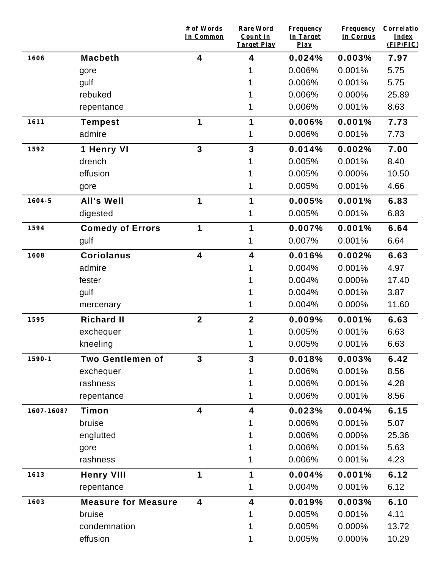|            |                            | # of Words<br>In Common | <b>Rare Word</b><br>Count in<br><b>Target Play</b> | <b>Frequency</b><br>in Target<br>$Play$ | <b>Frequency</b><br>in Corpus | Correlatio<br>Index<br>(FIP/FIC) |
|------------|----------------------------|-------------------------|----------------------------------------------------|-----------------------------------------|-------------------------------|----------------------------------|
| 1606       | <b>Macbeth</b>             | 4                       | 4                                                  | 0.024%                                  | 0.003%                        | 7.97                             |
|            | gore                       |                         |                                                    | 0.006%                                  | 0.001%                        | 5.75                             |
|            | gulf                       |                         |                                                    | 0.006%                                  | 0.001%                        | 5.75                             |
|            | rebuked                    |                         |                                                    | 0.006%                                  | 0.000%                        | 25.89                            |
|            | repentance                 |                         |                                                    | 0.006%                                  | 0.001%                        | 8.63                             |
| 1611       | <b>Tempest</b>             | 1                       | 1                                                  | 0.006%                                  | 0.001%                        | 7.73                             |
|            | admire                     |                         | 1                                                  | 0.006%                                  | 0.001%                        | 7.73                             |
| 1592       | 1 Henry VI                 | $\overline{3}$          | 3                                                  | 0.014%                                  | 0.002%                        | 7.00                             |
|            | drench                     |                         |                                                    | 0.005%                                  | 0.001%                        | 8.40                             |
|            | effusion                   |                         |                                                    | 0.005%                                  | 0.000%                        | 10.50                            |
|            | gore                       |                         |                                                    | 0.005%                                  | 0.001%                        | 4.66                             |
| $1604 - 5$ | All's Well                 | 1                       | 1                                                  | 0.005%                                  | 0.001%                        | 6.83                             |
|            | digested                   |                         | 1                                                  | 0.005%                                  | 0.001%                        | 6.83                             |
| 1594       | <b>Comedy of Errors</b>    | 1                       | 1                                                  | 0.007%                                  | 0.001%                        | 6.64                             |
|            | gulf                       |                         | 1                                                  | 0.007%                                  | 0.001%                        | 6.64                             |
| 1608       | <b>Coriolanus</b>          | 4                       | 4                                                  | 0.016%                                  | 0.002%                        | 6.63                             |
|            | admire                     |                         |                                                    | 0.004%                                  | 0.001%                        | 4.97                             |
|            | fester                     |                         |                                                    | 0.004%                                  | 0.000%                        | 17.40                            |
|            | gulf                       |                         |                                                    | 0.004%                                  | 0.001%                        | 3.87                             |
|            | mercenary                  |                         |                                                    | 0.004%                                  | 0.000%                        | 11.60                            |
| 1595       | <b>Richard II</b>          | $\overline{2}$          | $\overline{\mathbf{2}}$                            | 0.009%                                  | 0.001%                        | 6.63                             |
|            | exchequer                  |                         |                                                    | 0.005%                                  | 0.001%                        | 6.63                             |
|            | kneeling                   |                         |                                                    | 0.005%                                  | 0.001%                        | 6.63                             |
| $1590 - 1$ | <b>Two Gentlemen of</b>    | $\mathbf{3}$            | 3                                                  | 0.018%                                  | 0.003%                        | 6.42                             |
|            | exchequer                  |                         |                                                    | 0.006%                                  | 0.001%                        | 8.56                             |
|            | rashness                   |                         |                                                    | 0.006%                                  | 0.001%                        | 4.28                             |
|            | repentance                 |                         |                                                    | 0.006%                                  | 0.001%                        | 8.56                             |
| 1607-1608? | Timon                      | 4                       | 4                                                  | 0.023%                                  | 0.004%                        | 6.15                             |
|            | bruise                     |                         |                                                    | 0.006%                                  | 0.001%                        | 5.07                             |
|            | englutted                  |                         |                                                    | 0.006%                                  | 0.000%                        | 25.36                            |
|            | gore                       |                         |                                                    | 0.006%                                  | 0.001%                        | 5.63                             |
|            | rashness                   |                         | 1                                                  | 0.006%                                  | 0.001%                        | 4.23                             |
| 1613       | <b>Henry VIII</b>          | 1                       | 1                                                  | 0.004%                                  | 0.001%                        | 6.12                             |
|            | repentance                 |                         | 1                                                  | 0.004%                                  | 0.001%                        | 6.12                             |
| 1603       | <b>Measure for Measure</b> | 4                       | 4                                                  | 0.019%                                  | 0.003%                        | 6.10                             |
|            | bruise                     |                         |                                                    | 0.005%                                  | 0.001%                        | 4.11                             |
|            | condemnation               |                         |                                                    | 0.005%                                  | 0.000%                        | 13.72                            |
|            | effusion                   |                         | 1                                                  | 0.005%                                  | 0.000%                        | 10.29                            |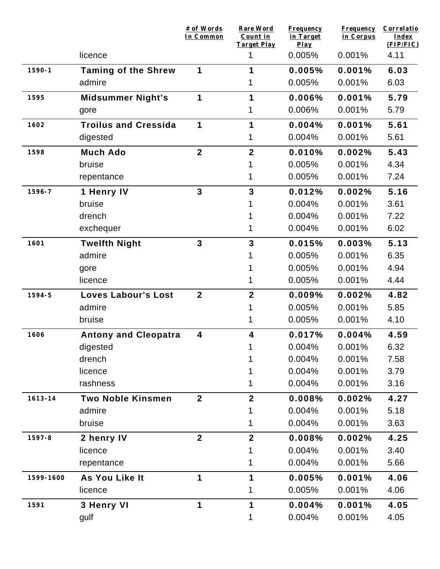|             |                             | # of Words<br>In Common | <b>Rare Word</b><br>Count in<br><b>Target Play</b> | <b>Frequency</b><br>in Target<br>$Play$ | <b>Frequency</b><br>in Corpus | Correlatio<br>Index<br>(FIP/FIC) |
|-------------|-----------------------------|-------------------------|----------------------------------------------------|-----------------------------------------|-------------------------------|----------------------------------|
|             | licence                     |                         | 1                                                  | 0.005%                                  | 0.001%                        | 4.11                             |
| $1590 - 1$  | <b>Taming of the Shrew</b>  | 1                       | 1                                                  | 0.005%                                  | 0.001%                        | 6.03                             |
|             | admire                      |                         |                                                    | 0.005%                                  | 0.001%                        | 6.03                             |
| 1595        | <b>Midsummer Night's</b>    | 1                       | 1                                                  | 0.006%                                  | 0.001%                        | 5.79                             |
|             | gore                        |                         | 1                                                  | 0.006%                                  | 0.001%                        | 5.79                             |
| 1602        | <b>Troilus and Cressida</b> | 1                       | 1                                                  | 0.004%                                  | 0.001%                        | 5.61                             |
|             | digested                    |                         | 1                                                  | 0.004%                                  | 0.001%                        | 5.61                             |
| 1598        | <b>Much Ado</b>             | $\boldsymbol{2}$        | $\mathbf{2}$                                       | 0.010%                                  | 0.002%                        | 5.43                             |
|             | bruise                      |                         | 1                                                  | 0.005%                                  | 0.001%                        | 4.34                             |
|             | repentance                  |                         | 1                                                  | 0.005%                                  | 0.001%                        | 7.24                             |
| 1596-7      | 1 Henry IV                  | $\overline{3}$          | $\overline{3}$                                     | 0.012%                                  | 0.002%                        | 5.16                             |
|             | bruise                      |                         |                                                    | 0.004%                                  | 0.001%                        | 3.61                             |
|             | drench                      |                         |                                                    | 0.004%                                  | 0.001%                        | 7.22                             |
|             | exchequer                   |                         | 1                                                  | 0.004%                                  | 0.001%                        | 6.02                             |
| 1601        | <b>Twelfth Night</b>        | $\overline{3}$          | $\overline{3}$                                     | 0.015%                                  | 0.003%                        | 5.13                             |
|             | admire                      |                         |                                                    | 0.005%                                  | 0.001%                        | 6.35                             |
|             | gore                        |                         |                                                    | 0.005%                                  | 0.001%                        | 4.94                             |
|             | licence                     |                         |                                                    | 0.005%                                  | 0.001%                        | 4.44                             |
| 1594-5      | <b>Loves Labour's Lost</b>  | $\overline{2}$          | $\overline{2}$                                     | 0.009%                                  | 0.002%                        | 4.82                             |
|             | admire                      |                         |                                                    | 0.005%                                  | 0.001%                        | 5.85                             |
|             | bruise                      |                         | 1                                                  | 0.005%                                  | 0.001%                        | 4.10                             |
| 1606        | <b>Antony and Cleopatra</b> | $\overline{\mathbf{4}}$ | 4                                                  | 0.017%                                  | 0.004%                        | 4.59                             |
|             | digested                    |                         | 1.                                                 | 0.004%                                  | 0.001%                        | 6.32                             |
|             | drench                      |                         |                                                    | 0.004%                                  | 0.001%                        | 7.58                             |
|             | licence                     |                         |                                                    | 0.004%                                  | 0.001%                        | 3.79                             |
|             | rashness                    |                         |                                                    | 0.004%                                  | 0.001%                        | 3.16                             |
| $1613 - 14$ | <b>Two Noble Kinsmen</b>    | $\mathbf{2}$            | $\mathbf{2}$                                       | 0.008%                                  | 0.002%                        | 4.27                             |
|             | admire                      |                         |                                                    | 0.004%                                  | 0.001%                        | 5.18                             |
|             | bruise                      |                         |                                                    | 0.004%                                  | 0.001%                        | 3.63                             |
| 1597-8      | 2 henry IV                  | $\overline{2}$          | $\overline{2}$                                     | 0.008%                                  | 0.002%                        | 4.25                             |
|             | licence                     |                         |                                                    | 0.004%                                  | 0.001%                        | 3.40                             |
|             | repentance                  |                         |                                                    | 0.004%                                  | 0.001%                        | 5.66                             |
| 1599-1600   | As You Like It              | 1                       | 1                                                  | 0.005%                                  | 0.001%                        | 4.06                             |
|             | licence                     |                         | 1                                                  | 0.005%                                  | 0.001%                        | 4.06                             |
| 1591        | 3 Henry VI                  | 1                       | 1                                                  | 0.004%                                  | 0.001%                        | 4.05                             |
|             | gulf                        |                         | 1                                                  | 0.004%                                  | 0.001%                        | 4.05                             |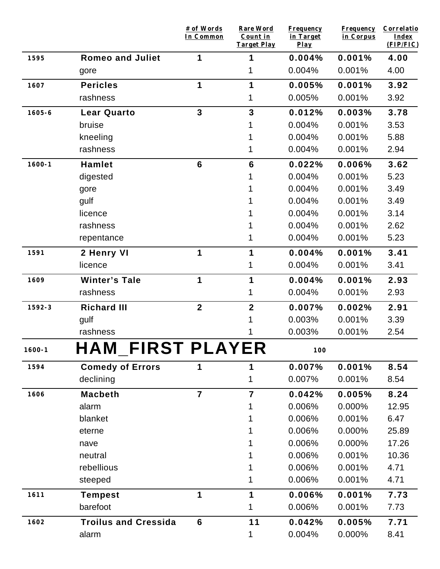|            |                             | # of Words<br>In Common | <b>Rare Word</b><br>Count in<br><b>Target Play</b> | <b>Frequency</b><br>in Target<br>$Play$ | <b>Frequency</b><br>in Corpus | Correlatio<br>Index<br>(FIP/FIC) |
|------------|-----------------------------|-------------------------|----------------------------------------------------|-----------------------------------------|-------------------------------|----------------------------------|
| 1595       | <b>Romeo and Juliet</b>     | 1                       | 1                                                  | 0.004%                                  | 0.001%                        | 4.00                             |
|            | gore                        |                         | 1                                                  | 0.004%                                  | 0.001%                        | 4.00                             |
| 1607       | <b>Pericles</b>             | 1                       | 1                                                  | 0.005%                                  | 0.001%                        | 3.92                             |
|            | rashness                    |                         | 1                                                  | 0.005%                                  | 0.001%                        | 3.92                             |
| $1605 - 6$ | <b>Lear Quarto</b>          | $\overline{3}$          | $\overline{\mathbf{3}}$                            | 0.012%                                  | 0.003%                        | 3.78                             |
|            | bruise                      |                         |                                                    | 0.004%                                  | 0.001%                        | 3.53                             |
|            | kneeling                    |                         |                                                    | 0.004%                                  | 0.001%                        | 5.88                             |
|            | rashness                    |                         | 1                                                  | 0.004%                                  | 0.001%                        | 2.94                             |
| $1600 - 1$ | <b>Hamlet</b>               | $6\phantom{1}$          | $6\phantom{1}$                                     | 0.022%                                  | 0.006%                        | 3.62                             |
|            | digested                    |                         |                                                    | 0.004%                                  | 0.001%                        | 5.23                             |
|            | gore                        |                         |                                                    | 0.004%                                  | 0.001%                        | 3.49                             |
|            | gulf                        |                         |                                                    | 0.004%                                  | 0.001%                        | 3.49                             |
|            | licence                     |                         |                                                    | 0.004%                                  | 0.001%                        | 3.14                             |
|            | rashness                    |                         |                                                    | 0.004%                                  | 0.001%                        | 2.62                             |
|            | repentance                  |                         | 1                                                  | 0.004%                                  | 0.001%                        | 5.23                             |
| 1591       | 2 Henry VI                  | 1                       | 1                                                  | 0.004%                                  | 0.001%                        | 3.41                             |
|            | licence                     |                         | 1                                                  | 0.004%                                  | 0.001%                        | 3.41                             |
| 1609       | <b>Winter's Tale</b>        | 1                       | 1                                                  | 0.004%                                  | 0.001%                        | 2.93                             |
|            | rashness                    |                         | 1                                                  | 0.004%                                  | 0.001%                        | 2.93                             |
| 1592-3     | <b>Richard III</b>          | $\boldsymbol{2}$        | $\boldsymbol{2}$                                   | 0.007%                                  | 0.002%                        | 2.91                             |
|            | gulf                        |                         |                                                    | 0.003%                                  | 0.001%                        | 3.39                             |
|            | rashness                    |                         |                                                    | 0.003%                                  | 0.001%                        | 2.54                             |
| $1600 - 1$ | <b>HAM_FIRST PLAYER</b>     |                         |                                                    | $100$                                   |                               |                                  |
| 1594       | <b>Comedy of Errors</b>     | 1                       | 1                                                  | 0.007%                                  | 0.001%                        | 8.54                             |
|            | declining                   |                         | 1                                                  | 0.007%                                  | 0.001%                        | 8.54                             |
| 1606       | <b>Macbeth</b>              | $\overline{7}$          | $\overline{7}$                                     | 0.042%                                  | 0.005%                        | 8.24                             |
|            | alarm                       |                         |                                                    | 0.006%                                  | 0.000%                        | 12.95                            |
|            | blanket                     |                         |                                                    | 0.006%                                  | 0.001%                        | 6.47                             |
|            | eterne                      |                         |                                                    | 0.006%                                  | 0.000%                        | 25.89                            |
|            | nave                        |                         |                                                    | 0.006%                                  | 0.000%                        | 17.26                            |
|            | neutral                     |                         |                                                    | 0.006%                                  | 0.001%                        | 10.36                            |
|            | rebellious                  |                         |                                                    | 0.006%                                  | 0.001%                        | 4.71                             |
|            | steeped                     |                         |                                                    | 0.006%                                  | 0.001%                        | 4.71                             |
| 1611       | <b>Tempest</b>              | 1                       | 1                                                  | 0.006%                                  | 0.001%                        | 7.73                             |
|            | barefoot                    |                         | 1                                                  | 0.006%                                  | 0.001%                        | 7.73                             |
| 1602       | <b>Troilus and Cressida</b> | $6\phantom{1}$          | 11                                                 | 0.042%                                  | 0.005%                        | 7.71                             |
|            | alarm                       |                         | 1                                                  | 0.004%                                  | 0.000%                        | 8.41                             |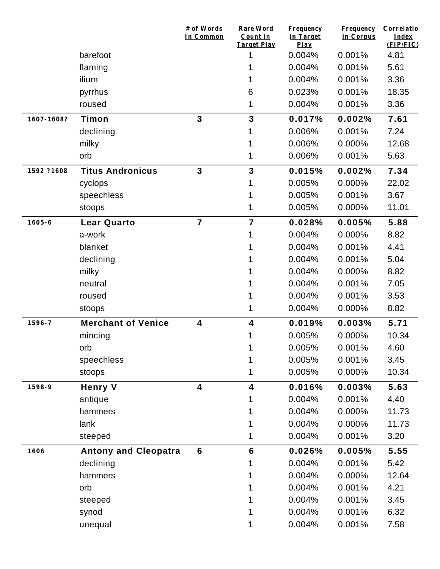|            |                             | # of Words<br>In Common | <b>Rare Word</b><br>Count in<br><b>Target Play</b> | <b>Frequency</b><br>in Target<br>Play | <b>Frequency</b><br>in Corpus | Correlatio<br>Index<br>(FIP/FIC) |
|------------|-----------------------------|-------------------------|----------------------------------------------------|---------------------------------------|-------------------------------|----------------------------------|
|            | barefoot                    |                         | 1                                                  | 0.004%                                | 0.001%                        | 4.81                             |
|            | flaming                     |                         |                                                    | 0.004%                                | 0.001%                        | 5.61                             |
|            | ilium                       |                         |                                                    | 0.004%                                | 0.001%                        | 3.36                             |
|            | pyrrhus                     |                         | 6                                                  | 0.023%                                | 0.001%                        | 18.35                            |
|            | roused                      |                         | 1                                                  | 0.004%                                | 0.001%                        | 3.36                             |
| 1607-1608? | Timon                       | $\overline{3}$          | $\overline{\mathbf{3}}$                            | 0.017%                                | 0.002%                        | 7.61                             |
|            | declining                   |                         |                                                    | 0.006%                                | 0.001%                        | 7.24                             |
|            | milky                       |                         |                                                    | 0.006%                                | 0.000%                        | 12.68                            |
|            | orb                         |                         |                                                    | 0.006%                                | 0.001%                        | 5.63                             |
| 1592 ?1608 | <b>Titus Andronicus</b>     | $\mathbf{3}$            | $\overline{\mathbf{3}}$                            | 0.015%                                | 0.002%                        | 7.34                             |
|            | cyclops                     |                         |                                                    | 0.005%                                | 0.000%                        | 22.02                            |
|            | speechless                  |                         |                                                    | 0.005%                                | 0.001%                        | 3.67                             |
|            | stoops                      |                         |                                                    | 0.005%                                | 0.000%                        | 11.01                            |
| $1605 - 6$ | <b>Lear Quarto</b>          | $\overline{7}$          | $\overline{7}$                                     | 0.028%                                | 0.005%                        | 5.88                             |
|            | a-work                      |                         |                                                    | 0.004%                                | 0.000%                        | 8.82                             |
|            | blanket                     |                         |                                                    | 0.004%                                | 0.001%                        | 4.41                             |
|            | declining                   |                         |                                                    | 0.004%                                | 0.001%                        | 5.04                             |
|            | milky                       |                         |                                                    | 0.004%                                | 0.000%                        | 8.82                             |
|            | neutral                     |                         |                                                    | 0.004%                                | 0.001%                        | 7.05                             |
|            | roused                      |                         |                                                    | 0.004%                                | 0.001%                        | 3.53                             |
|            | stoops                      |                         | 1                                                  | 0.004%                                | 0.000%                        | 8.82                             |
| 1596-7     | <b>Merchant of Venice</b>   | 4                       | 4                                                  | 0.019%                                | 0.003%                        | 5.71                             |
|            | mincing                     |                         |                                                    | 0.005%                                | 0.000%                        | 10.34                            |
|            | orb                         |                         | 1                                                  | 0.005%                                | 0.001%                        | 4.60                             |
|            | speechless                  |                         |                                                    | 0.005%                                | 0.001%                        | 3.45                             |
|            | stoops                      |                         | 1                                                  | 0.005%                                | 0.000%                        | 10.34                            |
| 1598-9     | <b>Henry V</b>              | $\overline{\mathbf{4}}$ | $\overline{\mathbf{4}}$                            | 0.016%                                | 0.003%                        | 5.63                             |
|            | antique                     |                         |                                                    | 0.004%                                | 0.001%                        | 4.40                             |
|            | hammers                     |                         |                                                    | 0.004%                                | 0.000%                        | 11.73                            |
|            | lank                        |                         |                                                    | 0.004%                                | 0.000%                        | 11.73                            |
|            | steeped                     |                         |                                                    | 0.004%                                | 0.001%                        | 3.20                             |
| 1606       | <b>Antony and Cleopatra</b> | $6\phantom{1}$          | $6\phantom{1}6$                                    | 0.026%                                | 0.005%                        | 5.55                             |
|            | declining                   |                         |                                                    | 0.004%                                | 0.001%                        | 5.42                             |
|            | hammers                     |                         |                                                    | 0.004%                                | 0.000%                        | 12.64                            |
|            | orb                         |                         |                                                    | 0.004%                                | 0.001%                        | 4.21                             |
|            | steeped                     |                         |                                                    | 0.004%                                | 0.001%                        | 3.45                             |
|            | synod                       |                         |                                                    | 0.004%                                | 0.001%                        | 6.32                             |
|            | unequal                     |                         |                                                    | 0.004%                                | 0.001%                        | 7.58                             |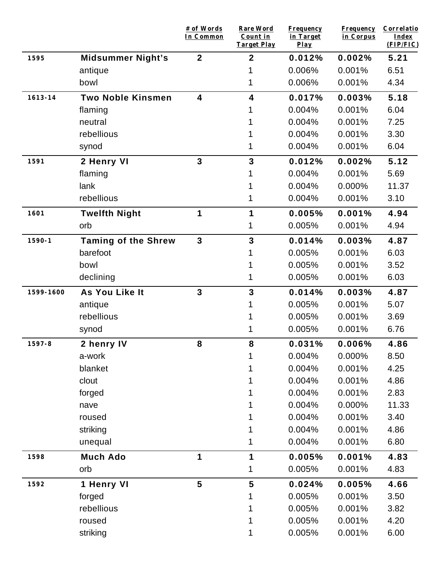|             |                            | # of Words<br>In Common | <b>Rare Word</b><br>Count in<br><b>Target Play</b> | Frequency<br>in Target<br>Play | <b>Frequency</b><br>in Corpus | Correlatio<br><b>Index</b><br>(FIP/FIC) |
|-------------|----------------------------|-------------------------|----------------------------------------------------|--------------------------------|-------------------------------|-----------------------------------------|
| 1595        | <b>Midsummer Night's</b>   | $\mathbf{2}$            | $\mathbf{2}$                                       | 0.012%                         | 0.002%                        | 5.21                                    |
|             | antique                    |                         |                                                    | 0.006%                         | 0.001%                        | 6.51                                    |
|             | bowl                       |                         | 1                                                  | 0.006%                         | 0.001%                        | 4.34                                    |
| $1613 - 14$ | <b>Two Noble Kinsmen</b>   | $\overline{\mathbf{4}}$ | 4                                                  | 0.017%                         | 0.003%                        | 5.18                                    |
|             | flaming                    |                         |                                                    | 0.004%                         | 0.001%                        | 6.04                                    |
|             | neutral                    |                         |                                                    | 0.004%                         | 0.001%                        | 7.25                                    |
|             | rebellious                 |                         |                                                    | 0.004%                         | 0.001%                        | 3.30                                    |
|             | synod                      |                         | 1                                                  | 0.004%                         | 0.001%                        | 6.04                                    |
| 1591        | 2 Henry VI                 | $\mathbf{3}$            | 3                                                  | 0.012%                         | 0.002%                        | 5.12                                    |
|             | flaming                    |                         |                                                    | 0.004%                         | 0.001%                        | 5.69                                    |
|             | lank                       |                         |                                                    | 0.004%                         | 0.000%                        | 11.37                                   |
|             | rebellious                 |                         | 1                                                  | 0.004%                         | 0.001%                        | 3.10                                    |
| 1601        | <b>Twelfth Night</b>       | 1                       | 1                                                  | 0.005%                         | 0.001%                        | 4.94                                    |
|             | orb                        |                         |                                                    | 0.005%                         | 0.001%                        | 4.94                                    |
| $1590 - 1$  | <b>Taming of the Shrew</b> | $\mathbf{3}$            | 3                                                  | 0.014%                         | 0.003%                        | 4.87                                    |
|             | barefoot                   |                         |                                                    | 0.005%                         | 0.001%                        | 6.03                                    |
|             | bowl                       |                         |                                                    | 0.005%                         | 0.001%                        | 3.52                                    |
|             | declining                  |                         |                                                    | 0.005%                         | 0.001%                        | 6.03                                    |
| 1599-1600   | As You Like It             | $\overline{3}$          | 3                                                  | 0.014%                         | 0.003%                        | 4.87                                    |
|             | antique                    |                         |                                                    | 0.005%                         | 0.001%                        | 5.07                                    |
|             | rebellious                 |                         |                                                    | 0.005%                         | 0.001%                        | 3.69                                    |
|             | synod                      |                         |                                                    | 0.005%                         | 0.001%                        | 6.76                                    |
| 1597-8      | 2 henry IV                 | 8                       | 8                                                  | 0.031%                         | 0.006%                        | 4.86                                    |
|             | a-work                     |                         | 1                                                  | 0.004%                         | 0.000%                        | 8.50                                    |
|             | blanket                    |                         | 1                                                  | 0.004%                         | 0.001%                        | 4.25                                    |
|             | clout                      |                         |                                                    | 0.004%                         | 0.001%                        | 4.86                                    |
|             | forged                     |                         | 1                                                  | 0.004%                         | 0.001%                        | 2.83                                    |
|             | nave                       |                         | 1                                                  | 0.004%                         | 0.000%                        | 11.33                                   |
|             | roused                     |                         |                                                    | 0.004%                         | 0.001%                        | 3.40                                    |
|             | striking                   |                         | 1                                                  | 0.004%                         | 0.001%                        | 4.86                                    |
|             | unequal                    |                         | 1                                                  | 0.004%                         | 0.001%                        | 6.80                                    |
| 1598        | <b>Much Ado</b>            | 1                       | 1                                                  | 0.005%                         | 0.001%                        | 4.83                                    |
|             | orb                        |                         | 1                                                  | 0.005%                         | 0.001%                        | 4.83                                    |
| 1592        | 1 Henry VI                 | $5\phantom{1}$          | $5\phantom{1}$                                     | 0.024%                         | 0.005%                        | 4.66                                    |
|             | forged                     |                         | 1                                                  | 0.005%                         | 0.001%                        | 3.50                                    |
|             | rebellious                 |                         | 1                                                  | 0.005%                         | 0.001%                        | 3.82                                    |
|             | roused                     |                         |                                                    | 0.005%                         | 0.001%                        | 4.20                                    |
|             | striking                   |                         | 1                                                  | 0.005%                         | 0.001%                        | 6.00                                    |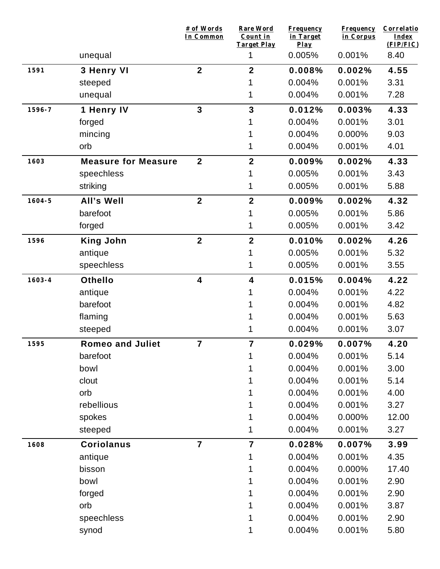|            |                            | # of Words<br>In Common | <b>Rare Word</b><br>Count in<br><b>Target Play</b> | <b>Frequency</b><br>in Target<br>Play | <b>Frequency</b><br>in Corpus | Correlatio<br>Index<br>(FIP/FIC) |
|------------|----------------------------|-------------------------|----------------------------------------------------|---------------------------------------|-------------------------------|----------------------------------|
|            | unequal                    |                         | 1                                                  | 0.005%                                | 0.001%                        | 8.40                             |
| 1591       | 3 Henry VI                 | $\mathbf{2}$            | $\mathbf{2}$                                       | 0.008%                                | 0.002%                        | 4.55                             |
|            | steeped                    |                         |                                                    | 0.004%                                | 0.001%                        | 3.31                             |
|            | unequal                    |                         | 1                                                  | 0.004%                                | 0.001%                        | 7.28                             |
| 1596-7     | 1 Henry IV                 | $\mathbf{3}$            | $\mathbf{3}$                                       | 0.012%                                | 0.003%                        | 4.33                             |
|            | forged                     |                         |                                                    | 0.004%                                | 0.001%                        | 3.01                             |
|            | mincing                    |                         |                                                    | 0.004%                                | 0.000%                        | 9.03                             |
|            | orb                        |                         | 1                                                  | 0.004%                                | 0.001%                        | 4.01                             |
| 1603       | <b>Measure for Measure</b> | $\overline{2}$          | $\mathbf{2}$                                       | 0.009%                                | 0.002%                        | 4.33                             |
|            | speechless                 |                         |                                                    | 0.005%                                | 0.001%                        | 3.43                             |
|            | striking                   |                         | 1                                                  | 0.005%                                | 0.001%                        | 5.88                             |
| $1604 - 5$ | All's Well                 | $\overline{2}$          | $\overline{2}$                                     | 0.009%                                | 0.002%                        | 4.32                             |
|            | barefoot                   |                         |                                                    | 0.005%                                | 0.001%                        | 5.86                             |
|            | forged                     |                         | 1                                                  | 0.005%                                | 0.001%                        | 3.42                             |
| 1596       | <b>King John</b>           | $\overline{2}$          | $\overline{2}$                                     | 0.010%                                | 0.002%                        | 4.26                             |
|            | antique                    |                         |                                                    | 0.005%                                | 0.001%                        | 5.32                             |
|            | speechless                 |                         | 1                                                  | 0.005%                                | 0.001%                        | 3.55                             |
| $1603 - 4$ | <b>Othello</b>             | $\overline{\mathbf{4}}$ | 4                                                  | 0.015%                                | 0.004%                        | 4.22                             |
|            | antique                    |                         |                                                    | 0.004%                                | 0.001%                        | 4.22                             |
|            | barefoot                   |                         |                                                    | 0.004%                                | 0.001%                        | 4.82                             |
|            | flaming                    |                         |                                                    | 0.004%                                | 0.001%                        | 5.63                             |
|            | steeped                    |                         |                                                    | 0.004%                                | 0.001%                        | 3.07                             |
| 1595       | <b>Romeo and Juliet</b>    | 7                       | $\overline{7}$                                     | 0.029%                                | 0.007%                        | 4.20                             |
|            | barefoot                   |                         | 1                                                  | 0.004%                                | 0.001%                        | 5.14                             |
|            | bowl                       |                         |                                                    | 0.004%                                | 0.001%                        | 3.00                             |
|            | clout                      |                         |                                                    | 0.004%                                | 0.001%                        | 5.14                             |
|            | orb                        |                         |                                                    | 0.004%                                | 0.001%                        | 4.00                             |
|            | rebellious                 |                         |                                                    | 0.004%                                | 0.001%                        | 3.27                             |
|            | spokes                     |                         |                                                    | 0.004%                                | 0.000%                        | 12.00                            |
|            | steeped                    |                         |                                                    | 0.004%                                | 0.001%                        | 3.27                             |
| 1608       | <b>Coriolanus</b>          | $\overline{7}$          | $\overline{7}$                                     | 0.028%                                | 0.007%                        | 3.99                             |
|            | antique                    |                         | 1                                                  | 0.004%                                | 0.001%                        | 4.35                             |
|            | bisson                     |                         |                                                    | 0.004%                                | 0.000%                        | 17.40                            |
|            | bowl                       |                         |                                                    | 0.004%                                | 0.001%                        | 2.90                             |
|            | forged                     |                         |                                                    | 0.004%                                | 0.001%                        | 2.90                             |
|            | orb                        |                         |                                                    | 0.004%                                | 0.001%                        | 3.87                             |
|            | speechless                 |                         |                                                    | 0.004%                                | 0.001%                        | 2.90                             |
|            | synod                      |                         | 1                                                  | 0.004%                                | 0.001%                        | 5.80                             |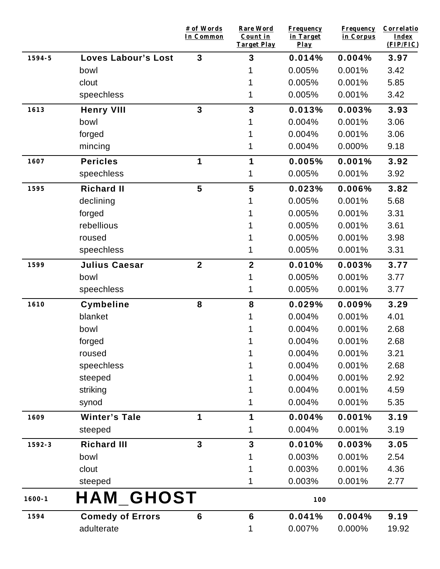|            |                            | # of Words<br>In Common | Rare Word<br>Count in<br><b>Target Play</b> | <b>Frequency</b><br>in Target<br>$Play$ | <b>Frequency</b><br>in Corpus | Correlatio<br>Index<br>(FIP/FIC) |
|------------|----------------------------|-------------------------|---------------------------------------------|-----------------------------------------|-------------------------------|----------------------------------|
| 1594-5     | <b>Loves Labour's Lost</b> | $\mathbf{3}$            | 3                                           | 0.014%                                  | 0.004%                        | 3.97                             |
|            | bowl                       |                         |                                             | 0.005%                                  | 0.001%                        | 3.42                             |
|            | clout                      |                         |                                             | 0.005%                                  | 0.001%                        | 5.85                             |
|            | speechless                 |                         | 1                                           | 0.005%                                  | 0.001%                        | 3.42                             |
| 1613       | <b>Henry VIII</b>          | $\mathbf{3}$            | 3                                           | 0.013%                                  | 0.003%                        | 3.93                             |
|            | bowl                       |                         |                                             | 0.004%                                  | 0.001%                        | 3.06                             |
|            | forged                     |                         |                                             | 0.004%                                  | 0.001%                        | 3.06                             |
|            | mincing                    |                         | 1                                           | 0.004%                                  | 0.000%                        | 9.18                             |
| 1607       | <b>Pericles</b>            | 1                       | 1                                           | 0.005%                                  | 0.001%                        | 3.92                             |
|            | speechless                 |                         | 1                                           | 0.005%                                  | 0.001%                        | 3.92                             |
| 1595       | <b>Richard II</b>          | 5                       | 5                                           | 0.023%                                  | 0.006%                        | 3.82                             |
|            | declining                  |                         |                                             | 0.005%                                  | 0.001%                        | 5.68                             |
|            | forged                     |                         |                                             | 0.005%                                  | 0.001%                        | 3.31                             |
|            | rebellious                 |                         |                                             | 0.005%                                  | 0.001%                        | 3.61                             |
|            | roused                     |                         |                                             | 0.005%                                  | 0.001%                        | 3.98                             |
|            | speechless                 |                         |                                             | 0.005%                                  | 0.001%                        | 3.31                             |
| 1599       | <b>Julius Caesar</b>       | $\mathbf{2}$            | $\mathbf{2}$                                | 0.010%                                  | 0.003%                        | 3.77                             |
|            | bowl                       |                         |                                             | 0.005%                                  | 0.001%                        | 3.77                             |
|            | speechless                 |                         | 1                                           | 0.005%                                  | 0.001%                        | 3.77                             |
| 1610       | <b>Cymbeline</b>           | 8                       | 8                                           | 0.029%                                  | 0.009%                        | 3.29                             |
|            | blanket                    |                         |                                             | 0.004%                                  | 0.001%                        | 4.01                             |
|            | bowl                       |                         |                                             | 0.004%                                  | 0.001%                        | 2.68                             |
|            | forged                     |                         |                                             | 0.004%                                  | 0.001%                        | 2.68                             |
|            | roused                     |                         |                                             | 0.004%                                  | 0.001%                        | 3.21                             |
|            | speechless                 |                         |                                             | 0.004%                                  | 0.001%                        | 2.68                             |
|            | steeped                    |                         |                                             | 0.004%                                  | 0.001%                        | 2.92                             |
|            | striking                   |                         |                                             | 0.004%                                  | 0.001%                        | 4.59                             |
|            | synod                      |                         |                                             | 0.004%                                  | 0.001%                        | 5.35                             |
| 1609       | <b>Winter's Tale</b>       | 1                       | 1                                           | 0.004%                                  | 0.001%                        | 3.19                             |
|            | steeped                    |                         | 1                                           | 0.004%                                  | 0.001%                        | 3.19                             |
| 1592-3     | <b>Richard III</b>         | $\overline{3}$          | $\overline{\mathbf{3}}$                     | 0.010%                                  | 0.003%                        | 3.05                             |
|            | bowl                       |                         |                                             | 0.003%                                  | 0.001%                        | 2.54                             |
|            | clout                      |                         |                                             | 0.003%                                  | 0.001%                        | 4.36                             |
|            | steeped                    |                         |                                             | 0.003%                                  | 0.001%                        | 2.77                             |
| $1600 - 1$ | <b>HAM GHOST</b>           |                         |                                             | 100                                     |                               |                                  |
| 1594       | <b>Comedy of Errors</b>    | $6\phantom{1}6$         | $6\phantom{1}6$                             | 0.041%                                  | 0.004%                        | 9.19                             |
|            | adulterate                 |                         | 1                                           | 0.007%                                  | 0.000%                        | 19.92                            |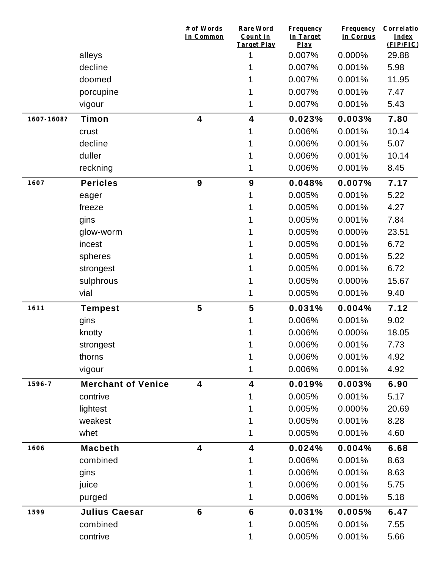|            |                           | # of Words<br>In Common | <b>Rare Word</b><br>Count in<br>Target Play | <b>Frequency</b><br>in Target<br>Play | <b>Frequency</b><br>in Corpus | Correlatio<br>Index<br>(FIP/FIC) |
|------------|---------------------------|-------------------------|---------------------------------------------|---------------------------------------|-------------------------------|----------------------------------|
|            | alleys                    |                         | 1                                           | 0.007%                                | 0.000%                        | 29.88                            |
|            | decline                   |                         |                                             | 0.007%                                | 0.001%                        | 5.98                             |
|            | doomed                    |                         |                                             | 0.007%                                | 0.001%                        | 11.95                            |
|            | porcupine                 |                         |                                             | 0.007%                                | 0.001%                        | 7.47                             |
|            | vigour                    |                         |                                             | 0.007%                                | 0.001%                        | 5.43                             |
| 1607-1608? | Timon                     | $\overline{\mathbf{4}}$ | $\overline{\mathbf{4}}$                     | 0.023%                                | 0.003%                        | 7.80                             |
|            | crust                     |                         | 1                                           | 0.006%                                | 0.001%                        | 10.14                            |
|            | decline                   |                         |                                             | 0.006%                                | 0.001%                        | 5.07                             |
|            | duller                    |                         |                                             | 0.006%                                | 0.001%                        | 10.14                            |
|            | reckning                  |                         | 1                                           | 0.006%                                | 0.001%                        | 8.45                             |
| 1607       | <b>Pericles</b>           | 9                       | $\boldsymbol{9}$                            | 0.048%                                | 0.007%                        | 7.17                             |
|            | eager                     |                         |                                             | 0.005%                                | 0.001%                        | 5.22                             |
|            | freeze                    |                         |                                             | 0.005%                                | 0.001%                        | 4.27                             |
|            | gins                      |                         |                                             | 0.005%                                | 0.001%                        | 7.84                             |
|            | glow-worm                 |                         |                                             | 0.005%                                | 0.000%                        | 23.51                            |
|            | incest                    |                         |                                             | 0.005%                                | 0.001%                        | 6.72                             |
|            | spheres                   |                         |                                             | 0.005%                                | 0.001%                        | 5.22                             |
|            | strongest                 |                         |                                             | 0.005%                                | 0.001%                        | 6.72                             |
|            | sulphrous                 |                         |                                             | 0.005%                                | 0.000%                        | 15.67                            |
|            | vial                      |                         |                                             | 0.005%                                | 0.001%                        | 9.40                             |
| 1611       | <b>Tempest</b>            | 5                       | 5                                           | 0.031%                                | 0.004%                        | 7.12                             |
|            | gins                      |                         |                                             | 0.006%                                | 0.001%                        | 9.02                             |
|            | knotty                    |                         |                                             | 0.006%                                | 0.000%                        | 18.05                            |
|            | strongest                 |                         |                                             | 0.006%                                | 0.001%                        | 7.73                             |
|            | thorns                    |                         |                                             | 0.006%                                | 0.001%                        | 4.92                             |
|            | vigour                    |                         |                                             | 0.006%                                | 0.001%                        | 4.92                             |
| 1596-7     | <b>Merchant of Venice</b> | 4                       | 4                                           | 0.019%                                | 0.003%                        | 6.90                             |
|            | contrive                  |                         |                                             | 0.005%                                | 0.001%                        | 5.17                             |
|            | lightest                  |                         |                                             | 0.005%                                | 0.000%                        | 20.69                            |
|            | weakest                   |                         |                                             | 0.005%                                | 0.001%                        | 8.28                             |
|            | whet                      |                         | 1                                           | 0.005%                                | 0.001%                        | 4.60                             |
| 1606       | <b>Macbeth</b>            | 4                       | $\overline{\mathbf{4}}$                     | 0.024%                                | 0.004%                        | 6.68                             |
|            | combined                  |                         |                                             | 0.006%                                | 0.001%                        | 8.63                             |
|            | gins                      |                         |                                             | 0.006%                                | 0.001%                        | 8.63                             |
|            | juice                     |                         |                                             | 0.006%                                | 0.001%                        | 5.75                             |
|            | purged                    |                         |                                             | 0.006%                                | 0.001%                        | 5.18                             |
| 1599       | <b>Julius Caesar</b>      | $6\phantom{1}$          | $6\phantom{1}6$                             | 0.031%                                | 0.005%                        | 6.47                             |
|            | combined                  |                         |                                             | 0.005%                                | 0.001%                        | 7.55                             |
|            | contrive                  |                         | 1                                           | 0.005%                                | 0.001%                        | 5.66                             |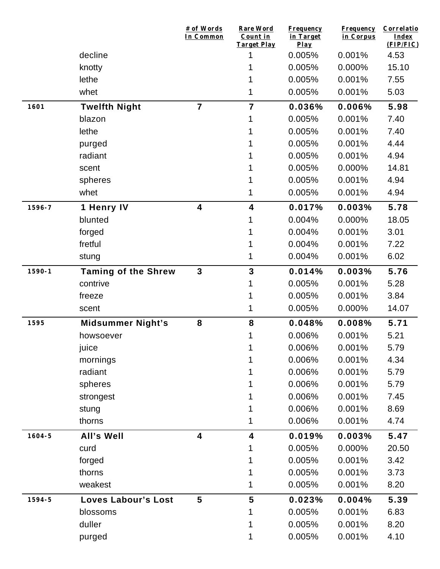|            |                            | # of Words<br>In Common | Rare Word<br>Count in<br><b>Target Play</b> | <b>Frequency</b><br>in Target<br>Play | <b>Frequency</b><br>in Corpus | <b>Correlatio</b><br>Index<br>(FIP/FIC) |
|------------|----------------------------|-------------------------|---------------------------------------------|---------------------------------------|-------------------------------|-----------------------------------------|
|            | decline                    |                         | 1                                           | 0.005%                                | 0.001%                        | 4.53                                    |
|            | knotty                     |                         |                                             | 0.005%                                | 0.000%                        | 15.10                                   |
|            | lethe                      |                         |                                             | 0.005%                                | 0.001%                        | 7.55                                    |
|            | whet                       |                         | 1                                           | 0.005%                                | 0.001%                        | 5.03                                    |
| 1601       | <b>Twelfth Night</b>       | $\overline{7}$          | $\overline{7}$                              | 0.036%                                | 0.006%                        | 5.98                                    |
|            | blazon                     |                         |                                             | 0.005%                                | 0.001%                        | 7.40                                    |
|            | lethe                      |                         |                                             | 0.005%                                | 0.001%                        | 7.40                                    |
|            | purged                     |                         |                                             | 0.005%                                | 0.001%                        | 4.44                                    |
|            | radiant                    |                         |                                             | 0.005%                                | 0.001%                        | 4.94                                    |
|            | scent                      |                         |                                             | 0.005%                                | 0.000%                        | 14.81                                   |
|            | spheres                    |                         |                                             | 0.005%                                | 0.001%                        | 4.94                                    |
|            | whet                       |                         |                                             | 0.005%                                | 0.001%                        | 4.94                                    |
| 1596-7     | 1 Henry IV                 | $\overline{\mathbf{4}}$ | 4                                           | 0.017%                                | 0.003%                        | 5.78                                    |
|            | blunted                    |                         |                                             | 0.004%                                | 0.000%                        | 18.05                                   |
|            | forged                     |                         |                                             | 0.004%                                | 0.001%                        | 3.01                                    |
|            | fretful                    |                         |                                             | 0.004%                                | 0.001%                        | 7.22                                    |
|            | stung                      |                         | 1                                           | 0.004%                                | 0.001%                        | 6.02                                    |
| $1590 - 1$ | <b>Taming of the Shrew</b> | $\mathbf{3}$            | 3                                           | 0.014%                                | 0.003%                        | 5.76                                    |
|            | contrive                   |                         |                                             | 0.005%                                | 0.001%                        | 5.28                                    |
|            | freeze                     |                         |                                             | 0.005%                                | 0.001%                        | 3.84                                    |
|            | scent                      |                         | 1                                           | 0.005%                                | 0.000%                        | 14.07                                   |
| 1595       | <b>Midsummer Night's</b>   | ${\bf 8}$               | 8                                           | 0.048%                                | 0.008%                        | 5.71                                    |
|            | howsoever                  |                         |                                             | 0.006%                                | 0.001%                        | 5.21                                    |
|            | juice                      |                         | 1                                           | 0.006%                                | 0.001%                        | 5.79                                    |
|            | mornings                   |                         |                                             | 0.006%                                | 0.001%                        | 4.34                                    |
|            | radiant                    |                         |                                             | 0.006%                                | 0.001%                        | 5.79                                    |
|            | spheres                    |                         |                                             | 0.006%                                | 0.001%                        | 5.79                                    |
|            | strongest                  |                         |                                             | 0.006%                                | 0.001%                        | 7.45                                    |
|            | stung                      |                         | 1                                           | 0.006%                                | 0.001%                        | 8.69                                    |
|            | thorns                     |                         | 1                                           | 0.006%                                | 0.001%                        | 4.74                                    |
| $1604 - 5$ | All's Well                 | $\overline{\mathbf{4}}$ | 4                                           | 0.019%                                | 0.003%                        | 5.47                                    |
|            | curd                       |                         | 1                                           | 0.005%                                | 0.000%                        | 20.50                                   |
|            | forged                     |                         | 1                                           | 0.005%                                | 0.001%                        | 3.42                                    |
|            | thorns                     |                         |                                             | 0.005%                                | 0.001%                        | 3.73                                    |
|            | weakest                    |                         | 1                                           | 0.005%                                | 0.001%                        | 8.20                                    |
| 1594-5     | <b>Loves Labour's Lost</b> | 5                       | 5                                           | 0.023%                                | 0.004%                        | 5.39                                    |
|            | blossoms                   |                         | 1                                           | 0.005%                                | 0.001%                        | 6.83                                    |
|            | duller                     |                         |                                             | 0.005%                                | 0.001%                        | 8.20                                    |
|            | purged                     |                         | 1                                           | 0.005%                                | 0.001%                        | 4.10                                    |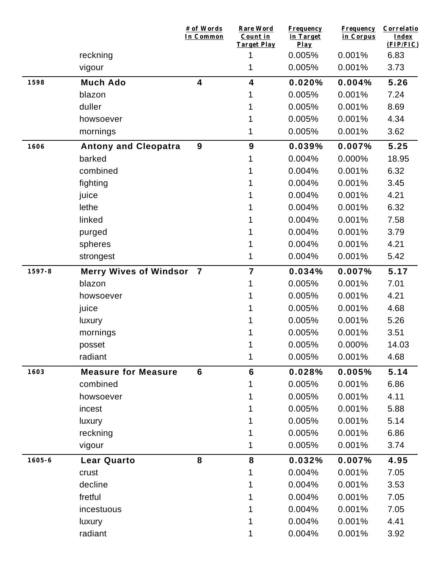|            |                               | # of Words<br>In Common | Rare Word<br>Count in<br><b>Target Play</b> | <b>Frequency</b><br>in Target<br>$Play$ | <b>Frequency</b><br>in Corpus | Correlatio<br><b>Index</b><br>(FIP/FIC) |
|------------|-------------------------------|-------------------------|---------------------------------------------|-----------------------------------------|-------------------------------|-----------------------------------------|
|            | reckning                      |                         |                                             | 0.005%                                  | 0.001%                        | 6.83                                    |
|            | vigour                        |                         | 1                                           | 0.005%                                  | 0.001%                        | 3.73                                    |
| 1598       | <b>Much Ado</b>               | $\overline{\mathbf{4}}$ | $\overline{\mathbf{4}}$                     | 0.020%                                  | 0.004%                        | 5.26                                    |
|            | blazon                        |                         |                                             | 0.005%                                  | 0.001%                        | 7.24                                    |
|            | duller                        |                         |                                             | 0.005%                                  | 0.001%                        | 8.69                                    |
|            | howsoever                     |                         |                                             | 0.005%                                  | 0.001%                        | 4.34                                    |
|            | mornings                      |                         | 1                                           | 0.005%                                  | 0.001%                        | 3.62                                    |
| 1606       | <b>Antony and Cleopatra</b>   | 9                       | 9                                           | 0.039%                                  | 0.007%                        | 5.25                                    |
|            | barked                        |                         |                                             | 0.004%                                  | 0.000%                        | 18.95                                   |
|            | combined                      |                         |                                             | 0.004%                                  | 0.001%                        | 6.32                                    |
|            | fighting                      |                         |                                             | 0.004%                                  | 0.001%                        | 3.45                                    |
|            | juice                         |                         |                                             | 0.004%                                  | 0.001%                        | 4.21                                    |
|            | lethe                         |                         |                                             | 0.004%                                  | 0.001%                        | 6.32                                    |
|            | linked                        |                         |                                             | 0.004%                                  | 0.001%                        | 7.58                                    |
|            | purged                        |                         |                                             | 0.004%                                  | 0.001%                        | 3.79                                    |
|            | spheres                       |                         |                                             | 0.004%                                  | 0.001%                        | 4.21                                    |
|            | strongest                     |                         | 1                                           | 0.004%                                  | 0.001%                        | 5.42                                    |
| $1597 - 8$ | <b>Merry Wives of Windsor</b> | $\overline{\mathbf{7}}$ | $\overline{7}$                              | 0.034%                                  | 0.007%                        | 5.17                                    |
|            | blazon                        |                         |                                             | 0.005%                                  | 0.001%                        | 7.01                                    |
|            | howsoever                     |                         |                                             | 0.005%                                  | 0.001%                        | 4.21                                    |
|            | juice                         |                         |                                             | 0.005%                                  | 0.001%                        | 4.68                                    |
|            | luxury                        |                         |                                             | 0.005%                                  | 0.001%                        | 5.26                                    |
|            | mornings                      |                         |                                             | 0.005%                                  | 0.001%                        | 3.51                                    |
|            | posset                        |                         |                                             | 0.005%                                  | 0.000%                        | 14.03                                   |
|            | radiant                       |                         | 1                                           | 0.005%                                  | 0.001%                        | 4.68                                    |
| 1603       | <b>Measure for Measure</b>    | $6\phantom{1}$          | $6\phantom{1}6$                             | 0.028%                                  | 0.005%                        | 5.14                                    |
|            | combined                      |                         |                                             | 0.005%                                  | 0.001%                        | 6.86                                    |
|            | howsoever                     |                         |                                             | 0.005%                                  | 0.001%                        | 4.11                                    |
|            | incest                        |                         |                                             | 0.005%                                  | 0.001%                        | 5.88                                    |
|            | luxury                        |                         |                                             | 0.005%                                  | 0.001%                        | 5.14                                    |
|            | reckning                      |                         |                                             | 0.005%                                  | 0.001%                        | 6.86                                    |
|            | vigour                        |                         |                                             | 0.005%                                  | 0.001%                        | 3.74                                    |
| $1605 - 6$ | <b>Lear Quarto</b>            | 8                       | 8                                           | 0.032%                                  | 0.007%                        | 4.95                                    |
|            | crust                         |                         | 1                                           | 0.004%                                  | 0.001%                        | 7.05                                    |
|            | decline                       |                         |                                             | 0.004%                                  | 0.001%                        | 3.53                                    |
|            | fretful                       |                         |                                             | 0.004%                                  | 0.001%                        | 7.05                                    |
|            | incestuous                    |                         |                                             | 0.004%                                  | 0.001%                        | 7.05                                    |
|            | luxury                        |                         |                                             | 0.004%                                  | 0.001%                        | 4.41                                    |
|            | radiant                       |                         |                                             | 0.004%                                  | 0.001%                        | 3.92                                    |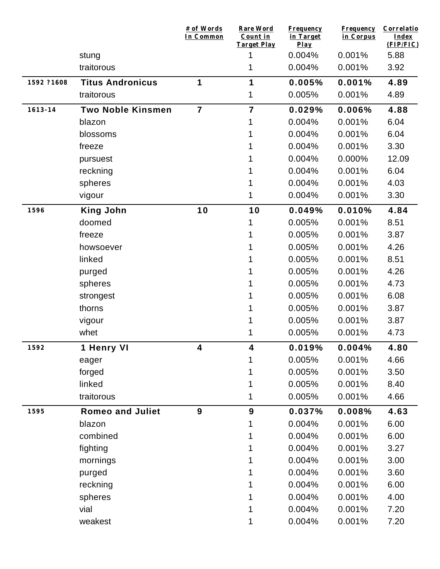|             |                          | # of Words<br>In Common | <b>Rare Word</b><br>Count in<br>Target Play | <b>Frequency</b><br>in Target<br>Play | <b>Frequency</b><br>in Corpus | Correlatio<br>Index<br>(FIP/FIC) |
|-------------|--------------------------|-------------------------|---------------------------------------------|---------------------------------------|-------------------------------|----------------------------------|
|             | stung                    |                         |                                             | 0.004%                                | 0.001%                        | 5.88                             |
|             | traitorous               |                         | 1                                           | 0.004%                                | 0.001%                        | 3.92                             |
| 1592 ?1608  | <b>Titus Andronicus</b>  | 1                       | 1                                           | 0.005%                                | 0.001%                        | 4.89                             |
|             | traitorous               |                         | 1                                           | 0.005%                                | 0.001%                        | 4.89                             |
| $1613 - 14$ | <b>Two Noble Kinsmen</b> | $\overline{7}$          | $\overline{7}$                              | 0.029%                                | 0.006%                        | 4.88                             |
|             | blazon                   |                         |                                             | 0.004%                                | 0.001%                        | 6.04                             |
|             | blossoms                 |                         |                                             | 0.004%                                | 0.001%                        | 6.04                             |
|             | freeze                   |                         |                                             | 0.004%                                | 0.001%                        | 3.30                             |
|             | pursuest                 |                         |                                             | 0.004%                                | 0.000%                        | 12.09                            |
|             | reckning                 |                         |                                             | 0.004%                                | 0.001%                        | 6.04                             |
|             | spheres                  |                         |                                             | 0.004%                                | 0.001%                        | 4.03                             |
|             | vigour                   |                         | 1                                           | 0.004%                                | 0.001%                        | 3.30                             |
| 1596        | <b>King John</b>         | 10                      | 10                                          | 0.049%                                | 0.010%                        | 4.84                             |
|             | doomed                   |                         |                                             | 0.005%                                | 0.001%                        | 8.51                             |
|             | freeze                   |                         |                                             | 0.005%                                | 0.001%                        | 3.87                             |
|             | howsoever                |                         |                                             | 0.005%                                | 0.001%                        | 4.26                             |
|             | linked                   |                         |                                             | 0.005%                                | 0.001%                        | 8.51                             |
|             | purged                   |                         |                                             | 0.005%                                | 0.001%                        | 4.26                             |
|             | spheres                  |                         |                                             | 0.005%                                | 0.001%                        | 4.73                             |
|             | strongest                |                         |                                             | 0.005%                                | 0.001%                        | 6.08                             |
|             | thorns                   |                         |                                             | 0.005%                                | 0.001%                        | 3.87                             |
|             | vigour                   |                         |                                             | 0.005%                                | 0.001%                        | 3.87                             |
|             | whet                     |                         | 1                                           | 0.005%                                | 0.001%                        | 4.73                             |
| 1592        | 1 Henry VI               | 4                       | 4                                           | 0.019%                                | 0.004%                        | 4.80                             |
|             | eager                    |                         | 1                                           | 0.005%                                | 0.001%                        | 4.66                             |
|             | forged                   |                         |                                             | 0.005%                                | 0.001%                        | 3.50                             |
|             | linked                   |                         |                                             | 0.005%                                | 0.001%                        | 8.40                             |
|             | traitorous               |                         | 1                                           | 0.005%                                | 0.001%                        | 4.66                             |
| 1595        | <b>Romeo and Juliet</b>  | 9                       | 9                                           | 0.037%                                | 0.008%                        | 4.63                             |
|             | blazon                   |                         | 1                                           | 0.004%                                | 0.001%                        | 6.00                             |
|             | combined                 |                         |                                             | 0.004%                                | 0.001%                        | 6.00                             |
|             | fighting                 |                         |                                             | 0.004%                                | 0.001%                        | 3.27                             |
|             | mornings                 |                         |                                             | 0.004%                                | 0.001%                        | 3.00                             |
|             | purged                   |                         |                                             | 0.004%                                | 0.001%                        | 3.60                             |
|             | reckning                 |                         |                                             | 0.004%                                | 0.001%                        | 6.00                             |
|             | spheres                  |                         |                                             | 0.004%                                | 0.001%                        | 4.00                             |
|             | vial                     |                         |                                             | 0.004%                                | 0.001%                        | 7.20                             |
|             | weakest                  |                         |                                             | 0.004%                                | 0.001%                        | 7.20                             |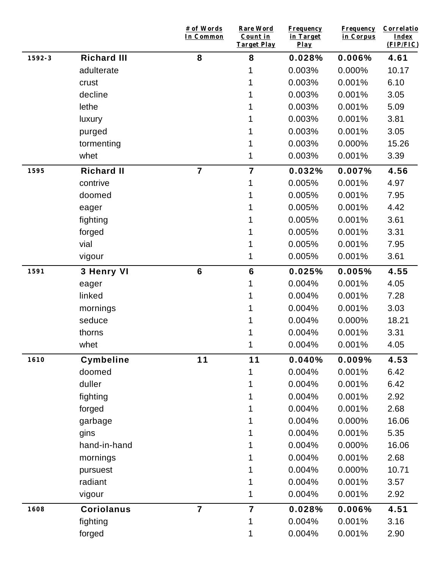|        |                    | # of Words<br>In Common | <b>Rare Word</b><br>Count in<br><b>Target Play</b> | <b>Frequency</b><br>in Target<br>$Play$ | <b>Frequency</b><br>in Corpus | Correlatio<br><b>Index</b><br>(FIP/FIC) |
|--------|--------------------|-------------------------|----------------------------------------------------|-----------------------------------------|-------------------------------|-----------------------------------------|
| 1592-3 | <b>Richard III</b> | 8                       | 8                                                  | 0.028%                                  | 0.006%                        | 4.61                                    |
|        | adulterate         |                         | 1                                                  | 0.003%                                  | 0.000%                        | 10.17                                   |
|        | crust              |                         |                                                    | 0.003%                                  | 0.001%                        | 6.10                                    |
|        | decline            |                         |                                                    | 0.003%                                  | 0.001%                        | 3.05                                    |
|        | lethe              |                         |                                                    | 0.003%                                  | 0.001%                        | 5.09                                    |
|        | luxury             |                         | 1                                                  | 0.003%                                  | 0.001%                        | 3.81                                    |
|        | purged             |                         |                                                    | 0.003%                                  | 0.001%                        | 3.05                                    |
|        | tormenting         |                         | 1                                                  | 0.003%                                  | 0.000%                        | 15.26                                   |
|        | whet               |                         | 1                                                  | 0.003%                                  | 0.001%                        | 3.39                                    |
| 1595   | <b>Richard II</b>  | $\overline{7}$          | $\overline{7}$                                     | 0.032%                                  | 0.007%                        | 4.56                                    |
|        | contrive           |                         | 1                                                  | 0.005%                                  | 0.001%                        | 4.97                                    |
|        | doomed             |                         | 1                                                  | 0.005%                                  | 0.001%                        | 7.95                                    |
|        | eager              |                         | 1                                                  | 0.005%                                  | 0.001%                        | 4.42                                    |
|        | fighting           |                         |                                                    | 0.005%                                  | 0.001%                        | 3.61                                    |
|        | forged             |                         | 1                                                  | 0.005%                                  | 0.001%                        | 3.31                                    |
|        | vial               |                         | 1                                                  | 0.005%                                  | 0.001%                        | 7.95                                    |
|        | vigour             |                         | 1                                                  | 0.005%                                  | 0.001%                        | 3.61                                    |
| 1591   | 3 Henry VI         | $6\phantom{1}6$         | $6\phantom{1}6$                                    | 0.025%                                  | 0.005%                        | 4.55                                    |
|        | eager              |                         | 1                                                  | 0.004%                                  | 0.001%                        | 4.05                                    |
|        | linked             |                         | 1                                                  | 0.004%                                  | 0.001%                        | 7.28                                    |
|        | mornings           |                         | 1                                                  | 0.004%                                  | 0.001%                        | 3.03                                    |
|        | seduce             |                         | 1                                                  | 0.004%                                  | 0.000%                        | 18.21                                   |
|        | thorns             |                         | 1                                                  | 0.004%                                  | 0.001%                        | 3.31                                    |
|        | whet               |                         | 1                                                  | 0.004%                                  | 0.001%                        | 4.05                                    |
| 1610   | <b>Cymbeline</b>   | 11                      | 11                                                 | 0.040%                                  | 0.009%                        | 4.53                                    |
|        | doomed             |                         | 1                                                  | 0.004%                                  | 0.001%                        | 6.42                                    |
|        | duller             |                         | 1                                                  | 0.004%                                  | 0.001%                        | 6.42                                    |
|        | fighting           |                         |                                                    | 0.004%                                  | 0.001%                        | 2.92                                    |
|        | forged             |                         | 1                                                  | 0.004%                                  | 0.001%                        | 2.68                                    |
|        | garbage            |                         |                                                    | 0.004%                                  | 0.000%                        | 16.06                                   |
|        | gins               |                         | 1                                                  | 0.004%                                  | 0.001%                        | 5.35                                    |
|        | hand-in-hand       |                         | 1                                                  | 0.004%                                  | 0.000%                        | 16.06                                   |
|        | mornings           |                         |                                                    | 0.004%                                  | 0.001%                        | 2.68                                    |
|        | pursuest           |                         | 1                                                  | 0.004%                                  | 0.000%                        | 10.71                                   |
|        | radiant            |                         | 1                                                  | 0.004%                                  | 0.001%                        | 3.57                                    |
|        | vigour             |                         | 1                                                  | 0.004%                                  | 0.001%                        | 2.92                                    |
| 1608   | <b>Coriolanus</b>  | $\overline{7}$          | $\overline{7}$                                     | 0.028%                                  | 0.006%                        | 4.51                                    |
|        | fighting           |                         | 1                                                  | 0.004%                                  | 0.001%                        | 3.16                                    |
|        | forged             |                         | 1                                                  | 0.004%                                  | 0.001%                        | 2.90                                    |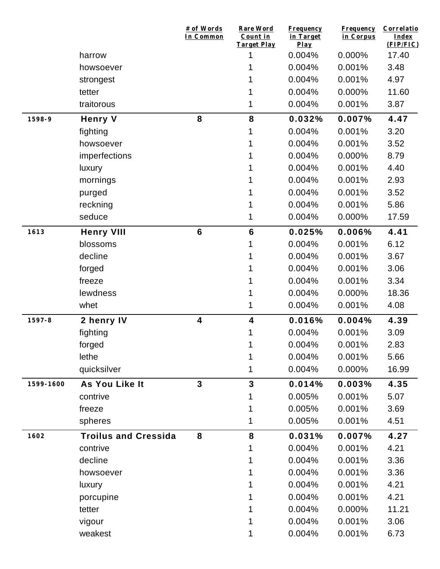|           |                             | # of Words<br>In Common | <b>Rare Word</b><br>Count in<br><b>Target Play</b> | <b>Frequency</b><br>in Target<br>Play | <b>Frequency</b><br>in Corpus | Correlatio<br>Index<br>(FIP/FIC) |
|-----------|-----------------------------|-------------------------|----------------------------------------------------|---------------------------------------|-------------------------------|----------------------------------|
|           | harrow                      |                         | 1                                                  | 0.004%                                | 0.000%                        | 17.40                            |
|           | howsoever                   |                         |                                                    | 0.004%                                | 0.001%                        | 3.48                             |
|           | strongest                   |                         |                                                    | 0.004%                                | 0.001%                        | 4.97                             |
|           | tetter                      |                         |                                                    | 0.004%                                | 0.000%                        | 11.60                            |
|           | traitorous                  |                         |                                                    | 0.004%                                | 0.001%                        | 3.87                             |
| 1598-9    | <b>Henry V</b>              | 8                       | 8                                                  | 0.032%                                | 0.007%                        | 4.47                             |
|           | fighting                    |                         |                                                    | 0.004%                                | 0.001%                        | 3.20                             |
|           | howsoever                   |                         |                                                    | 0.004%                                | 0.001%                        | 3.52                             |
|           | imperfections               |                         |                                                    | 0.004%                                | 0.000%                        | 8.79                             |
|           | luxury                      |                         |                                                    | 0.004%                                | 0.001%                        | 4.40                             |
|           | mornings                    |                         |                                                    | 0.004%                                | 0.001%                        | 2.93                             |
|           | purged                      |                         |                                                    | 0.004%                                | 0.001%                        | 3.52                             |
|           | reckning                    |                         |                                                    | 0.004%                                | 0.001%                        | 5.86                             |
|           | seduce                      |                         | 1                                                  | 0.004%                                | 0.000%                        | 17.59                            |
| 1613      | <b>Henry VIII</b>           | $6\phantom{1}6$         | $6\phantom{1}$                                     | 0.025%                                | 0.006%                        | 4.41                             |
|           | blossoms                    |                         |                                                    | 0.004%                                | 0.001%                        | 6.12                             |
|           | decline                     |                         |                                                    | 0.004%                                | 0.001%                        | 3.67                             |
|           | forged                      |                         |                                                    | 0.004%                                | 0.001%                        | 3.06                             |
|           | freeze                      |                         |                                                    | 0.004%                                | 0.001%                        | 3.34                             |
|           | lewdness                    |                         |                                                    | 0.004%                                | 0.000%                        | 18.36                            |
|           | whet                        |                         |                                                    | 0.004%                                | 0.001%                        | 4.08                             |
| 1597-8    | 2 henry IV                  | 4                       | $\overline{\mathbf{4}}$                            | 0.016%                                | 0.004%                        | 4.39                             |
|           | fighting                    |                         |                                                    | 0.004%                                | 0.001%                        | 3.09                             |
|           | forged                      |                         |                                                    | 0.004%                                | 0.001%                        | 2.83                             |
|           | lethe                       |                         | 1                                                  | 0.004%                                | 0.001%                        | 5.66                             |
|           | quicksilver                 |                         | 1                                                  | 0.004%                                | 0.000%                        | 16.99                            |
| 1599-1600 | As You Like It              | $\overline{3}$          | $\overline{3}$                                     | 0.014%                                | 0.003%                        | 4.35                             |
|           | contrive                    |                         |                                                    | 0.005%                                | 0.001%                        | 5.07                             |
|           | freeze                      |                         |                                                    | 0.005%                                | 0.001%                        | 3.69                             |
|           | spheres                     |                         |                                                    | 0.005%                                | 0.001%                        | 4.51                             |
| 1602      | <b>Troilus and Cressida</b> | 8                       | 8                                                  | 0.031%                                | 0.007%                        | 4.27                             |
|           | contrive                    |                         |                                                    | 0.004%                                | 0.001%                        | 4.21                             |
|           | decline                     |                         |                                                    | 0.004%                                | 0.001%                        | 3.36                             |
|           | howsoever                   |                         |                                                    | 0.004%                                | 0.001%                        | 3.36                             |
|           | luxury                      |                         |                                                    | 0.004%                                | 0.001%                        | 4.21                             |
|           | porcupine                   |                         |                                                    | 0.004%                                | 0.001%                        | 4.21                             |
|           | tetter                      |                         |                                                    | 0.004%                                | 0.000%                        | 11.21                            |
|           | vigour                      |                         |                                                    | 0.004%                                | 0.001%                        | 3.06                             |
|           | weakest                     |                         |                                                    | 0.004%                                | 0.001%                        | 6.73                             |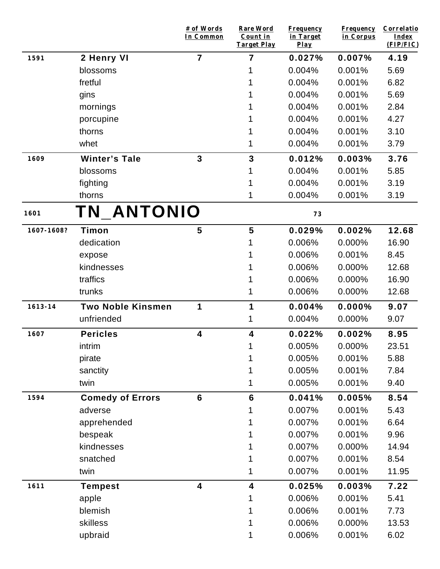|             |                          | # of Words<br>In Common | <b>Rare Word</b><br>Count in<br><b>Target Play</b> | <b>Frequency</b><br>in Target<br>$Play$ | <b>Frequency</b><br>in Corpus | Correlatio<br>Index<br>(FIP/FIC) |
|-------------|--------------------------|-------------------------|----------------------------------------------------|-----------------------------------------|-------------------------------|----------------------------------|
| 1591        | 2 Henry VI               | $\overline{7}$          | 7                                                  | 0.027%                                  | 0.007%                        | 4.19                             |
|             | blossoms                 |                         |                                                    | 0.004%                                  | 0.001%                        | 5.69                             |
|             | fretful                  |                         |                                                    | 0.004%                                  | 0.001%                        | 6.82                             |
|             | gins                     |                         |                                                    | 0.004%                                  | 0.001%                        | 5.69                             |
|             | mornings                 |                         |                                                    | 0.004%                                  | 0.001%                        | 2.84                             |
|             | porcupine                |                         |                                                    | 0.004%                                  | 0.001%                        | 4.27                             |
|             | thorns                   |                         |                                                    | 0.004%                                  | 0.001%                        | 3.10                             |
|             | whet                     |                         |                                                    | 0.004%                                  | 0.001%                        | 3.79                             |
| 1609        | <b>Winter's Tale</b>     | $\overline{3}$          | $\mathbf{3}$                                       | 0.012%                                  | 0.003%                        | 3.76                             |
|             | blossoms                 |                         |                                                    | 0.004%                                  | 0.001%                        | 5.85                             |
|             | fighting                 |                         |                                                    | 0.004%                                  | 0.001%                        | 3.19                             |
|             | thorns                   |                         |                                                    | 0.004%                                  | 0.001%                        | 3.19                             |
| 1601        | TN_ANTONIO               |                         |                                                    | 73                                      |                               |                                  |
| 1607-1608?  | Timon                    | 5                       | 5                                                  | 0.029%                                  | 0.002%                        | 12.68                            |
|             | dedication               |                         |                                                    | 0.006%                                  | 0.000%                        | 16.90                            |
|             | expose                   |                         |                                                    | 0.006%                                  | 0.001%                        | 8.45                             |
|             | kindnesses               |                         |                                                    | 0.006%                                  | 0.000%                        | 12.68                            |
|             | traffics                 |                         |                                                    | 0.006%                                  | 0.000%                        | 16.90                            |
|             | trunks                   |                         | 1                                                  | 0.006%                                  | 0.000%                        | 12.68                            |
| $1613 - 14$ | <b>Two Noble Kinsmen</b> | 1                       | 1                                                  | 0.004%                                  | 0.000%                        | 9.07                             |
|             | unfriended               |                         | 1                                                  | 0.004%                                  | 0.000%                        | 9.07                             |
| 1607        | <b>Pericles</b>          | 4                       | 4                                                  | 0.022%                                  | 0.002%                        | 8.95                             |
|             | intrim                   |                         | 1                                                  | 0.005%                                  | $0.000\%$                     | 23.51                            |
|             | pirate                   |                         |                                                    | 0.005%                                  | 0.001%                        | 5.88                             |
|             | sanctity                 |                         |                                                    | 0.005%                                  | 0.001%                        | 7.84                             |
|             | twin                     |                         |                                                    | 0.005%                                  | 0.001%                        | 9.40                             |
| 1594        | <b>Comedy of Errors</b>  | $6\phantom{1}$          | $6\phantom{1}6$                                    | 0.041%                                  | 0.005%                        | 8.54                             |
|             | adverse                  |                         |                                                    | 0.007%                                  | 0.001%                        | 5.43                             |
|             | apprehended              |                         |                                                    | 0.007%                                  | 0.001%                        | 6.64                             |
|             | bespeak                  |                         |                                                    | 0.007%                                  | 0.001%                        | 9.96                             |
|             | kindnesses               |                         |                                                    | 0.007%                                  | 0.000%                        | 14.94                            |
|             | snatched                 |                         |                                                    | 0.007%                                  | 0.001%                        | 8.54                             |
|             | twin                     |                         |                                                    | 0.007%                                  | 0.001%                        | 11.95                            |
| 1611        | <b>Tempest</b>           | $\overline{\mathbf{4}}$ | $\overline{\mathbf{4}}$                            | 0.025%                                  | 0.003%                        | 7.22                             |
|             | apple                    |                         |                                                    | 0.006%                                  | 0.001%                        | 5.41                             |
|             | blemish                  |                         |                                                    | 0.006%                                  | 0.001%                        | 7.73                             |
|             | skilless                 |                         |                                                    | 0.006%                                  | 0.000%                        | 13.53                            |
|             | upbraid                  |                         |                                                    | 0.006%                                  | 0.001%                        | 6.02                             |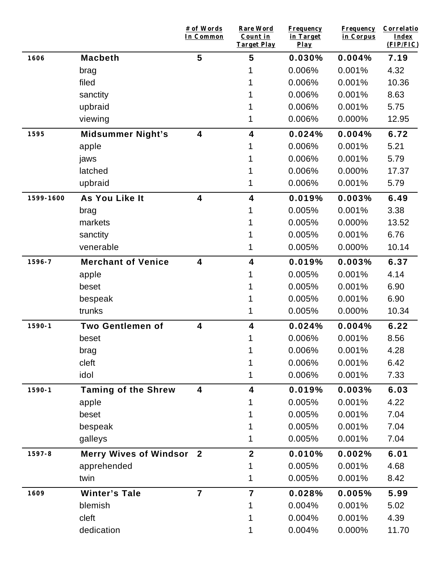|            |                               | # of Words<br>In Common | <b>Rare Word</b><br>Count in<br><b>Target Play</b> | <b>Frequency</b><br>in Target<br>Play | <b>Frequency</b><br>in Corpus | Correlatio<br>Index<br>(FIP/FIC) |
|------------|-------------------------------|-------------------------|----------------------------------------------------|---------------------------------------|-------------------------------|----------------------------------|
| 1606       | <b>Macbeth</b>                | 5                       | 5                                                  | 0.030%                                | 0.004%                        | 7.19                             |
|            | brag                          |                         |                                                    | 0.006%                                | 0.001%                        | 4.32                             |
|            | filed                         |                         |                                                    | 0.006%                                | 0.001%                        | 10.36                            |
|            | sanctity                      |                         |                                                    | 0.006%                                | 0.001%                        | 8.63                             |
|            | upbraid                       |                         |                                                    | 0.006%                                | 0.001%                        | 5.75                             |
|            | viewing                       |                         | 1                                                  | 0.006%                                | 0.000%                        | 12.95                            |
| 1595       | <b>Midsummer Night's</b>      | $\overline{\mathbf{4}}$ | 4                                                  | 0.024%                                | 0.004%                        | 6.72                             |
|            | apple                         |                         |                                                    | 0.006%                                | 0.001%                        | 5.21                             |
|            | jaws                          |                         |                                                    | 0.006%                                | 0.001%                        | 5.79                             |
|            | latched                       |                         |                                                    | 0.006%                                | 0.000%                        | 17.37                            |
|            | upbraid                       |                         |                                                    | 0.006%                                | 0.001%                        | 5.79                             |
| 1599-1600  | As You Like It                | $\overline{\mathbf{4}}$ | 4                                                  | 0.019%                                | 0.003%                        | 6.49                             |
|            | brag                          |                         |                                                    | 0.005%                                | 0.001%                        | 3.38                             |
|            | markets                       |                         |                                                    | 0.005%                                | 0.000%                        | 13.52                            |
|            | sanctity                      |                         |                                                    | 0.005%                                | 0.001%                        | 6.76                             |
|            | venerable                     |                         |                                                    | 0.005%                                | 0.000%                        | 10.14                            |
| 1596-7     | <b>Merchant of Venice</b>     | $\overline{\mathbf{4}}$ | $\overline{\mathbf{4}}$                            | 0.019%                                | 0.003%                        | 6.37                             |
|            | apple                         |                         |                                                    | 0.005%                                | 0.001%                        | 4.14                             |
|            | beset                         |                         |                                                    | 0.005%                                | 0.001%                        | 6.90                             |
|            | bespeak                       |                         |                                                    | 0.005%                                | 0.001%                        | 6.90                             |
|            | trunks                        |                         | 1                                                  | 0.005%                                | 0.000%                        | 10.34                            |
| $1590 - 1$ | <b>Two Gentlemen of</b>       | $\overline{\mathbf{4}}$ | $\overline{\mathbf{4}}$                            | 0.024%                                | 0.004%                        | 6.22                             |
|            | beset                         |                         |                                                    | 0.006%                                | 0.001%                        | 8.56                             |
|            | brag                          |                         |                                                    | 0.006%                                | 0.001%                        | 4.28                             |
|            | cleft                         |                         |                                                    | 0.006%                                | 0.001%                        | 6.42                             |
|            | idol                          |                         | 1                                                  | 0.006%                                | 0.001%                        | 7.33                             |
| $1590 - 1$ | <b>Taming of the Shrew</b>    | 4                       | 4                                                  | 0.019%                                | 0.003%                        | 6.03                             |
|            | apple                         |                         |                                                    | 0.005%                                | 0.001%                        | 4.22                             |
|            | beset                         |                         |                                                    | 0.005%                                | 0.001%                        | 7.04                             |
|            | bespeak                       |                         |                                                    | 0.005%                                | 0.001%                        | 7.04                             |
|            | galleys                       |                         |                                                    | 0.005%                                | 0.001%                        | 7.04                             |
| 1597-8     | <b>Merry Wives of Windsor</b> | $\boldsymbol{2}$        | $\mathbf{2}$                                       | 0.010%                                | 0.002%                        | 6.01                             |
|            | apprehended                   |                         | 1                                                  | 0.005%                                | 0.001%                        | 4.68                             |
|            | twin                          |                         | 1                                                  | 0.005%                                | 0.001%                        | 8.42                             |
| 1609       | <b>Winter's Tale</b>          | $\overline{\mathbf{7}}$ | $\overline{7}$                                     | 0.028%                                | 0.005%                        | 5.99                             |
|            | blemish                       |                         |                                                    | 0.004%                                | 0.001%                        | 5.02                             |
|            | cleft                         |                         |                                                    | 0.004%                                | 0.001%                        | 4.39                             |
|            | dedication                    |                         | 1                                                  | 0.004%                                | 0.000%                        | 11.70                            |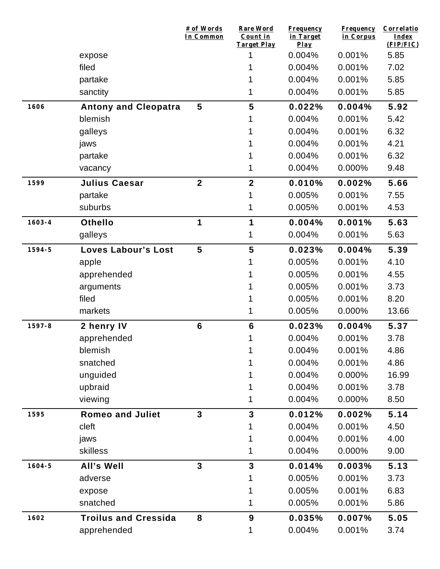|            |                             | # of Words<br>In Common | <b>Rare Word</b><br>Count in<br>Target Play | <b>Frequency</b><br>in Target<br>$Play$ | <b>Frequency</b><br>in Corpus | Correlatio<br>Index<br>(FIP/FIC) |
|------------|-----------------------------|-------------------------|---------------------------------------------|-----------------------------------------|-------------------------------|----------------------------------|
|            | expose                      |                         | 1                                           | 0.004%                                  | 0.001%                        | 5.85                             |
|            | filed                       |                         |                                             | 0.004%                                  | 0.001%                        | 7.02                             |
|            | partake                     |                         |                                             | 0.004%                                  | 0.001%                        | 5.85                             |
|            | sanctity                    |                         |                                             | 0.004%                                  | 0.001%                        | 5.85                             |
| 1606       | <b>Antony and Cleopatra</b> | 5                       | 5                                           | 0.022%                                  | 0.004%                        | 5.92                             |
|            | blemish                     |                         |                                             | 0.004%                                  | 0.001%                        | 5.42                             |
|            | galleys                     |                         |                                             | 0.004%                                  | 0.001%                        | 6.32                             |
|            | jaws                        |                         |                                             | 0.004%                                  | 0.001%                        | 4.21                             |
|            | partake                     |                         |                                             | 0.004%                                  | 0.001%                        | 6.32                             |
|            | vacancy                     |                         |                                             | 0.004%                                  | 0.000%                        | 9.48                             |
| 1599       | <b>Julius Caesar</b>        | $\overline{\mathbf{2}}$ | $\mathbf{2}$                                | 0.010%                                  | 0.002%                        | 5.66                             |
|            | partake                     |                         |                                             | 0.005%                                  | 0.001%                        | 7.55                             |
|            | suburbs                     |                         |                                             | 0.005%                                  | 0.001%                        | 4.53                             |
| $1603 - 4$ | <b>Othello</b>              | 1                       | 1                                           | 0.004%                                  | 0.001%                        | 5.63                             |
|            | galleys                     |                         |                                             | 0.004%                                  | 0.001%                        | 5.63                             |
| 1594-5     | <b>Loves Labour's Lost</b>  | 5                       | 5                                           | 0.023%                                  | 0.004%                        | 5.39                             |
|            | apple                       |                         |                                             | 0.005%                                  | 0.001%                        | 4.10                             |
|            | apprehended                 |                         |                                             | 0.005%                                  | 0.001%                        | 4.55                             |
|            | arguments                   |                         |                                             | 0.005%                                  | 0.001%                        | 3.73                             |
|            | filed                       |                         |                                             | 0.005%                                  | 0.001%                        | 8.20                             |
|            | markets                     |                         | 1                                           | 0.005%                                  | 0.000%                        | 13.66                            |
| 1597-8     | 2 henry IV                  | $6\phantom{1}$          | $6\phantom{1}6$                             | 0.023%                                  | 0.004%                        | 5.37                             |
|            | apprehended                 |                         |                                             | 0.004%                                  | 0.001%                        | 3.78                             |
|            | blemish                     |                         |                                             | 0.004%                                  | 0.001%                        | 4.86                             |
|            | snatched                    |                         |                                             | 0.004%                                  | 0.001%                        | 4.86                             |
|            | unguided                    |                         |                                             | 0.004%                                  | 0.000%                        | 16.99                            |
|            | upbraid                     |                         |                                             | 0.004%                                  | 0.001%                        | 3.78                             |
|            | viewing                     |                         | 1                                           | 0.004%                                  | 0.000%                        | 8.50                             |
| 1595       | <b>Romeo and Juliet</b>     | $\overline{3}$          | $\overline{3}$                              | 0.012%                                  | 0.002%                        | 5.14                             |
|            | cleft                       |                         |                                             | 0.004%                                  | 0.001%                        | 4.50                             |
|            | jaws                        |                         |                                             | 0.004%                                  | 0.001%                        | 4.00                             |
|            | skilless                    |                         | 1                                           | 0.004%                                  | 0.000%                        | 9.00                             |
| $1604 - 5$ | All's Well                  | $\overline{\mathbf{3}}$ | $\mathbf{3}$                                | 0.014%                                  | 0.003%                        | 5.13                             |
|            | adverse                     |                         |                                             | 0.005%                                  | 0.001%                        | 3.73                             |
|            | expose                      |                         |                                             | 0.005%                                  | 0.001%                        | 6.83                             |
|            | snatched                    |                         | 1                                           | 0.005%                                  | 0.001%                        | 5.86                             |
| 1602       | <b>Troilus and Cressida</b> | 8                       | 9                                           | 0.035%                                  | 0.007%                        | 5.05                             |
|            | apprehended                 |                         | 1                                           | 0.004%                                  | 0.001%                        | 3.74                             |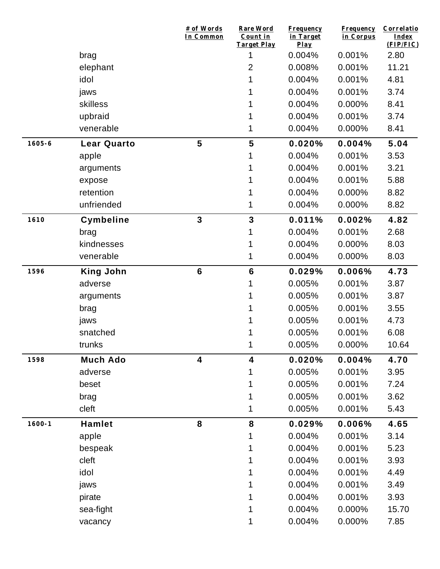|            |                    | # of Words<br>In Common | Rare Word<br>Count in<br>Target Play | <b>Frequency</b><br>in Target<br>Play | <b>Frequency</b><br>in Corpus | Correlatio<br>Index<br>(FIP/FIC) |
|------------|--------------------|-------------------------|--------------------------------------|---------------------------------------|-------------------------------|----------------------------------|
|            | brag               |                         | 1                                    | 0.004%                                | 0.001%                        | 2.80                             |
|            | elephant           |                         | $\overline{2}$                       | 0.008%                                | 0.001%                        | 11.21                            |
|            | idol               |                         |                                      | 0.004%                                | 0.001%                        | 4.81                             |
|            | jaws               |                         |                                      | 0.004%                                | 0.001%                        | 3.74                             |
|            | skilless           |                         |                                      | 0.004%                                | 0.000%                        | 8.41                             |
|            | upbraid            |                         |                                      | 0.004%                                | 0.001%                        | 3.74                             |
|            | venerable          |                         |                                      | 0.004%                                | 0.000%                        | 8.41                             |
| $1605 - 6$ | <b>Lear Quarto</b> | 5                       | 5                                    | 0.020%                                | 0.004%                        | 5.04                             |
|            | apple              |                         |                                      | 0.004%                                | 0.001%                        | 3.53                             |
|            | arguments          |                         |                                      | 0.004%                                | 0.001%                        | 3.21                             |
|            | expose             |                         |                                      | 0.004%                                | 0.001%                        | 5.88                             |
|            | retention          |                         |                                      | 0.004%                                | 0.000%                        | 8.82                             |
|            | unfriended         |                         |                                      | 0.004%                                | 0.000%                        | 8.82                             |
| 1610       | Cymbeline          | $\mathbf{3}$            | 3                                    | 0.011%                                | 0.002%                        | 4.82                             |
|            | brag               |                         |                                      | 0.004%                                | 0.001%                        | 2.68                             |
|            | kindnesses         |                         |                                      | 0.004%                                | 0.000%                        | 8.03                             |
|            | venerable          |                         | 1                                    | 0.004%                                | 0.000%                        | 8.03                             |
| 1596       | <b>King John</b>   | $6\phantom{1}6$         | $6\phantom{1}6$                      | 0.029%                                | 0.006%                        | 4.73                             |
|            | adverse            |                         |                                      | 0.005%                                | 0.001%                        | 3.87                             |
|            | arguments          |                         |                                      | 0.005%                                | 0.001%                        | 3.87                             |
|            | brag               |                         |                                      | 0.005%                                | 0.001%                        | 3.55                             |
|            | jaws               |                         |                                      | 0.005%                                | 0.001%                        | 4.73                             |
|            | snatched           |                         |                                      | 0.005%                                | 0.001%                        | 6.08                             |
|            | trunks             |                         | 1                                    | 0.005%                                | 0.000%                        | 10.64                            |
| 1598       | <b>Much Ado</b>    | $\overline{\mathbf{4}}$ | 4                                    | 0.020%                                | 0.004%                        | 4.70                             |
|            | adverse            |                         | 1                                    | 0.005%                                | 0.001%                        | 3.95                             |
|            | beset              |                         |                                      | 0.005%                                | 0.001%                        | 7.24                             |
|            | brag               |                         |                                      | 0.005%                                | 0.001%                        | 3.62                             |
|            | cleft              |                         | 1                                    | 0.005%                                | 0.001%                        | 5.43                             |
| $1600 - 1$ | <b>Hamlet</b>      | 8                       | 8                                    | 0.029%                                | 0.006%                        | 4.65                             |
|            | apple              |                         | 1                                    | 0.004%                                | 0.001%                        | 3.14                             |
|            | bespeak            |                         |                                      | 0.004%                                | 0.001%                        | 5.23                             |
|            | cleft              |                         |                                      | 0.004%                                | 0.001%                        | 3.93                             |
|            | idol               |                         |                                      | 0.004%                                | 0.001%                        | 4.49                             |
|            | jaws               |                         |                                      | 0.004%                                | 0.001%                        | 3.49                             |
|            | pirate             |                         |                                      | 0.004%                                | 0.001%                        | 3.93                             |
|            | sea-fight          |                         |                                      | 0.004%                                | 0.000%                        | 15.70                            |
|            | vacancy            |                         |                                      | 0.004%                                | 0.000%                        | 7.85                             |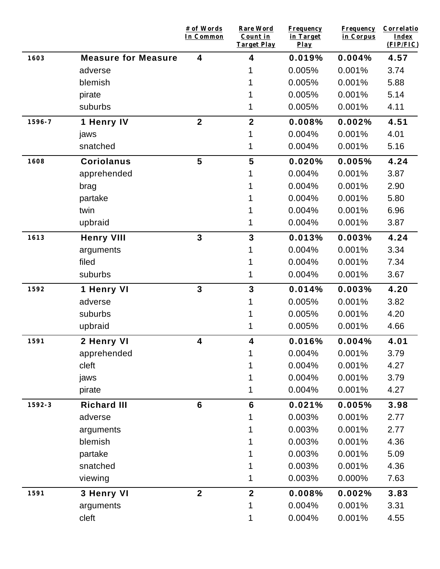|        |                            | # of Words<br>In Common | Rare Word<br>Count in<br><b>Target Play</b> | <b>Frequency</b><br>in Target<br>$Play$ | <b>Frequency</b><br>in Corpus | Correlatio<br><b>Index</b><br>(FIP/FIC) |
|--------|----------------------------|-------------------------|---------------------------------------------|-----------------------------------------|-------------------------------|-----------------------------------------|
| 1603   | <b>Measure for Measure</b> | $\overline{\mathbf{4}}$ | 4                                           | 0.019%                                  | 0.004%                        | 4.57                                    |
|        | adverse                    |                         |                                             | 0.005%                                  | 0.001%                        | 3.74                                    |
|        | blemish                    |                         |                                             | 0.005%                                  | 0.001%                        | 5.88                                    |
|        | pirate                     |                         |                                             | 0.005%                                  | 0.001%                        | 5.14                                    |
|        | suburbs                    |                         |                                             | 0.005%                                  | 0.001%                        | 4.11                                    |
| 1596-7 | 1 Henry IV                 | $\mathbf{2}$            | $\overline{\mathbf{2}}$                     | 0.008%                                  | 0.002%                        | 4.51                                    |
|        | jaws                       |                         |                                             | 0.004%                                  | 0.001%                        | 4.01                                    |
|        | snatched                   |                         | 1                                           | 0.004%                                  | 0.001%                        | 5.16                                    |
| 1608   | <b>Coriolanus</b>          | $5\phantom{1}$          | 5                                           | 0.020%                                  | 0.005%                        | 4.24                                    |
|        | apprehended                |                         |                                             | 0.004%                                  | 0.001%                        | 3.87                                    |
|        | brag                       |                         |                                             | 0.004%                                  | 0.001%                        | 2.90                                    |
|        | partake                    |                         |                                             | 0.004%                                  | 0.001%                        | 5.80                                    |
|        | twin                       |                         |                                             | 0.004%                                  | 0.001%                        | 6.96                                    |
|        | upbraid                    |                         | 1                                           | 0.004%                                  | 0.001%                        | 3.87                                    |
| 1613   | <b>Henry VIII</b>          | $\mathbf{3}$            | 3                                           | 0.013%                                  | 0.003%                        | 4.24                                    |
|        | arguments                  |                         | 1                                           | 0.004%                                  | 0.001%                        | 3.34                                    |
|        | filed                      |                         |                                             | 0.004%                                  | 0.001%                        | 7.34                                    |
|        | suburbs                    |                         | 1                                           | 0.004%                                  | 0.001%                        | 3.67                                    |
| 1592   | 1 Henry VI                 | $\mathbf{3}$            | 3                                           | 0.014%                                  | 0.003%                        | 4.20                                    |
|        | adverse                    |                         | 1                                           | 0.005%                                  | 0.001%                        | 3.82                                    |
|        | suburbs                    |                         |                                             | 0.005%                                  | 0.001%                        | 4.20                                    |
|        | upbraid                    |                         | 1                                           | 0.005%                                  | 0.001%                        | 4.66                                    |
| 1591   | 2 Henry VI                 | 4                       | 4                                           | 0.016%                                  | 0.004%                        | 4.01                                    |
|        | apprehended                |                         | 1                                           | 0.004%                                  | 0.001%                        | 3.79                                    |
|        | cleft                      |                         | 1                                           | 0.004%                                  | 0.001%                        | 4.27                                    |
|        | jaws                       |                         | 1                                           | 0.004%                                  | 0.001%                        | 3.79                                    |
|        | pirate                     |                         | 1                                           | 0.004%                                  | 0.001%                        | 4.27                                    |
| 1592-3 | <b>Richard III</b>         | $6\phantom{1}$          | $6\phantom{1}$                              | 0.021%                                  | 0.005%                        | 3.98                                    |
|        | adverse                    |                         | 1                                           | 0.003%                                  | 0.001%                        | 2.77                                    |
|        | arguments                  |                         | 1                                           | 0.003%                                  | 0.001%                        | 2.77                                    |
|        | blemish                    |                         | 1                                           | 0.003%                                  | 0.001%                        | 4.36                                    |
|        | partake                    |                         |                                             | 0.003%                                  | 0.001%                        | 5.09                                    |
|        | snatched                   |                         | 1                                           | 0.003%                                  | 0.001%                        | 4.36                                    |
|        | viewing                    |                         | 1                                           | 0.003%                                  | 0.000%                        | 7.63                                    |
| 1591   | 3 Henry VI                 | $\mathbf{2}$            | $\boldsymbol{2}$                            | 0.008%                                  | 0.002%                        | 3.83                                    |
|        | arguments                  |                         | 1                                           | 0.004%                                  | 0.001%                        | 3.31                                    |
|        | cleft                      |                         | 1                                           | 0.004%                                  | 0.001%                        | 4.55                                    |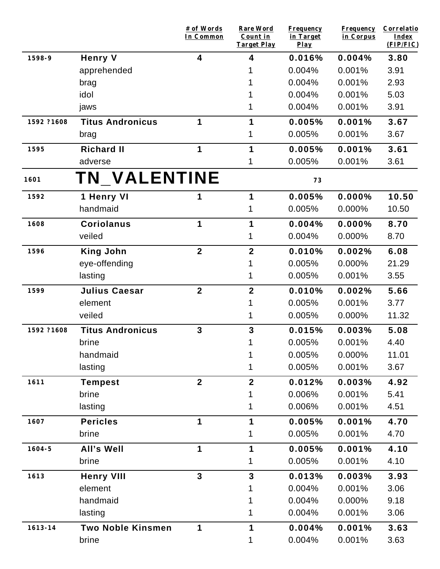|             |                          | # of Words<br>In Common | <b>Rare Word</b><br>Count in<br><b>Target Play</b> | <b>Frequency</b><br>in Target<br>$Play$ | <b>Frequency</b><br>in Corpus | Correlatio<br>Index<br>(FIP/FIC) |
|-------------|--------------------------|-------------------------|----------------------------------------------------|-----------------------------------------|-------------------------------|----------------------------------|
| 1598-9      | <b>Henry V</b>           | 4                       | 4                                                  | 0.016%                                  | 0.004%                        | 3.80                             |
|             | apprehended              |                         |                                                    | 0.004%                                  | 0.001%                        | 3.91                             |
|             | brag                     |                         |                                                    | 0.004%                                  | 0.001%                        | 2.93                             |
|             | idol                     |                         |                                                    | 0.004%                                  | 0.001%                        | 5.03                             |
|             | jaws                     |                         |                                                    | 0.004%                                  | 0.001%                        | 3.91                             |
| 1592 ?1608  | <b>Titus Andronicus</b>  | $\mathbf 1$             | 1                                                  | 0.005%                                  | 0.001%                        | 3.67                             |
|             | brag                     |                         | 1                                                  | 0.005%                                  | 0.001%                        | 3.67                             |
| 1595        | <b>Richard II</b>        | 1                       | 1                                                  | 0.005%                                  | 0.001%                        | 3.61                             |
|             | adverse                  |                         | 1                                                  | 0.005%                                  | 0.001%                        | 3.61                             |
| 1601        | <b>TN_VALENTINE</b>      |                         |                                                    | 73                                      |                               |                                  |
| 1592        | 1 Henry VI               | 1                       | 1                                                  | 0.005%                                  | 0.000%                        | 10.50                            |
|             | handmaid                 |                         |                                                    | 0.005%                                  | 0.000%                        | 10.50                            |
| 1608        | <b>Coriolanus</b>        | 1                       | 1                                                  | 0.004%                                  | 0.000%                        | 8.70                             |
|             | veiled                   |                         | 1                                                  | 0.004%                                  | 0.000%                        | 8.70                             |
| 1596        | <b>King John</b>         | $\overline{2}$          | $\overline{2}$                                     | 0.010%                                  | 0.002%                        | 6.08                             |
|             | eye-offending            |                         |                                                    | 0.005%                                  | 0.000%                        | 21.29                            |
|             | lasting                  |                         | 1                                                  | 0.005%                                  | 0.001%                        | 3.55                             |
| 1599        | <b>Julius Caesar</b>     | $\mathbf{2}$            | $\mathbf{2}$                                       | 0.010%                                  | 0.002%                        | 5.66                             |
|             | element                  |                         |                                                    | 0.005%                                  | 0.001%                        | 3.77                             |
|             | veiled                   |                         | 1                                                  | 0.005%                                  | 0.000%                        | 11.32                            |
| 1592 ?1608  | <b>Titus Andronicus</b>  | $\overline{3}$          | 3                                                  | 0.015%                                  | 0.003%                        | 5.08                             |
|             | brine                    |                         | 1                                                  | 0.005%                                  | 0.001%                        | 4.40                             |
|             | handmaid                 |                         |                                                    | 0.005%                                  | 0.000%                        | 11.01                            |
|             | lasting                  |                         | 1                                                  | 0.005%                                  | 0.001%                        | 3.67                             |
| 1611        | <b>Tempest</b>           | $\overline{2}$          | $\mathbf{2}$                                       | 0.012%                                  | 0.003%                        | 4.92                             |
|             | brine                    |                         |                                                    | 0.006%                                  | 0.001%                        | 5.41                             |
|             | lasting                  |                         |                                                    | 0.006%                                  | 0.001%                        | 4.51                             |
| 1607        | <b>Pericles</b>          | 1                       | $\mathbf 1$                                        | 0.005%                                  | 0.001%                        | 4.70                             |
|             | brine                    |                         | 1                                                  | 0.005%                                  | 0.001%                        | 4.70                             |
| $1604 - 5$  | <b>All's Well</b>        | 1                       | 1                                                  | 0.005%                                  | 0.001%                        | 4.10                             |
|             | brine                    |                         | 1                                                  | 0.005%                                  | 0.001%                        | 4.10                             |
| 1613        | <b>Henry VIII</b>        | $\mathbf{3}$            | 3                                                  | 0.013%                                  | 0.003%                        | 3.93                             |
|             | element                  |                         |                                                    | 0.004%                                  | 0.001%                        | 3.06                             |
|             | handmaid                 |                         |                                                    | 0.004%                                  | 0.000%                        | 9.18                             |
|             | lasting                  |                         |                                                    | 0.004%                                  | 0.001%                        | 3.06                             |
| $1613 - 14$ | <b>Two Noble Kinsmen</b> | 1                       | 1                                                  | 0.004%                                  | 0.001%                        | 3.63                             |
|             | brine                    |                         |                                                    | 0.004%                                  | 0.001%                        | 3.63                             |